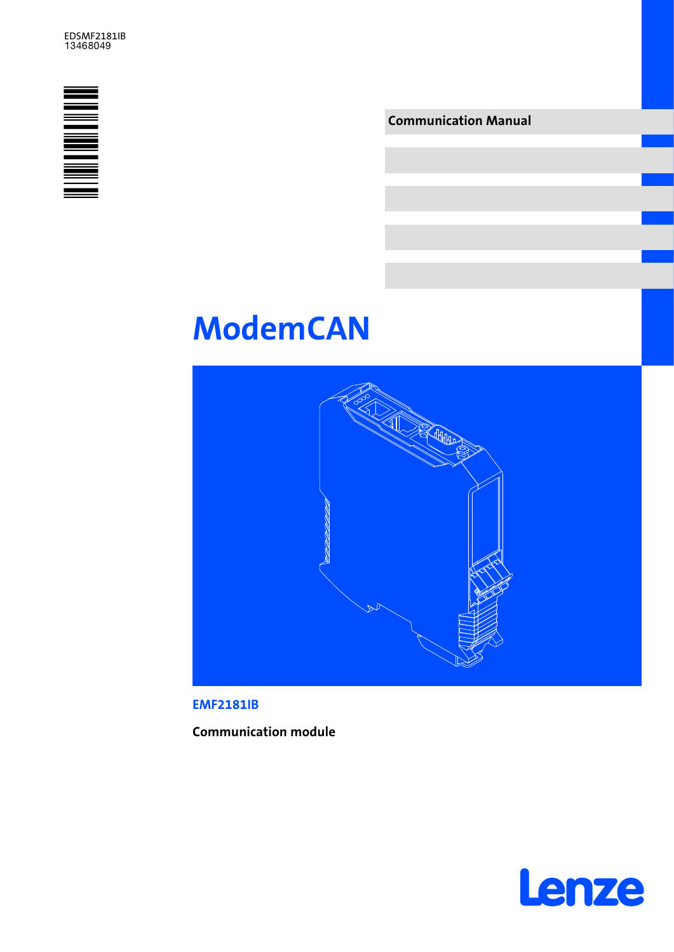

Communication Manual

# ModemCAN



EMF2181IB

Communication module

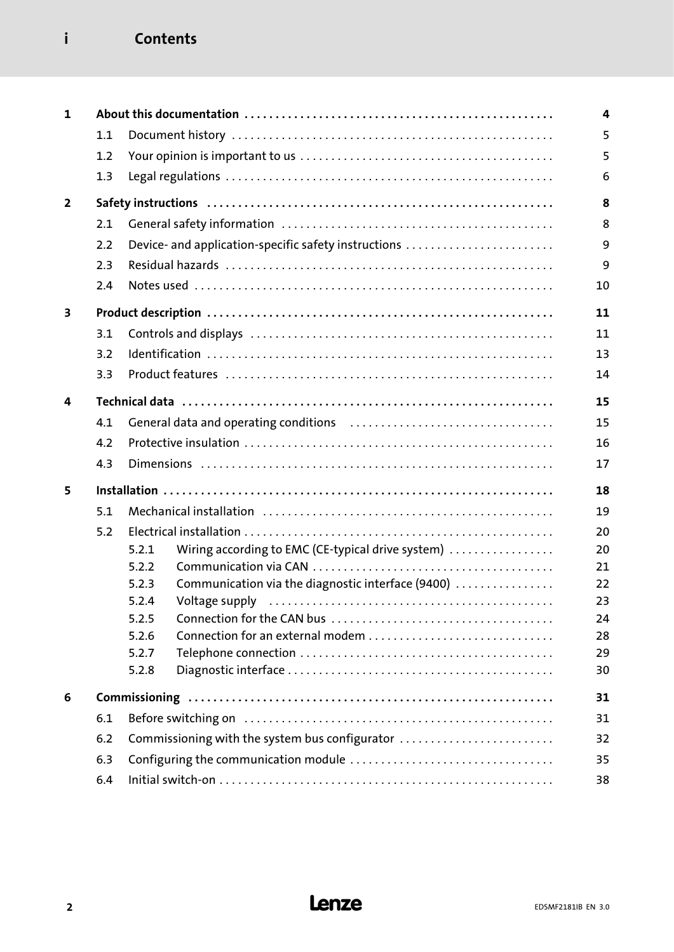# i Contents

| $\mathbf{1}$   |     |                                                                                                                                                                                                                                         | 4  |  |
|----------------|-----|-----------------------------------------------------------------------------------------------------------------------------------------------------------------------------------------------------------------------------------------|----|--|
|                | 1.1 |                                                                                                                                                                                                                                         | 5  |  |
|                | 1.2 |                                                                                                                                                                                                                                         | 5  |  |
|                | 1.3 |                                                                                                                                                                                                                                         | 6  |  |
| $\overline{2}$ |     |                                                                                                                                                                                                                                         | 8  |  |
|                | 2.1 |                                                                                                                                                                                                                                         | 8  |  |
|                | 2.2 | Device- and application-specific safety instructions                                                                                                                                                                                    | 9  |  |
|                | 2.3 |                                                                                                                                                                                                                                         | 9  |  |
|                | 2.4 |                                                                                                                                                                                                                                         | 10 |  |
| 3              |     |                                                                                                                                                                                                                                         | 11 |  |
|                | 3.1 |                                                                                                                                                                                                                                         | 11 |  |
|                | 3.2 |                                                                                                                                                                                                                                         | 13 |  |
|                | 3.3 |                                                                                                                                                                                                                                         | 14 |  |
| 4              |     |                                                                                                                                                                                                                                         | 15 |  |
|                | 4.1 |                                                                                                                                                                                                                                         | 15 |  |
|                | 4.2 |                                                                                                                                                                                                                                         | 16 |  |
|                | 4.3 |                                                                                                                                                                                                                                         | 17 |  |
| 5              |     |                                                                                                                                                                                                                                         | 18 |  |
|                | 5.1 |                                                                                                                                                                                                                                         |    |  |
|                | 5.2 |                                                                                                                                                                                                                                         | 20 |  |
|                |     | Wiring according to EMC (CE-typical drive system)<br>5.2.1                                                                                                                                                                              | 20 |  |
|                |     | 5.2.2                                                                                                                                                                                                                                   | 21 |  |
|                |     | Communication via the diagnostic interface (9400)<br>5.2.3                                                                                                                                                                              | 22 |  |
|                |     | Voltage supply (all contains and contained all contains and voltage supply all contains and variance supply and variance supply and variance supply and variance supply and variance supply and variance supply and variance s<br>5.2.4 | 23 |  |
|                |     | 5.2.5                                                                                                                                                                                                                                   | 24 |  |
|                |     | 5.2.6<br>Connection for an external modem                                                                                                                                                                                               | 28 |  |
|                |     | 5.2.7                                                                                                                                                                                                                                   | 29 |  |
|                |     | 5.2.8                                                                                                                                                                                                                                   | 30 |  |
| 6              |     |                                                                                                                                                                                                                                         | 31 |  |
|                | 6.1 |                                                                                                                                                                                                                                         | 31 |  |
|                | 6.2 | Commissioning with the system bus configurator                                                                                                                                                                                          | 32 |  |
|                | 6.3 |                                                                                                                                                                                                                                         | 35 |  |
|                | 6.4 |                                                                                                                                                                                                                                         |    |  |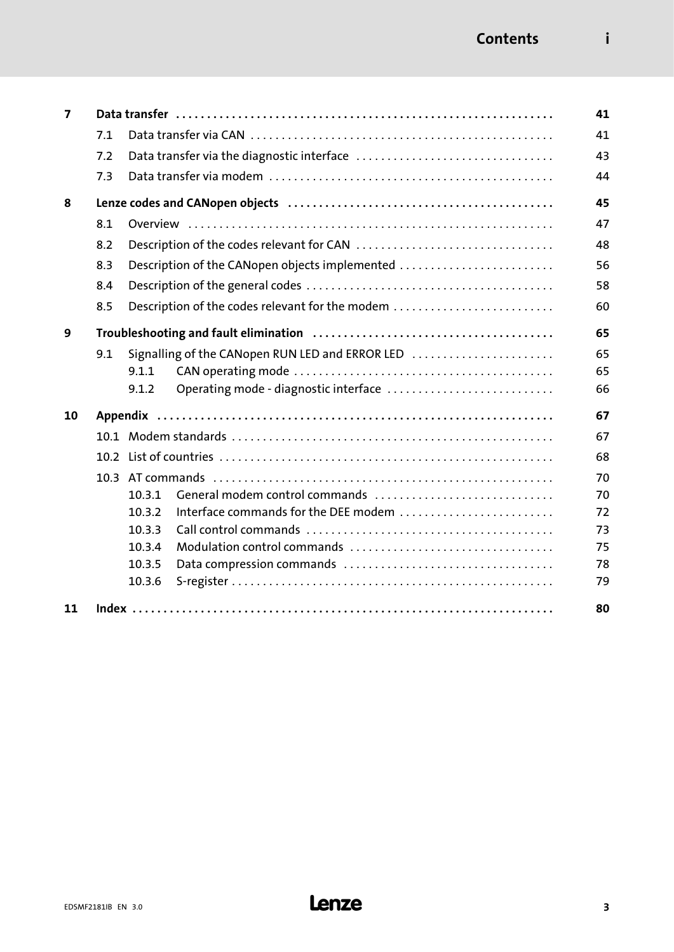| 7  |     |                                                 | 41 |
|----|-----|-------------------------------------------------|----|
|    | 7.1 |                                                 | 41 |
|    | 7.2 |                                                 | 43 |
|    | 7.3 |                                                 | 44 |
| 8  |     |                                                 | 45 |
|    | 8.1 |                                                 | 47 |
|    | 8.2 |                                                 | 48 |
|    | 8.3 | Description of the CANopen objects implemented  | 56 |
|    | 8.4 |                                                 | 58 |
|    | 8.5 | Description of the codes relevant for the modem | 60 |
| 9  |     |                                                 | 65 |
|    | 9.1 | Signalling of the CANopen RUN LED and ERROR LED | 65 |
|    |     | 9.1.1                                           | 65 |
|    |     | Operating mode - diagnostic interface<br>9.1.2  | 66 |
| 10 |     |                                                 | 67 |
|    |     |                                                 | 67 |
|    |     |                                                 | 68 |
|    |     |                                                 | 70 |
|    |     | 10.3.1<br>General modem control commands        | 70 |
|    |     | Interface commands for the DEE modem<br>10.3.2  | 72 |
|    |     | 10.3.3                                          | 73 |
|    |     | 10.3.4                                          | 75 |
|    |     | 10.3.5                                          | 78 |
|    |     | 10.3.6                                          | 79 |
| 11 |     |                                                 | 80 |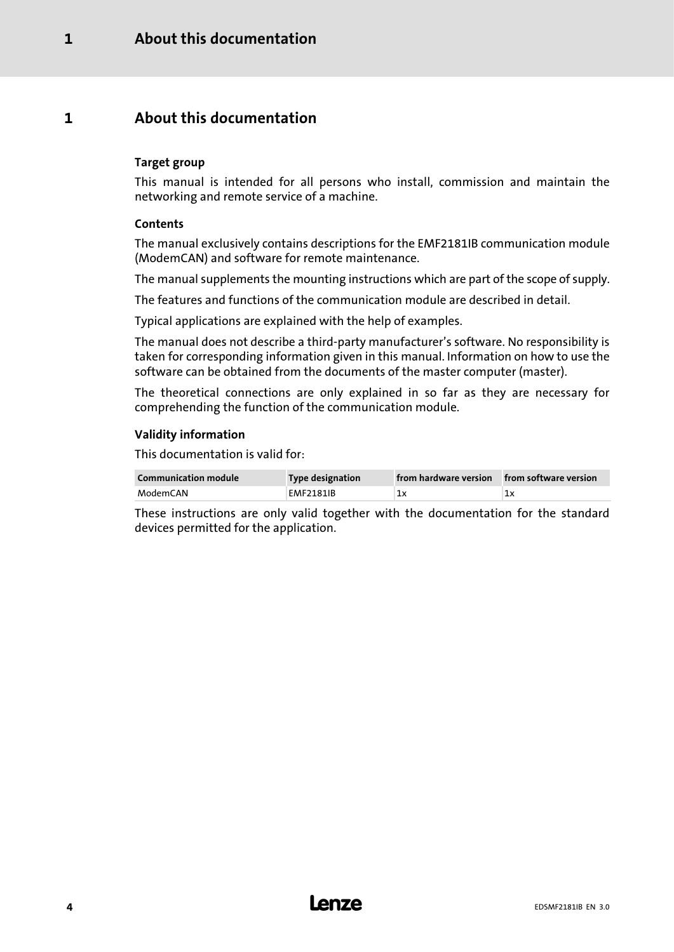# <span id="page-3-0"></span>1 **About this documentation**

#### Target group

This manual is intended for all persons who install, commission and maintain the networking and remote service of a machine.

#### **Contents**

The manual exclusively contains descriptions for the EMF2181IB communication module (ModemCAN) and software for remote maintenance.

The manual supplements the mounting instructions which are part of the scope of supply.

The features and functions of the communication module are described in detail.

Typical applications are explained with the help of examples.

The manual does not describe a third−party manufacturer's software. No responsibility is taken for corresponding information given in this manual. Information on how to use the software can be obtained from the documents of the master computer (master).

The theoretical connections are only explained in so far as they are necessary for comprehending the function of the communication module.

#### Validity information

This documentation is valid for:

| <b>Communication module</b> | Type designation | from hardware version from software version |    |
|-----------------------------|------------------|---------------------------------------------|----|
| ModemCAN                    | <b>EMF2181IB</b> | 1x                                          | 1x |

These instructions are only valid together with the documentation for the standard devices permitted for the application.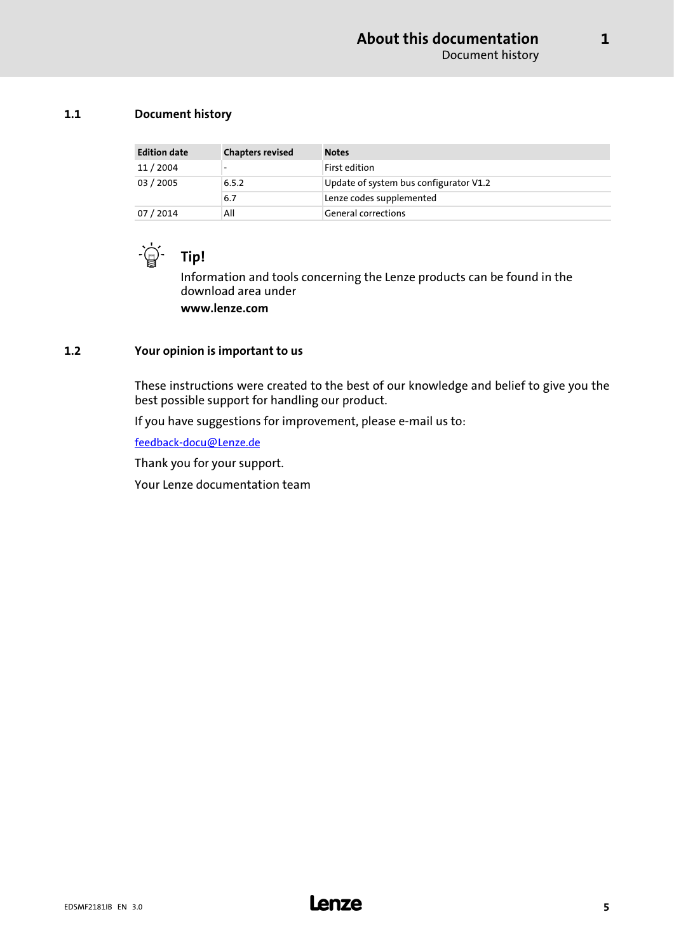#### <span id="page-4-0"></span>1.1 Document history

| <b>Edition date</b> | <b>Chapters revised</b>  | <b>Notes</b>                           |
|---------------------|--------------------------|----------------------------------------|
| 11/2004             | $\overline{\phantom{0}}$ | First edition                          |
| 03 / 2005           | 6.5.2                    | Update of system bus configurator V1.2 |
|                     | 6.7                      | Lenze codes supplemented               |
| 07 / 2014           | All                      | <b>General corrections</b>             |



Information and tools concerning the Lenze products can be found in the download area under www.lenze.com

#### 1.2 Your opinion is important to us

These instructions were created to the best of our knowledge and belief to give you the best possible support for handling our product.

If you have suggestions for improvement, please e−mail us to:

[feedback−docu@Lenze.de](mailto:feedback-docu@lenze.de)

Thank you for your support.

Your Lenze documentation team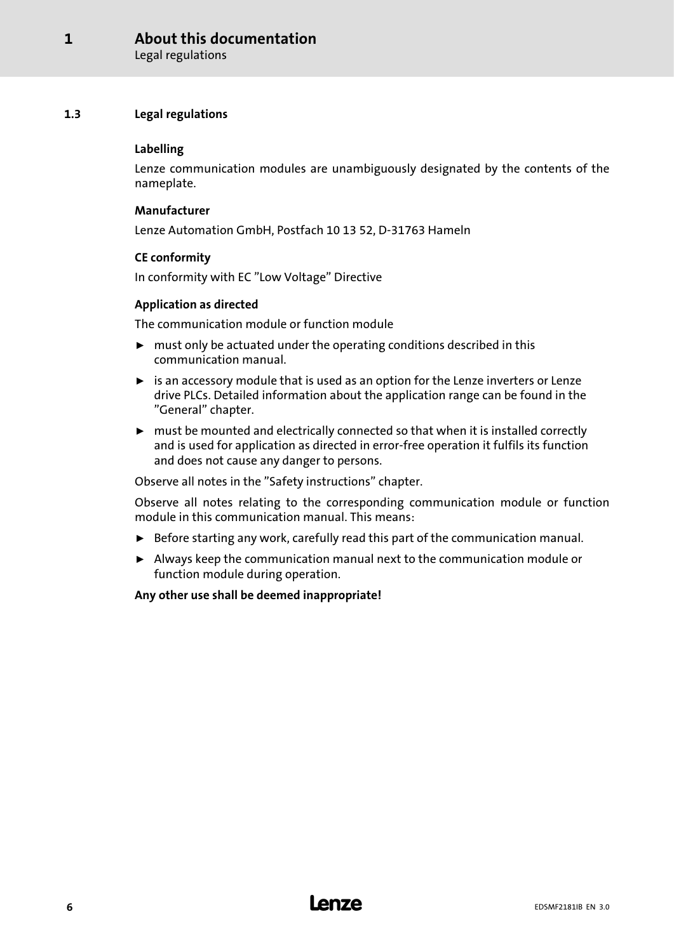#### <span id="page-5-0"></span>About this documentation [1](#page-3-0)

Legal regulations

#### 1.3 Legal regulations

#### Labelling

Lenze communication modules are unambiguously designated by the contents of the nameplate.

#### Manufacturer

Lenze Automation GmbH, Postfach 10 13 52, D−31763 Hameln

#### CE conformity

In conformity with EC "Low Voltage" Directive

#### Application as directed

The communication module or function module

- $\triangleright$  must only be actuated under the operating conditions described in this communication manual.
- $\triangleright$  is an accessory module that is used as an option for the Lenze inverters or Lenze drive PLCs. Detailed information about the application range can be found in the "General" chapter.
- $\triangleright$  must be mounted and electrically connected so that when it is installed correctly and is used for application as directed in error−free operation it fulfils its function and does not cause any danger to persons.

Observe all notes in the "Safety instructions" chapter.

Observe all notes relating to the corresponding communication module or function module in this communication manual. This means:

- $\triangleright$  Before starting any work, carefully read this part of the communication manual.
- $\blacktriangleright$  Always keep the communication manual next to the communication module or function module during operation.

Any other use shall be deemed inappropriate!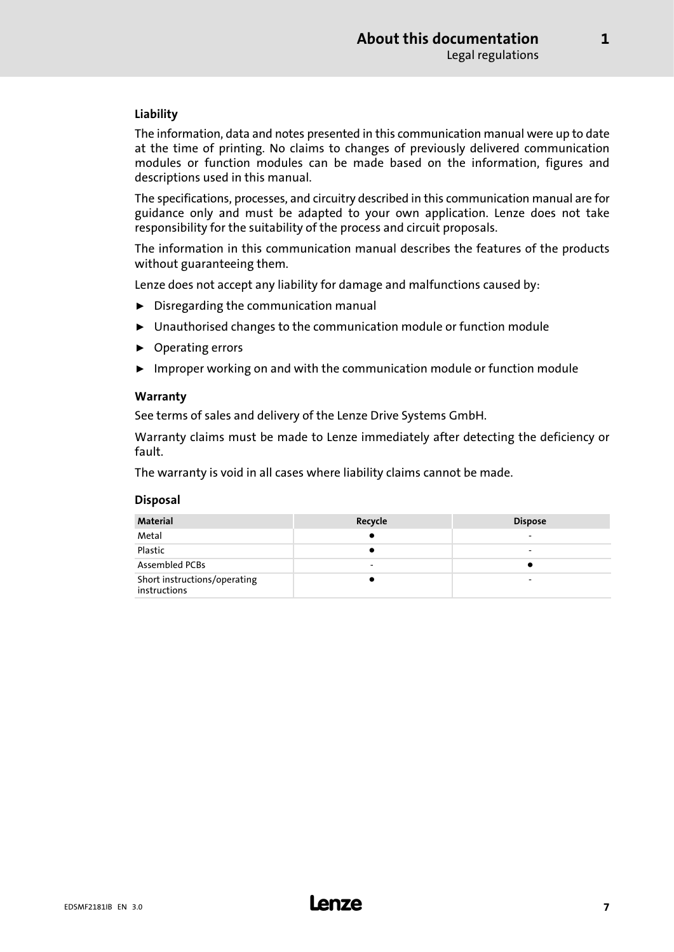#### Liability

The information, data and notes presented in this communication manual were up to date at the time of printing. No claims to changes of previously delivered communication modules or function modules can be made based on the information, figures and descriptions used in this manual.

The specifications, processes, and circuitry described in this communication manual are for guidance only and must be adapted to your own application. Lenze does not take responsibility for the suitability of the process and circuit proposals.

The information in this communication manual describes the features of the products without guaranteeing them.

Lenze does not accept any liability for damage and malfunctions caused by:

- $\blacktriangleright$  Disregarding the communication manual
- $\triangleright$  Unauthorised changes to the communication module or function module
- $\blacktriangleright$  Operating errors
- $\blacktriangleright$  Improper working on and with the communication module or function module

#### Warranty

See terms of sales and delivery of the Lenze Drive Systems GmbH.

Warranty claims must be made to Lenze immediately after detecting the deficiency or fault.

The warranty is void in all cases where liability claims cannot be made.

#### Disposal

| <b>Material</b>                              | Recycle | <b>Dispose</b> |
|----------------------------------------------|---------|----------------|
| Metal                                        |         | -              |
| Plastic                                      |         |                |
| <b>Assembled PCBs</b>                        | -       |                |
| Short instructions/operating<br>instructions |         |                |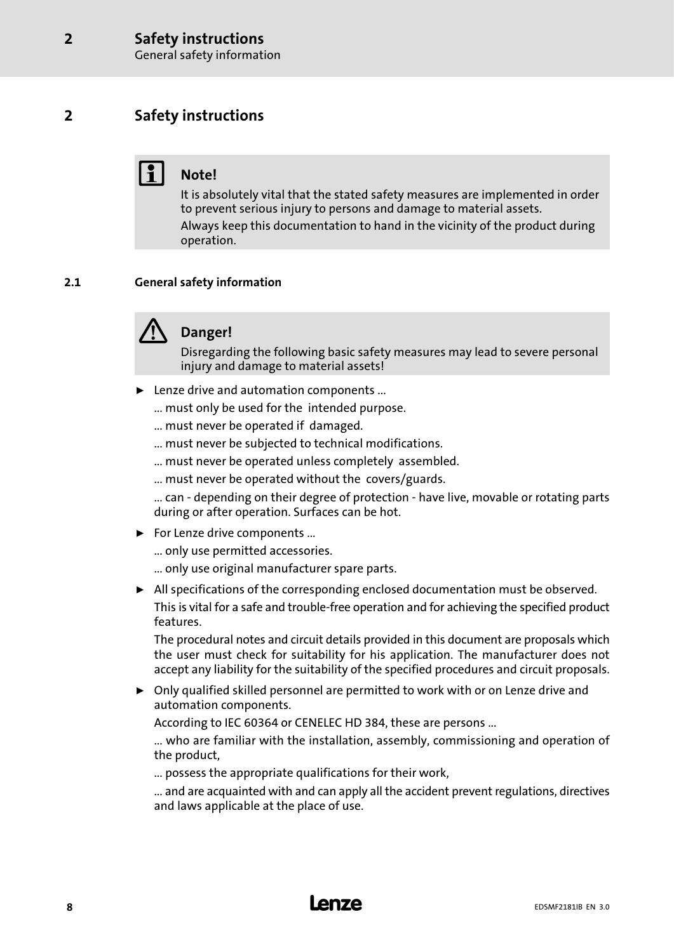# <span id="page-7-0"></span>2 Safety instructions

# Note!

It is absolutely vital that the stated safety measures are implemented in order to prevent serious injury to persons and damage to material assets. Always keep this documentation to hand in the vicinity of the product during operation.

#### 2.1 General safety information



# Danger!

Disregarding the following basic safety measures may lead to severe personal injury and damage to material assets!

- ▶ Lenze drive and automation components ...
	- ... must only be used for the intended purpose.
	- ... must never be operated if damaged.
	- ... must never be subjected to technical modifications.
	- ... must never be operated unless completely assembled.
	- ... must never be operated without the covers/guards.

... can − depending on their degree of protection − have live, movable or rotating parts during or after operation. Surfaces can be hot.

 $\blacktriangleright$  For Lenze drive components ...

... only use permitted accessories.

- ... only use original manufacturer spare parts.
- $\blacktriangleright$  All specifications of the corresponding enclosed documentation must be observed. This is vital for a safe and trouble−free operation and for achieving the specified product features.

The procedural notes and circuit details provided in this document are proposals which the user must check for suitability for his application. The manufacturer does not accept any liability for the suitability of the specified procedures and circuit proposals.

 $\triangleright$  Only qualified skilled personnel are permitted to work with or on Lenze drive and automation components.

According to IEC 60364 or CENELEC HD 384, these are persons ...

... who are familiar with the installation, assembly, commissioning and operation of the product,

... possess the appropriate qualifications for their work,

... and are acquainted with and can apply all the accident prevent regulations, directives and laws applicable at the place of use.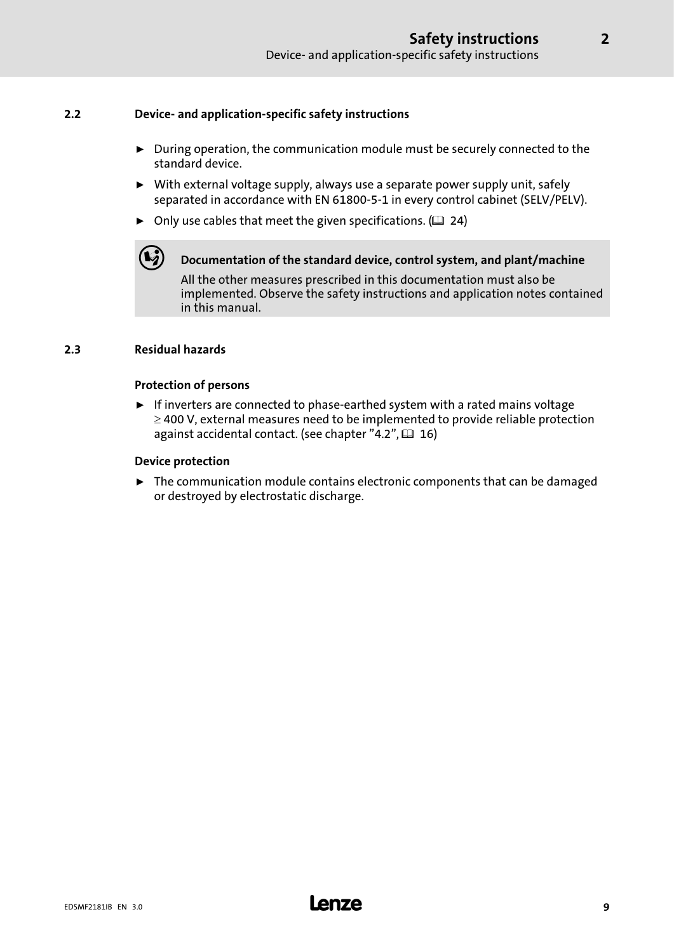#### <span id="page-8-0"></span>2.2 Device− and application−specific safety instructions

- $\triangleright$  During operation, the communication module must be securely connected to the standard device.
- $\triangleright$  With external voltage supply, always use a separate power supply unit, safely separated in accordance with EN 61800−5−1 in every control cabinet (SELV/PELV).
- $\triangleright$  Only use cables that meet the given specifications. ( $\Box$  [24](#page-23-0))

Documentation of the standard device, control system, and plant/machine

All the other measures prescribed in this documentation must also be implemented. Observe the safety instructions and application notes contained in this manual.

#### 2.3 Residual hazards

#### Protection of persons

► If inverters are connected to phase-earthed system with a rated mains voltage  $\geq$  400 V, external measures need to be implemented to provide reliable protection against accidental contact. (see chapter ["4.2"](#page-15-0),  $\Box$  [16](#page-15-0))

#### Device protection

 $\blacktriangleright$  The communication module contains electronic components that can be damaged or destroyed by electrostatic discharge.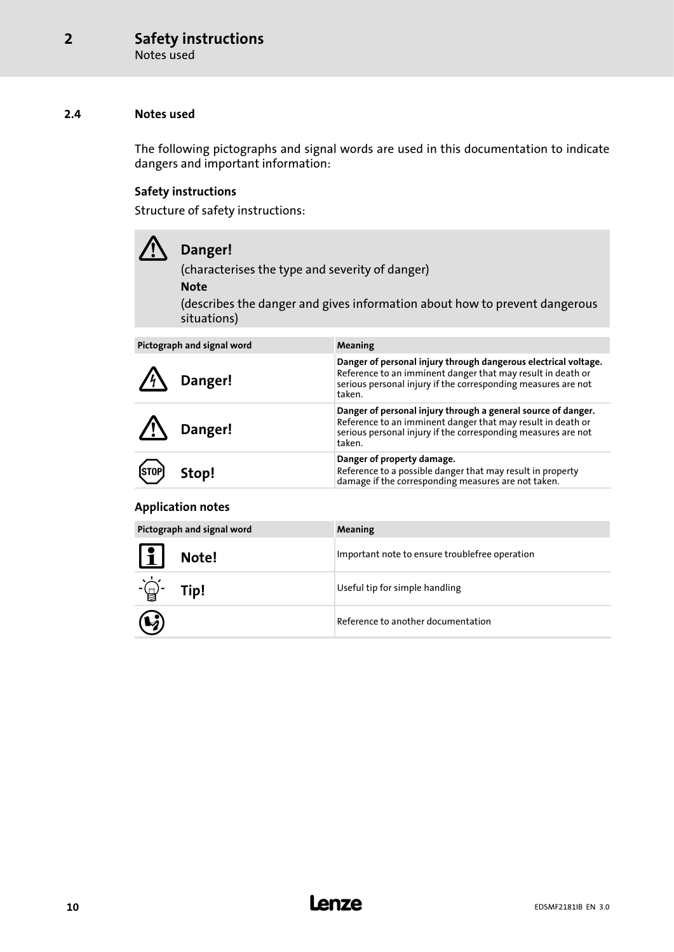#### <span id="page-9-0"></span>2.4 Notes used

The following pictographs and signal words are used in this documentation to indicate dangers and important information:

#### Safety instructions

Structure of safety instructions:

## Danger!

(characterises the type and severity of danger)

Note

(describes the danger and gives information about how to prevent dangerous situations)

| Pictograph and signal word | Meaning                                                                                                                                                                                                   |
|----------------------------|-----------------------------------------------------------------------------------------------------------------------------------------------------------------------------------------------------------|
| Danger!                    | Danger of personal injury through dangerous electrical voltage.<br>Reference to an imminent danger that may result in death or<br>serious personal injury if the corresponding measures are not<br>taken. |
| Danger!                    | Danger of personal injury through a general source of danger.<br>Reference to an imminent danger that may result in death or<br>serious personal injury if the corresponding measures are not<br>taken.   |
| [STOP]<br>Stop!            | Danger of property damage.<br>Reference to a possible danger that may result in property<br>damage if the corresponding measures are not taken.                                                           |

#### Application notes

| Pictograph and signal word         | Meaning                                        |
|------------------------------------|------------------------------------------------|
| $\boxed{1}$<br>Note!               | Important note to ensure troublefree operation |
| $-\underline{\bigoplus}$ -<br>Tip! | Useful tip for simple handling                 |
| $\mathbf Q$                        | Reference to another documentation             |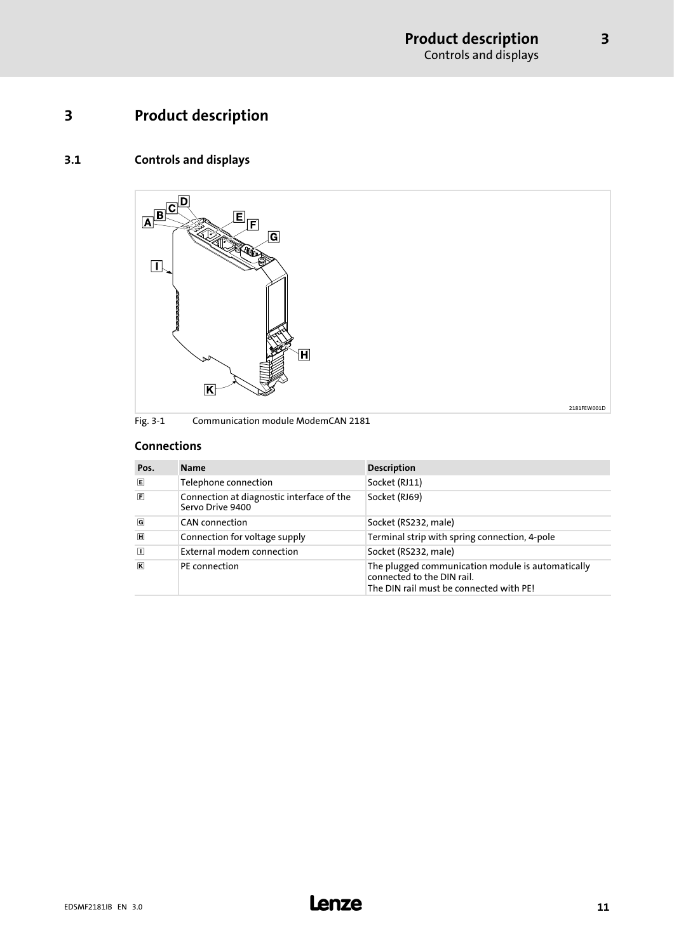# <span id="page-10-0"></span>3 Product description

### 3.1 Controls and displays



#### Connections

| Pos.                    | <b>Name</b>                                                   | <b>Description</b>                                                                                                         |
|-------------------------|---------------------------------------------------------------|----------------------------------------------------------------------------------------------------------------------------|
| 圓                       | Telephone connection                                          | Socket (RJ11)                                                                                                              |
| 间                       | Connection at diagnostic interface of the<br>Servo Drive 9400 | Socket (RJ69)                                                                                                              |
| $\overline{G}$          | <b>CAN</b> connection                                         | Socket (RS232, male)                                                                                                       |
| $\mathbb H$             | Connection for voltage supply                                 | Terminal strip with spring connection, 4-pole                                                                              |
| $\Box$                  | External modem connection                                     | Socket (RS232, male)                                                                                                       |
| $\overline{\mathbf{K}}$ | <b>PE</b> connection                                          | The plugged communication module is automatically<br>connected to the DIN rail.<br>The DIN rail must be connected with PE! |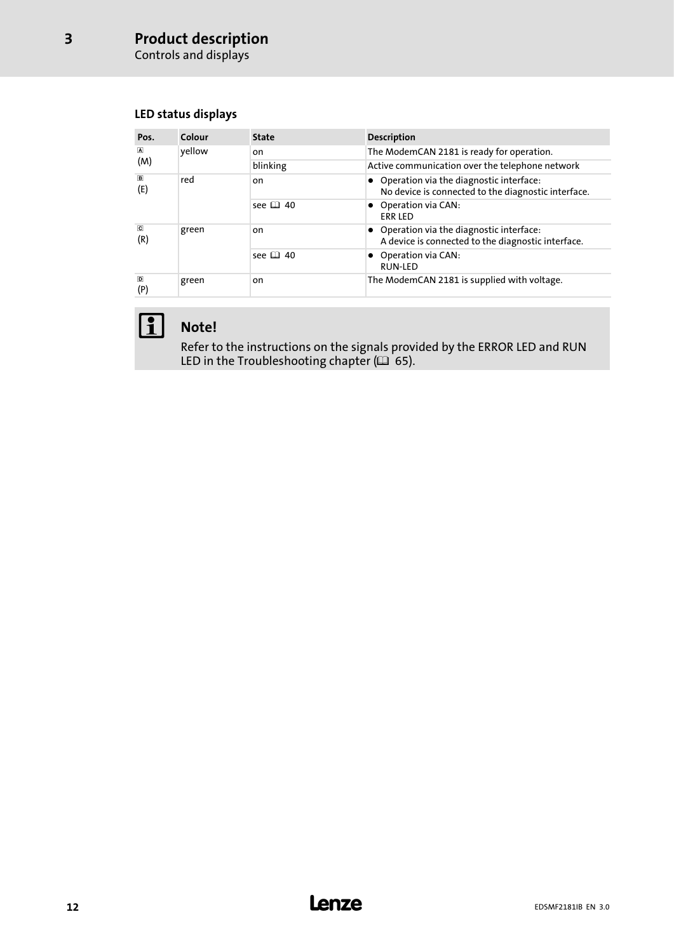Controls and displays

[3](#page-10-0)

### LED status displays

| Pos.                           | Colour | <b>State</b>  | <b>Description</b>                                                                               |
|--------------------------------|--------|---------------|--------------------------------------------------------------------------------------------------|
| $\blacksquare$                 | yellow | on            | The ModemCAN 2181 is ready for operation.                                                        |
| (M)                            |        | blinking      | Active communication over the telephone network                                                  |
| $\boxed{B}$<br>(E)             | red    | on            | • Operation via the diagnostic interface:<br>No device is connected to the diagnostic interface. |
|                                |        | see $\Box$ 40 | • Operation via CAN:<br><b>ERR LED</b>                                                           |
| $\overline{\textbf{C}}$<br>(R) | green  | on            | • Operation via the diagnostic interface:<br>A device is connected to the diagnostic interface.  |
|                                |        | see $\Box$ 40 | • Operation via CAN:<br><b>RUN-LED</b>                                                           |
| $\overline{D}$<br>(P)          | green  | on            | The ModemCAN 2181 is supplied with voltage.                                                      |



# 1 Note!

Refer to the instructions on the signals provided by the ERROR LED and RUN LED in the Troubleshooting chapter ( $\Box\,$  [65](#page-64-0)).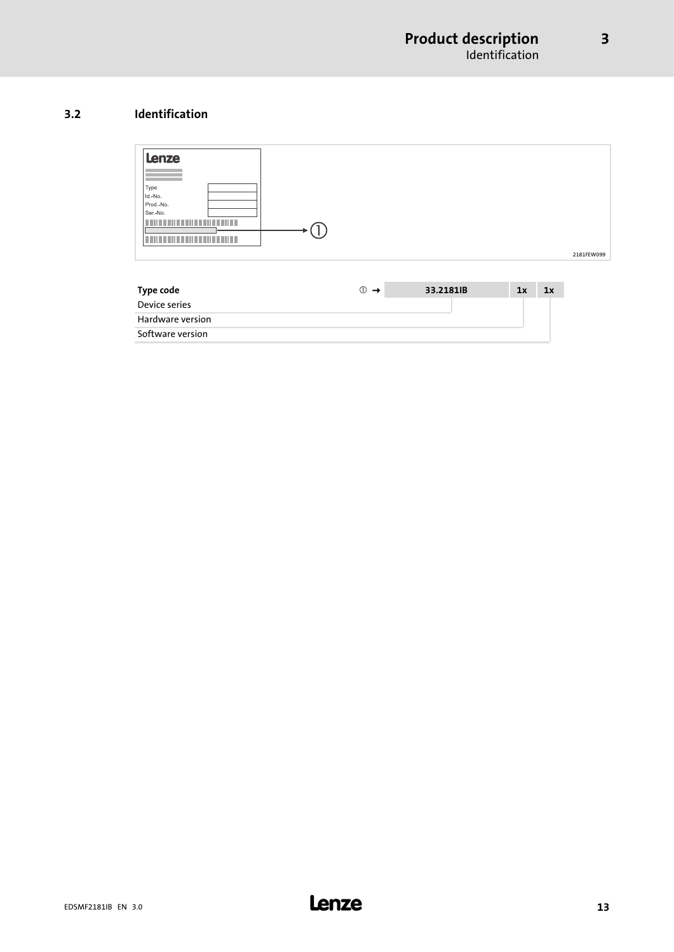#### <span id="page-12-0"></span>3.2 Identification



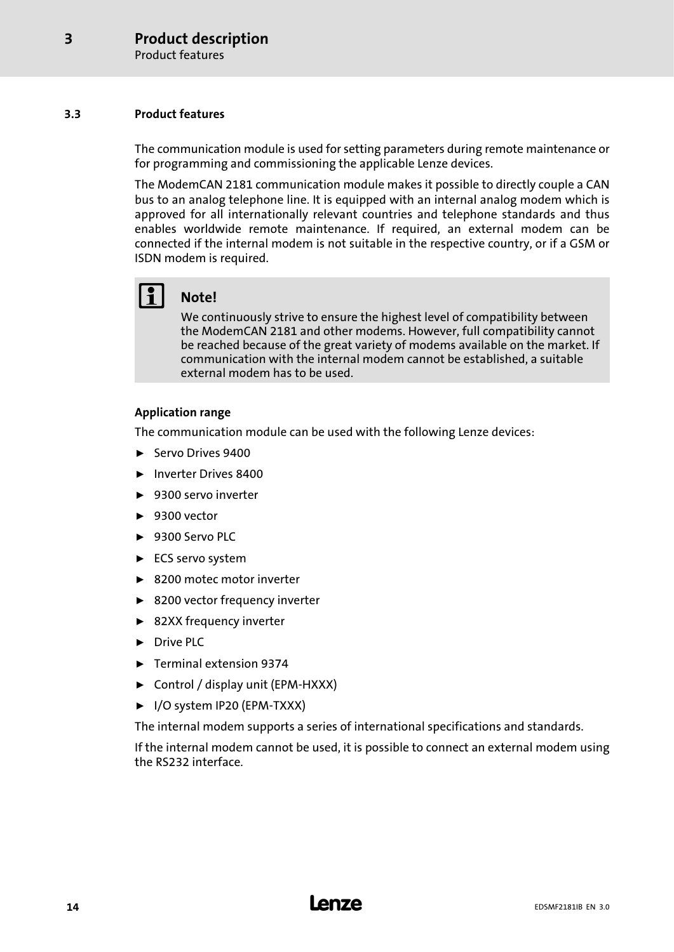#### <span id="page-13-0"></span>3.3 Product features

The communication module is used for setting parameters during remote maintenance or for programming and commissioning the applicable Lenze devices.

The ModemCAN 2181 communication module makes it possible to directly couple a CAN bus to an analog telephone line. It is equipped with an internal analog modem which is approved for all internationally relevant countries and telephone standards and thus enables worldwide remote maintenance. If required, an external modem can be connected if the internal modem is not suitable in the respective country, or if a GSM or ISDN modem is required.

# 1 Note!

We continuously strive to ensure the highest level of compatibility between the ModemCAN 2181 and other modems. However, full compatibility cannot be reached because of the great variety of modems available on the market. If communication with the internal modem cannot be established, a suitable external modem has to be used.

#### Application range

The communication module can be used with the following Lenze devices:

- ▶ Servo Drives 9400
- ▶ Inverter Drives 8400
- $\blacktriangleright$  9300 servo inverter
- $\blacktriangleright$  9300 vector
- $\blacktriangleright$  9300 Servo PLC
- ► ECS servo system
- ▶ 8200 motec motor inverter
- $\blacktriangleright$  8200 vector frequency inverter
- ▶ 82XX frequency inverter
- ▶ Drive PLC
- ► Terminal extension 9374
- ƒ Control / display unit (EPM−HXXX)
- ƒ I/O system IP20 (EPM−TXXX)

The internal modem supports a series of international specifications and standards.

If the internal modem cannot be used, it is possible to connect an external modem using the RS232 interface.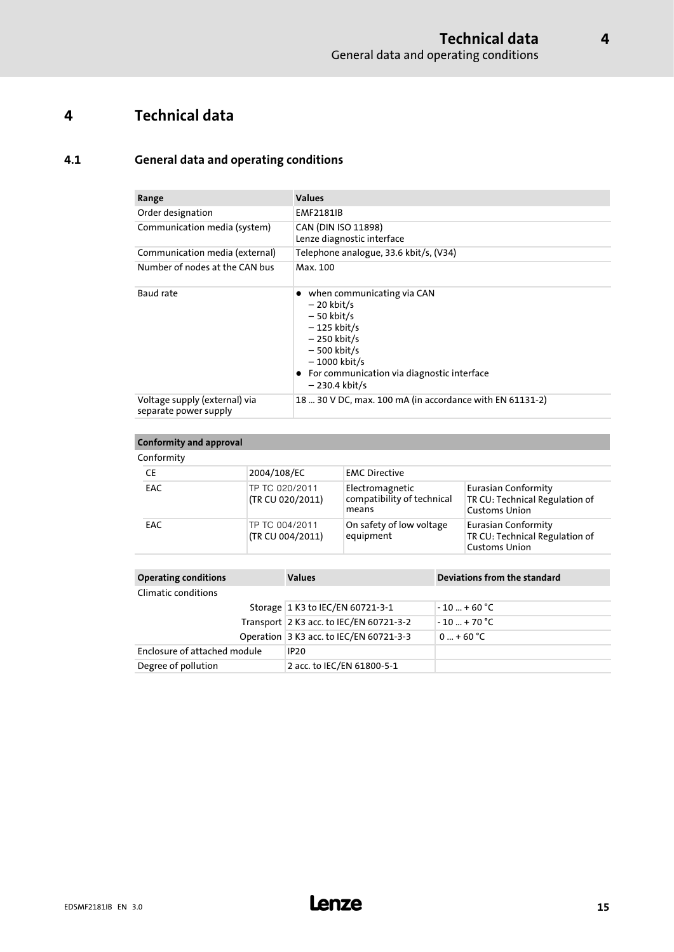# <span id="page-14-0"></span>4 Technical data

### 4.1 General data and operating conditions

| Range                                                  | <b>Values</b>                                                                                                                                                                                      |
|--------------------------------------------------------|----------------------------------------------------------------------------------------------------------------------------------------------------------------------------------------------------|
| Order designation                                      | <b>EMF2181IB</b>                                                                                                                                                                                   |
| Communication media (system)                           | CAN (DIN ISO 11898)<br>Lenze diagnostic interface                                                                                                                                                  |
| Communication media (external)                         | Telephone analogue, 33.6 kbit/s, (V34)                                                                                                                                                             |
| Number of nodes at the CAN bus                         | Max. 100                                                                                                                                                                                           |
| Baud rate                                              | • when communicating via CAN<br>$-20$ kbit/s<br>$-50$ kbit/s<br>$-125$ kbit/s<br>$-250$ kbit/s<br>$-500$ kbit/s<br>– 1000 kbit/s<br>• For communication via diagnostic interface<br>– 230.4 kbit/s |
| Voltage supply (external) via<br>separate power supply | 18  30 V DC, max. 100 mA (in accordance with EN 61131-2)                                                                                                                                           |

#### Conformity and approval **Conformity**

| ___       |                                    |                                                        |                                                                                      |  |
|-----------|------------------------------------|--------------------------------------------------------|--------------------------------------------------------------------------------------|--|
| <b>CE</b> | 2004/108/EC                        | <b>EMC Directive</b>                                   |                                                                                      |  |
| EAC       | TP TC 020/2011<br>(TR CU 020/2011) | Electromagnetic<br>compatibility of technical<br>means | <b>Eurasian Conformity</b><br>TR CU: Technical Regulation of<br><b>Customs Union</b> |  |
| EAC       | TP TC 004/2011<br>(TR CU 004/2011) | On safety of low voltage<br>equipment                  | <b>Eurasian Conformity</b><br>TR CU: Technical Regulation of<br><b>Customs Union</b> |  |

| <b>Operating conditions</b>  | <b>Values</b>                           | Deviations from the standard |
|------------------------------|-----------------------------------------|------------------------------|
| Climatic conditions          |                                         |                              |
|                              | Storage 1 K3 to IEC/EN 60721-3-1        | $-10+60 °C$                  |
|                              | Transport 2 K3 acc. to IEC/EN 60721-3-2 | $-10$ + 70 °C                |
|                              | Operation 3 K3 acc. to IEC/EN 60721-3-3 | $0  + 60 °C$                 |
| Enclosure of attached module | <b>IP20</b>                             |                              |
| Degree of pollution          | 2 acc. to IEC/EN 61800-5-1              |                              |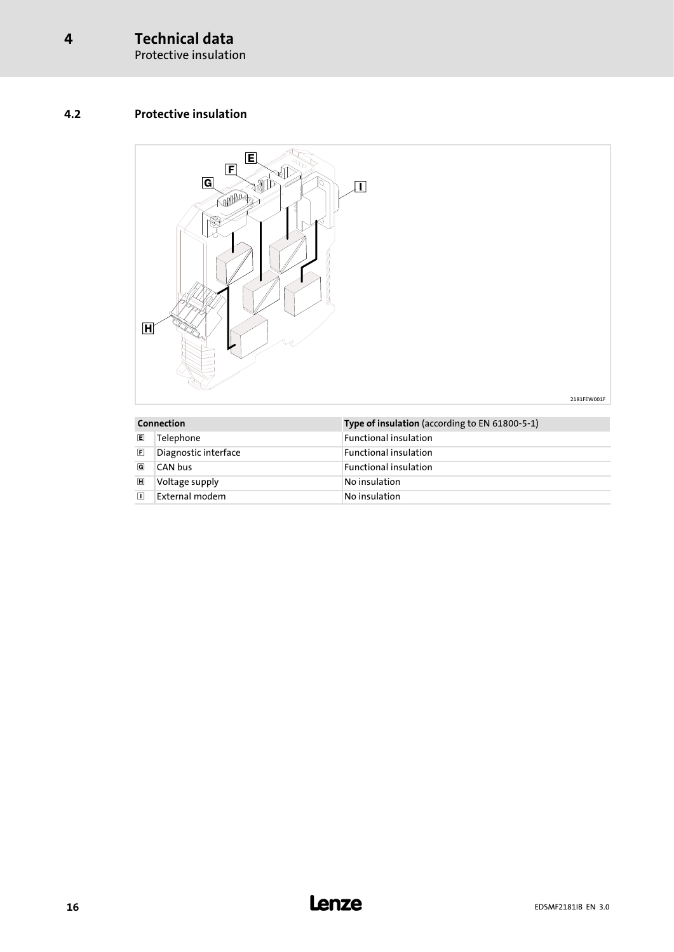Protective insulation

### <span id="page-15-0"></span>4.2 Protective insulation



| Connection     |                      | Type of insulation (according to EN 61800-5-1) |
|----------------|----------------------|------------------------------------------------|
| E              | Telephone            | <b>Functional insulation</b>                   |
| 同              | Diagnostic interface | <b>Functional insulation</b>                   |
| G              | CAN bus              | <b>Functional insulation</b>                   |
| $\blacksquare$ | Voltage supply       | No insulation                                  |
| π              | External modem       | No insulation                                  |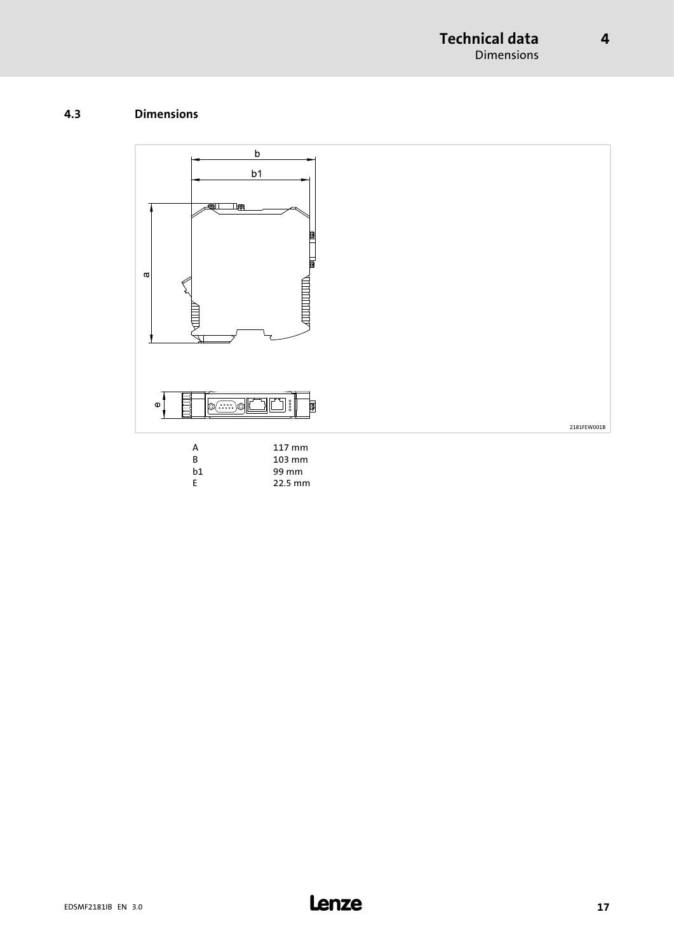### <span id="page-16-0"></span>4.3 Dimensions

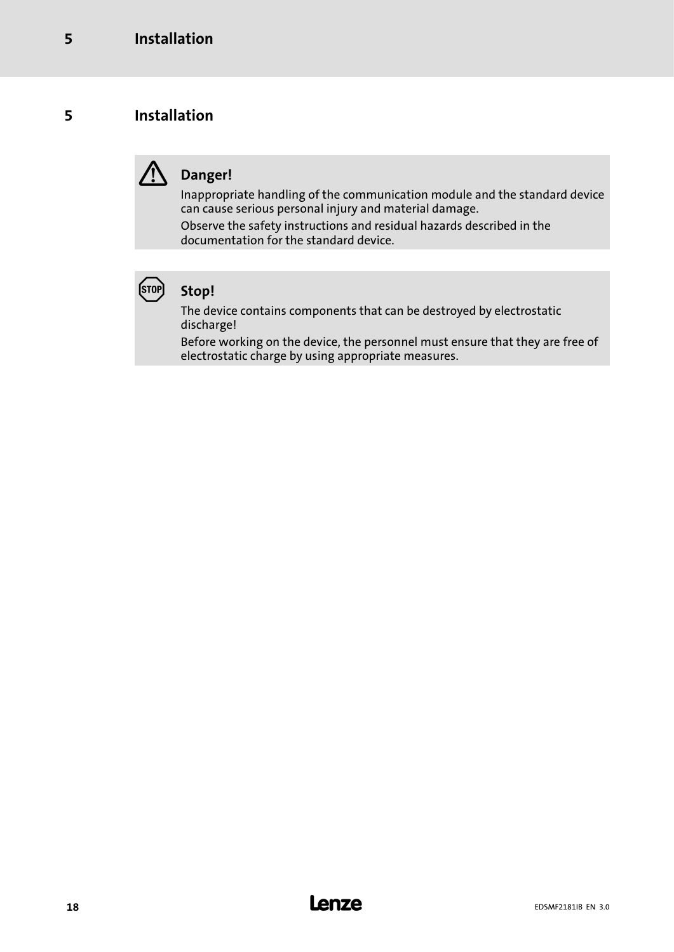# <span id="page-17-0"></span>5 Installation

# Danger!

Inappropriate handling of the communication module and the standard device can cause serious personal injury and material damage.

Observe the safety instructions and residual hazards described in the documentation for the standard device.



# Stop!

The device contains components that can be destroyed by electrostatic discharge!

Before working on the device, the personnel must ensure that they are free of electrostatic charge by using appropriate measures.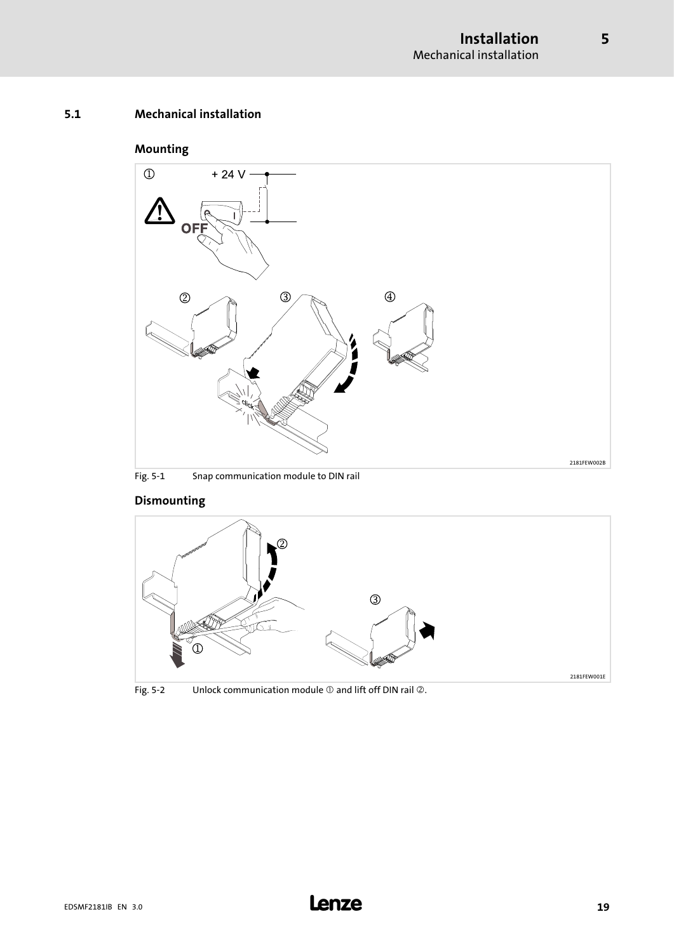#### <span id="page-18-0"></span>5.1 Mechanical installation

### Mounting



### Dismounting



Fig. 5-2 Unlock communication module  $\mathbb O$  and lift off DIN rail  $\mathbb O$ .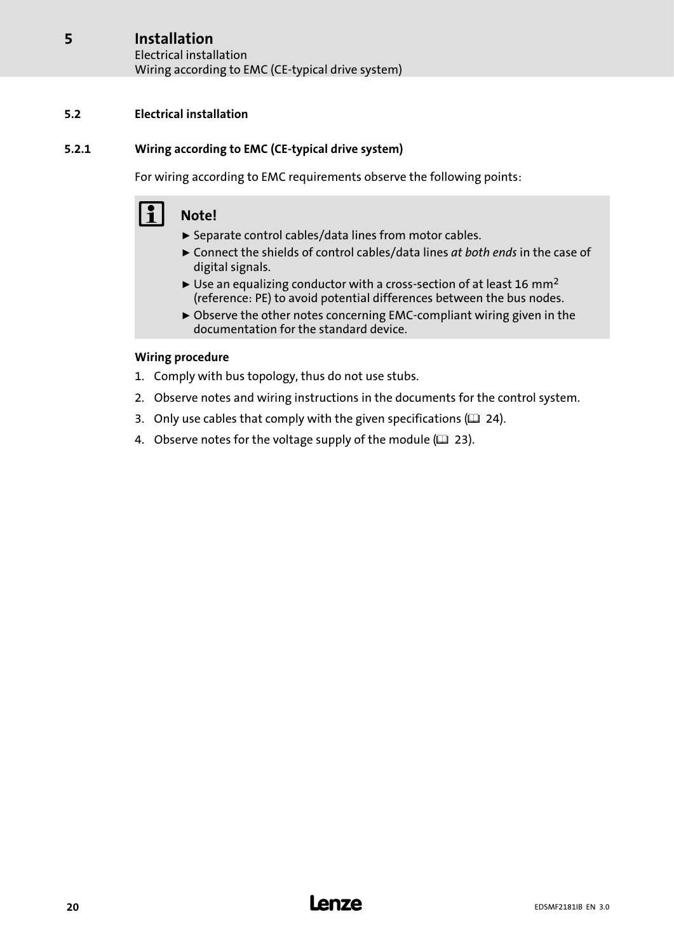#### <span id="page-19-0"></span>Installation [5](#page-17-0)

Electrical installation Wiring according to EMC (CE−typical drive system)

### 5.2 Electrical installation

#### 5.2.1 Wiring according to EMC (CE−typical drive system)

For wiring according to EMC requirements observe the following points:

# Note!

- $\blacktriangleright$  Separate control cables/data lines from motor cables.
- $\triangleright$  Connect the shields of control cables/data lines at both ends in the case of digital signals.
- ► Use an equalizing conductor with a cross-section of at least 16 mm<sup>2</sup> (reference: PE) to avoid potential differences between the bus nodes.
- ƒ Observe the other notes concerning EMC−compliant wiring given in the documentation for the standard device.

#### Wiring procedure

- 1. Comply with bus topology, thus do not use stubs.
- 2. Observe notes and wiring instructions in the documents for the control system.
- 3. Only use cables that comply with the given specifications ( $\Box$  [24\)](#page-23-0).
- 4. Observe notes for the voltage supply of the module  $(1/2)$  [23\)](#page-22-0).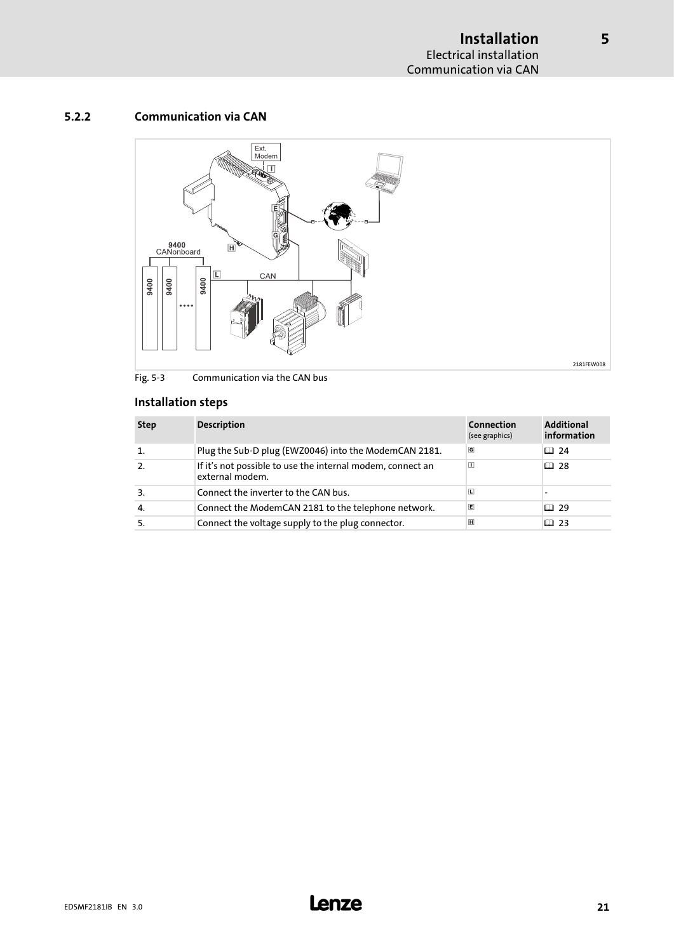#### <span id="page-20-0"></span>5.2.2 Communication via CAN



Fig. 5−3 Communication via the CAN bus

### Installation steps

| <b>Step</b> | <b>Description</b>                                                            | Connection<br>(see graphics) | <b>Additional</b><br>information |
|-------------|-------------------------------------------------------------------------------|------------------------------|----------------------------------|
|             | Plug the Sub-D plug (EWZ0046) into the ModemCAN 2181.                         | G                            | □ 24                             |
|             | If it's not possible to use the internal modem, connect an<br>external modem. | $\blacksquare$               | 国 28                             |
| 3.          | Connect the inverter to the CAN bus.                                          | L                            |                                  |
| 4.          | Connect the ModemCAN 2181 to the telephone network.                           | E                            | □ 29                             |
|             | Connect the voltage supply to the plug connector.                             | $\overline{H}$               | 吅 23                             |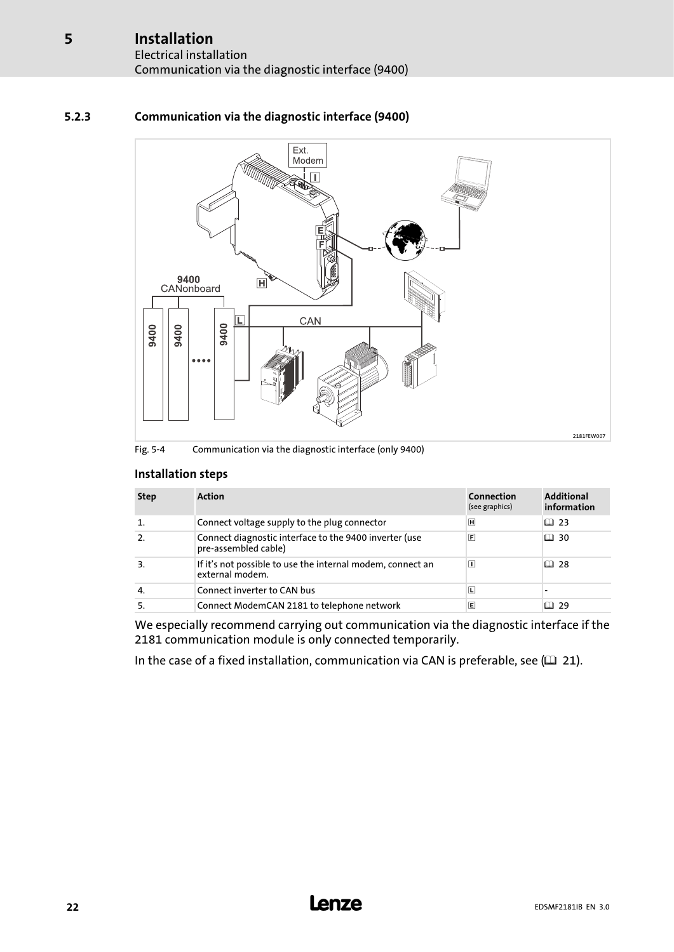### 5.2.3 Communication via the diagnostic interface (9400)



#### Fig. 5−4 Communication via the diagnostic interface (only 9400)

#### Installation steps

| <b>Step</b> | <b>Action</b>                                                                  | Connection<br>(see graphics) | <b>Additional</b><br>information |
|-------------|--------------------------------------------------------------------------------|------------------------------|----------------------------------|
|             | Connect voltage supply to the plug connector                                   | 圓                            | □ 23                             |
|             | Connect diagnostic interface to the 9400 inverter (use<br>pre-assembled cable) | $\vert \mathsf{F} \vert$     | $\Box$ 30                        |
| 3.          | If it's not possible to use the internal modem, connect an<br>external modem.  | П                            | 口 28                             |
| 4.          | Connect inverter to CAN bus                                                    | ⊡                            |                                  |
|             | Connect ModemCAN 2181 to telephone network                                     | E                            | 1日 29                            |

We especially recommend carrying out communication via the diagnostic interface if the 2181 communication module is only connected temporarily.

In the case of a fixed installation, communication via CAN is preferable, see  $( \square \space 21).$  $( \square \space 21).$  $( \square \space 21).$ 

<span id="page-21-0"></span>[5](#page-17-0)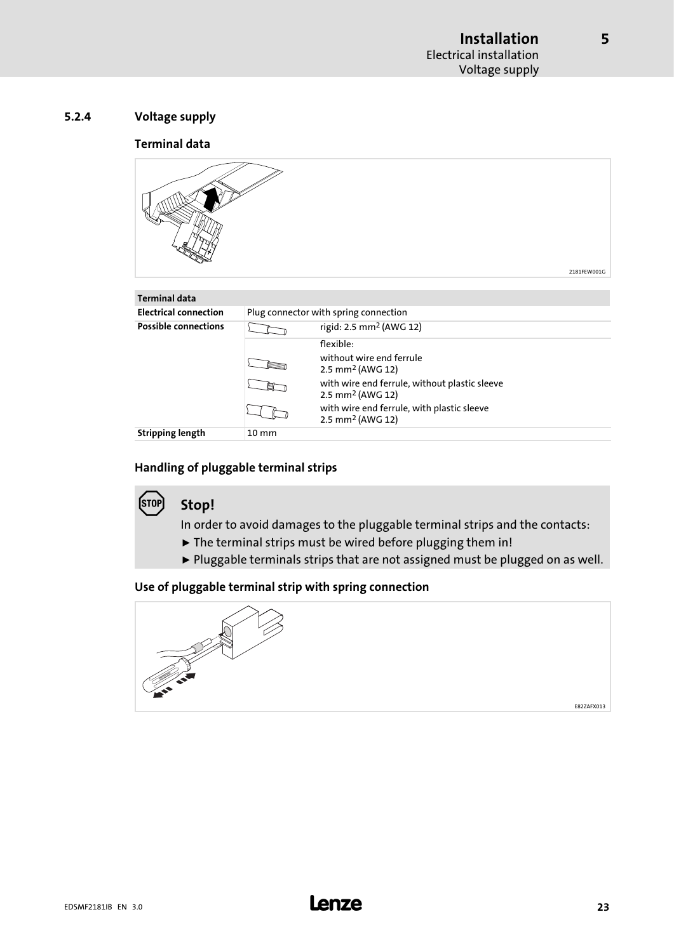#### <span id="page-22-0"></span>Terminal data



#### Handling of pluggable terminal strips

#### **STOP** Stop!

In order to avoid damages to the pluggable terminal strips and the contacts:

- $\blacktriangleright$  The terminal strips must be wired before plugging them in!
- ► Pluggable terminals strips that are not assigned must be plugged on as well.

#### Use of pluggable terminal strip with spring connection

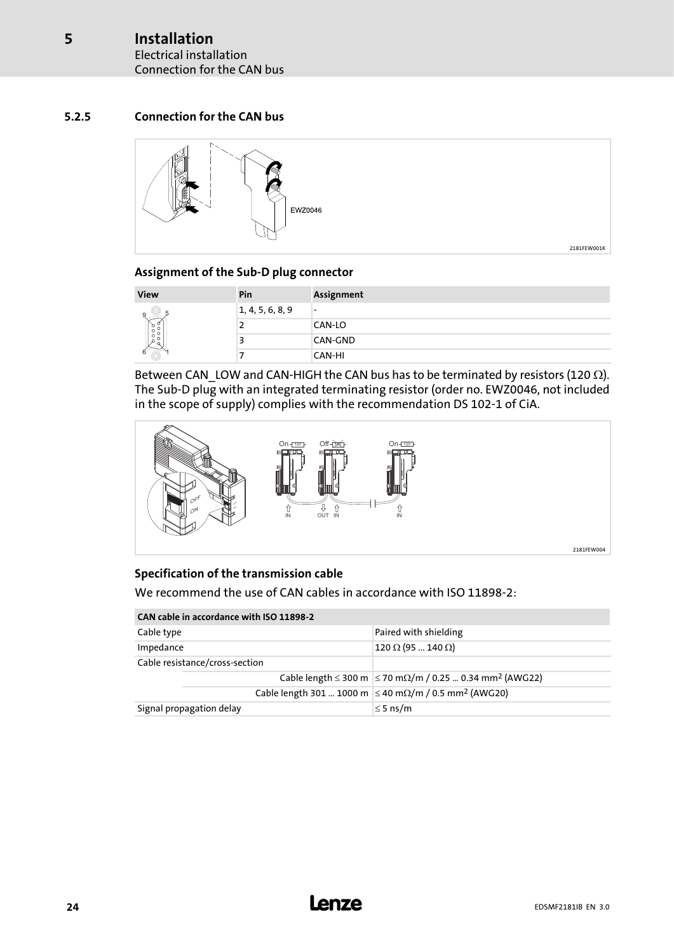#### <span id="page-23-0"></span>5.2.5 Connection for the CAN bus



#### Assignment of the Sub−D plug connector

| <b>View</b> | Pin              | <b>Assignment</b>        |
|-------------|------------------|--------------------------|
|             | 1, 4, 5, 6, 8, 9 | $\overline{\phantom{0}}$ |
|             | ∼                | CAN-LO                   |
|             |                  | CAN-GND                  |
|             |                  | CAN-HI                   |

Between CAN\_LOW and CAN-HIGH the CAN bus has to be terminated by resistors (120  $\Omega$ ). The Sub−D plug with an integrated terminating resistor (order no. EWZ0046, not included in the scope of supply) complies with the recommendation DS 102−1 of CiA.



#### Specification of the transmission cable

We recommend the use of CAN cables in accordance with ISO 11898−2:

| CAN cable in accordance with ISO 11898-2 |                                                                                  |  |  |  |  |
|------------------------------------------|----------------------------------------------------------------------------------|--|--|--|--|
| Cable type                               | Paired with shielding                                                            |  |  |  |  |
| Impedance                                | $120 \Omega (95  140 \Omega)$                                                    |  |  |  |  |
| Cable resistance/cross-section           |                                                                                  |  |  |  |  |
|                                          | Cable length ≤ 300 m $\leq$ 70 m $\Omega/m$ / 0.25  0.34 mm <sup>2</sup> (AWG22) |  |  |  |  |
|                                          | Cable length 301  1000 m ≤ 40 m $\Omega/m$ / 0.5 mm <sup>2</sup> (AWG20)         |  |  |  |  |
| Signal propagation delay                 | $\leq$ 5 ns/m                                                                    |  |  |  |  |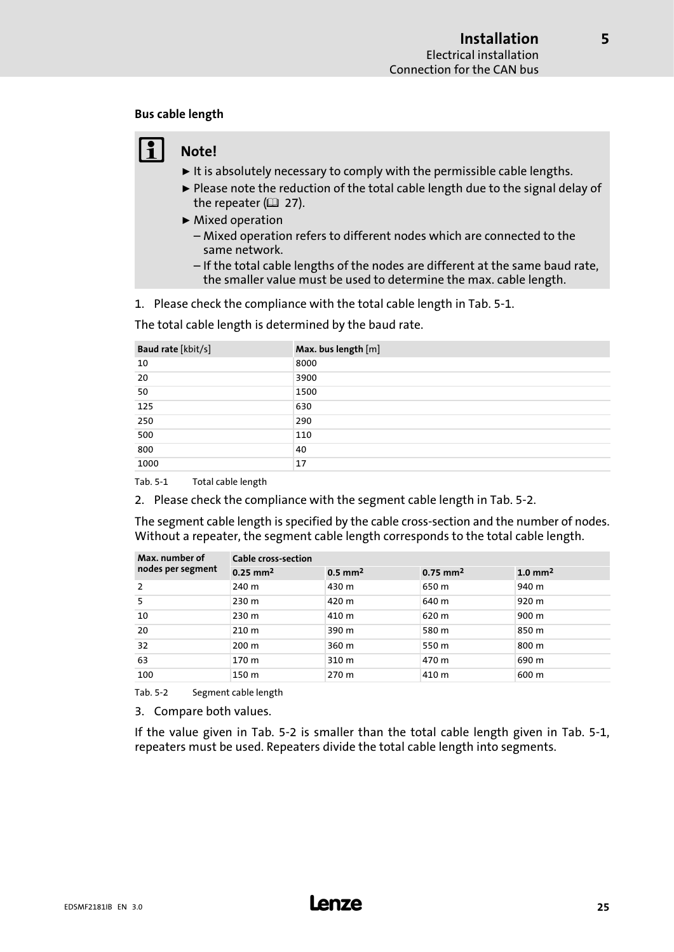#### <span id="page-24-0"></span>Bus cable length

# Note!

- $\blacktriangleright$  It is absolutely necessary to comply with the permissible cable lengths.
- ► Please note the reduction of the total cable length due to the signal delay of the repeater  $(22 27)$  $(22 27)$ .
- $\blacktriangleright$  Mixed operation – Mixed operation refers to different nodes which are connected to the same network.
	- If the total cable lengths of the nodes are different at the same baud rate, the smaller value must be used to determine the max. cable length.

1. Please check the compliance with the total cable length in Tab. 5−1.

The total cable length is determined by the baud rate.

| Baud rate [kbit/s] | Max. bus length [m] |
|--------------------|---------------------|
| 10                 | 8000                |
| 20                 | 3900                |
| 50                 | 1500                |
| 125                | 630                 |
| 250                | 290                 |
| 500                | 110                 |
| 800                | 40                  |
| 1000               | 17                  |

Tab. 5−1 Total cable length

2. Please check the compliance with the segment cable length in Tab. 5−2.

The segment cable length is specified by the cable cross−section and the number of nodes. Without a repeater, the segment cable length corresponds to the total cable length.

| Max. number of    | <b>Cable cross-section</b> |                       |                        |                       |  |  |  |
|-------------------|----------------------------|-----------------------|------------------------|-----------------------|--|--|--|
| nodes per segment | $0.25$ mm <sup>2</sup>     | $0.5$ mm <sup>2</sup> | $0.75$ mm <sup>2</sup> | $1.0$ mm <sup>2</sup> |  |  |  |
| 2                 | 240 m                      | 430 m                 | 650 m                  | 940 m                 |  |  |  |
| 5                 | 230 m                      | 420 m                 | 640 m                  | 920 m                 |  |  |  |
| 10                | 230 m                      | 410 m                 | 620 m                  | 900 m                 |  |  |  |
| 20                | 210 m                      | 390 m                 | 580 m                  | 850 m                 |  |  |  |
| 32                | $200 \text{ m}$            | 360 m                 | 550 m                  | 800 m                 |  |  |  |
| 63                | 170 m                      | 310 m                 | 470 m                  | 690 m                 |  |  |  |
| 100               | 150 m                      | 270 m                 | 410 m                  | 600 m                 |  |  |  |

Tab. 5−2 Segment cable length

3. Compare both values.

If the value given in Tab. 5−2 is smaller than the total cable length given in Tab. 5−1, repeaters must be used. Repeaters divide the total cable length into segments.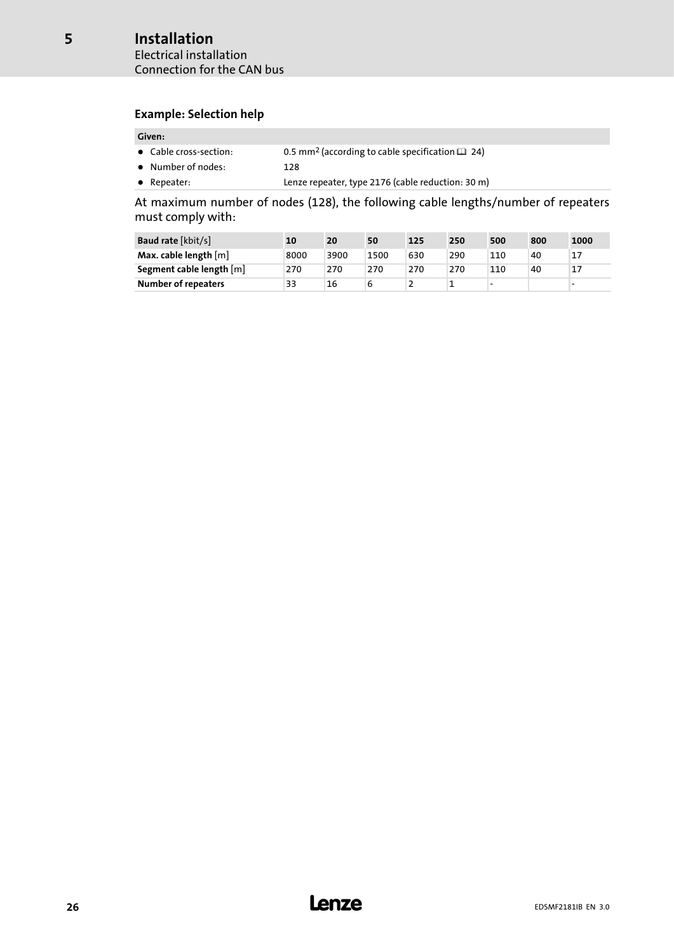#### Example: Selection help

#### Given:

- Cable cross-section: 0.5 mm<sup>2</sup> (according to cable specification **□** [24\)](#page-23-0)
- Number of nodes: 128
- Repeater: Lenze repeater, type 2176 (cable reduction: 30 m)

At maximum number of nodes (128), the following cable lengths/number of repeaters must comply with:

| <b>Baud rate [kbit/s]</b>  | 10   | 20   | 50   | 125 | 250 | 500 | 800 | 1000 |
|----------------------------|------|------|------|-----|-----|-----|-----|------|
| Max. cable length $[m]$    | 8000 | 3900 | 1500 | 630 | 290 | 110 | 40  | 17   |
| Segment cable length [m]   | 270  | 270  | 270  | 270 | 270 | 110 | 40  | 17   |
| <b>Number of repeaters</b> | 33   | 16   |      |     |     | -   |     |      |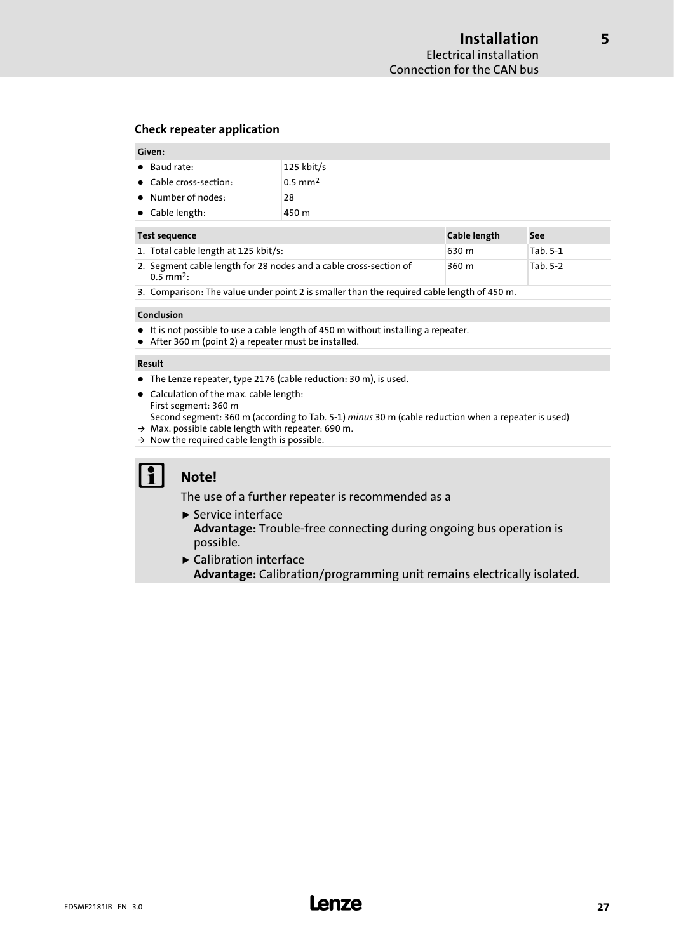#### <span id="page-26-0"></span>Check repeater application

#### Given:

| $\bullet$ Baud rate:       | $125$ kbit/s          |
|----------------------------|-----------------------|
| • Cable cross-section:     | $0.5$ mm <sup>2</sup> |
| $\bullet$ Number of nodes: | 28                    |
| $\bullet$ Cable length:    | 450 m                 |

| Test sequence                                                                                | Cable length | See      |
|----------------------------------------------------------------------------------------------|--------------|----------|
| 1. Total cable length at 125 kbit/s:                                                         | 630 m        | Tab. 5-1 |
| 2. Segment cable length for 28 nodes and a cable cross-section of<br>$0.5$ mm <sup>2</sup> : | 360 m        | Tab. 5-2 |

3. Comparison: The value under point 2 is smaller than the required cable length of 450 m.

#### Conclusion

- $\bullet~$  It is not possible to use a cable length of 450 m without installing a repeater.
- After 360 m (point 2) a repeater must be installed.

#### Result

- The Lenze repeater, type 2176 (cable reduction: 30 m), is used.
- Calculation of the max. cable length: First segment: 360 m
- Second segment: 360 m (according to [Tab. 5−1\)](#page-24-0) minus 30 m (cable reduction when a repeater is used)
- $\rightarrow$  Max. possible cable length with repeater: 690 m.
- $\rightarrow$  Now the required cable length is possible.

# il Note!

The use of a further repeater is recommended as a

- $\blacktriangleright$  Service interface Advantage: Trouble-free connecting during ongoing bus operation is possible.
- $\blacktriangleright$  Calibration interface Advantage: Calibration/programming unit remains electrically isolated.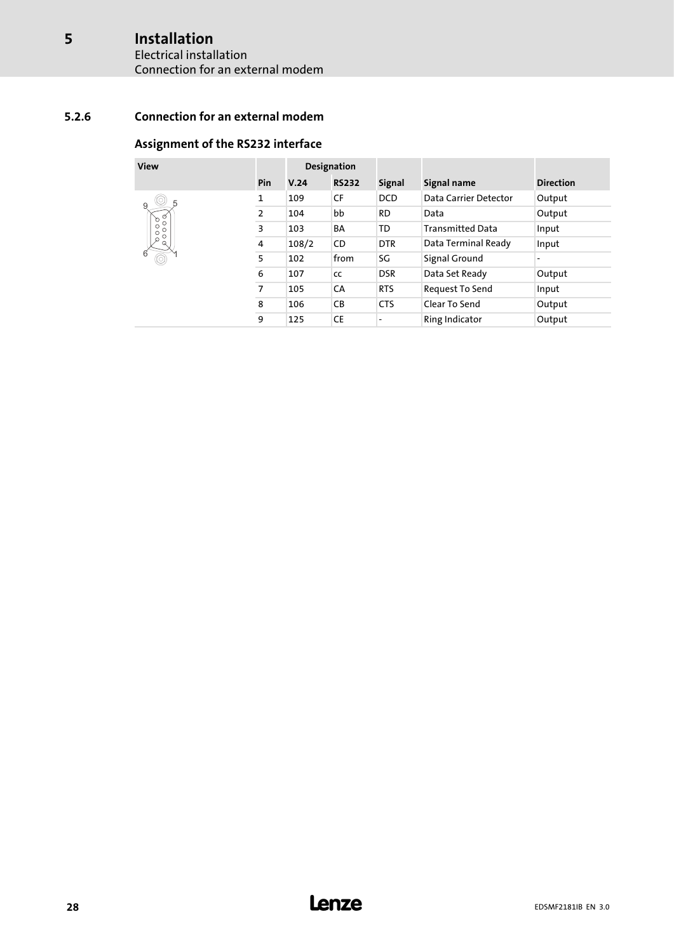# Installation

<span id="page-27-0"></span>[5](#page-17-0)

#### Electrical installation Connection for an external modem

### 5.2.6 Connection for an external modem

#### Assignment of the RS232 interface

| View                               |     | <b>Designation</b> |              |                          |                         |                  |
|------------------------------------|-----|--------------------|--------------|--------------------------|-------------------------|------------------|
|                                    | Pin | V.24               | <b>RS232</b> | <b>Signal</b>            | Signal name             | <b>Direction</b> |
| 9                                  | 1   | 109                | <b>CF</b>    | <b>DCD</b>               | Data Carrier Detector   | Output           |
| $\frac{\alpha}{\alpha}$<br>১       | 2   | 104                | bb           | <b>RD</b>                | Data                    | Output           |
| $\circ$<br>$\circ$<br>Ō<br>$\circ$ | 3   | 103                | <b>BA</b>    | TD                       | <b>Transmitted Data</b> | Input            |
| Ø<br>Q                             | 4   | 108/2              | <b>CD</b>    | <b>DTR</b>               | Data Terminal Ready     | Input            |
| 6                                  | 5   | 102                | from         | SG                       | Signal Ground           | ٠                |
|                                    | 6   | 107                | CC           | <b>DSR</b>               | Data Set Ready          | Output           |
|                                    | 7   | 105                | CA           | <b>RTS</b>               | Request To Send         | Input            |
|                                    | 8   | 106                | CB           | <b>CTS</b>               | Clear To Send           | Output           |
|                                    | 9   | 125                | <b>CE</b>    | $\overline{\phantom{a}}$ | <b>Ring Indicator</b>   | Output           |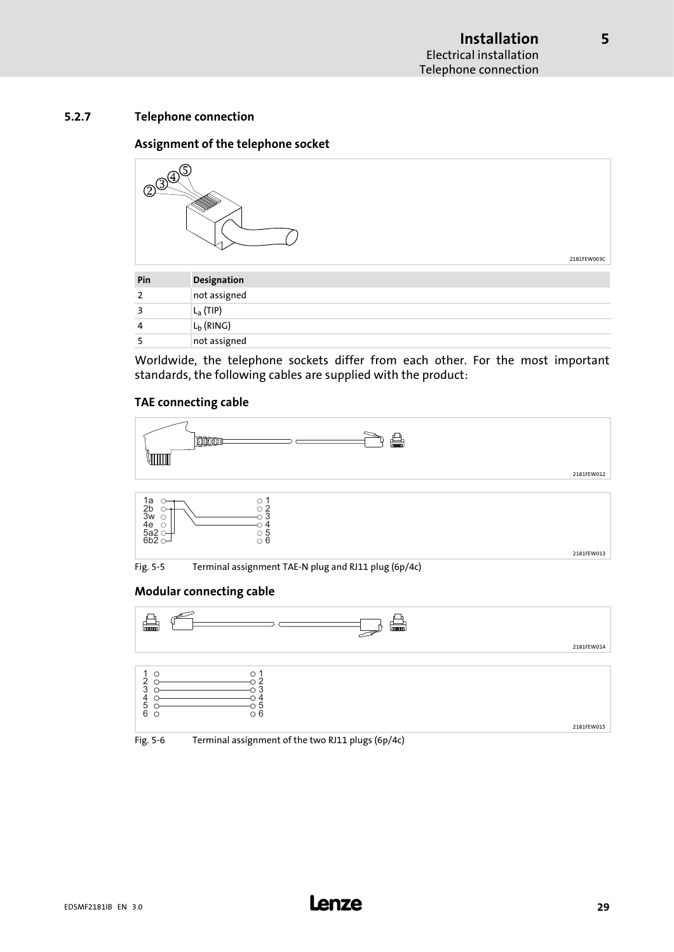#### <span id="page-28-0"></span>5.2.7 Telephone connection

#### Assignment of the telephone socket



| Pin | Designation  |
|-----|--------------|
| 2   | not assigned |
| ₹   | $L_a$ (TIP)  |
| 4   | $L_b$ (RING) |
|     | not assigned |

Worldwide, the telephone sockets differ from each other. For the most important standards, the following cables are supplied with the product:

#### TAE connecting cable







Fig. 5−5 Terminal assignment TAE−N plug and RJ11 plug (6p/4c)

#### Modular connecting cable





Fig. 5−6 Terminal assignment of the two RJ11 plugs (6p/4c)

2181FEW013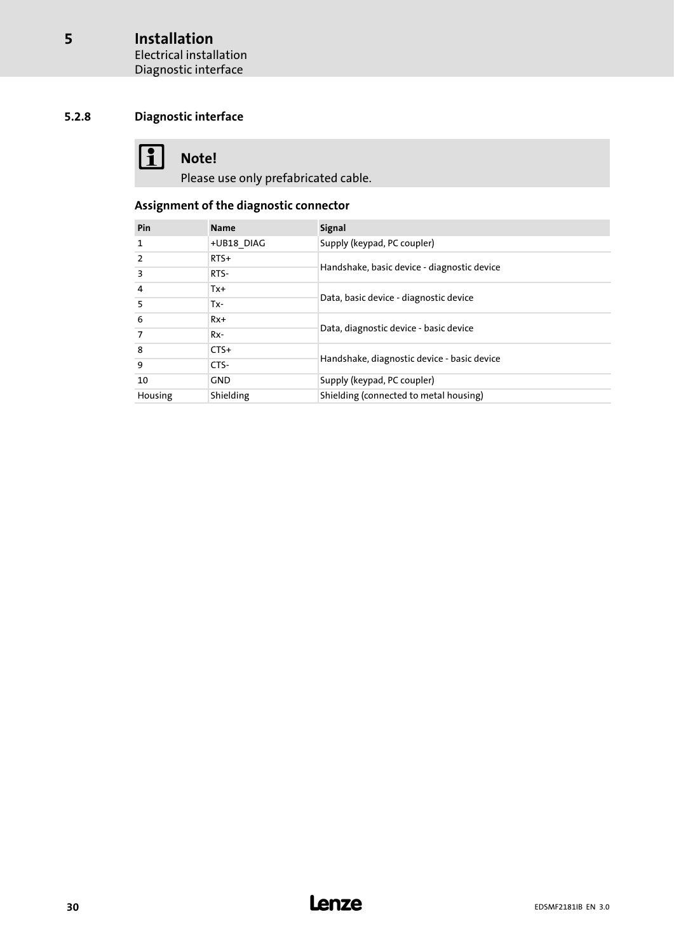### <span id="page-29-0"></span>5.2.8 Diagnostic interface

# **1** Note!

Please use only prefabricated cable.

### Assignment of the diagnostic connector

| Pin     | <b>Name</b> | <b>Signal</b>                               |
|---------|-------------|---------------------------------------------|
| 1       | +UB18 DIAG  | Supply (keypad, PC coupler)                 |
| 2       | $RTS+$      | Handshake, basic device - diagnostic device |
| 3       | RTS-        |                                             |
| 4       | $Tx +$      | Data, basic device - diagnostic device      |
| 5       | Tx-         |                                             |
| 6       | $Rx+$       | Data, diagnostic device - basic device      |
| 7       | $Rx-$       |                                             |
| -8      | $CTS+$      | Handshake, diagnostic device - basic device |
| q       | CTS-        |                                             |
| 10      | <b>GND</b>  | Supply (keypad, PC coupler)                 |
| Housing | Shielding   | Shielding (connected to metal housing)      |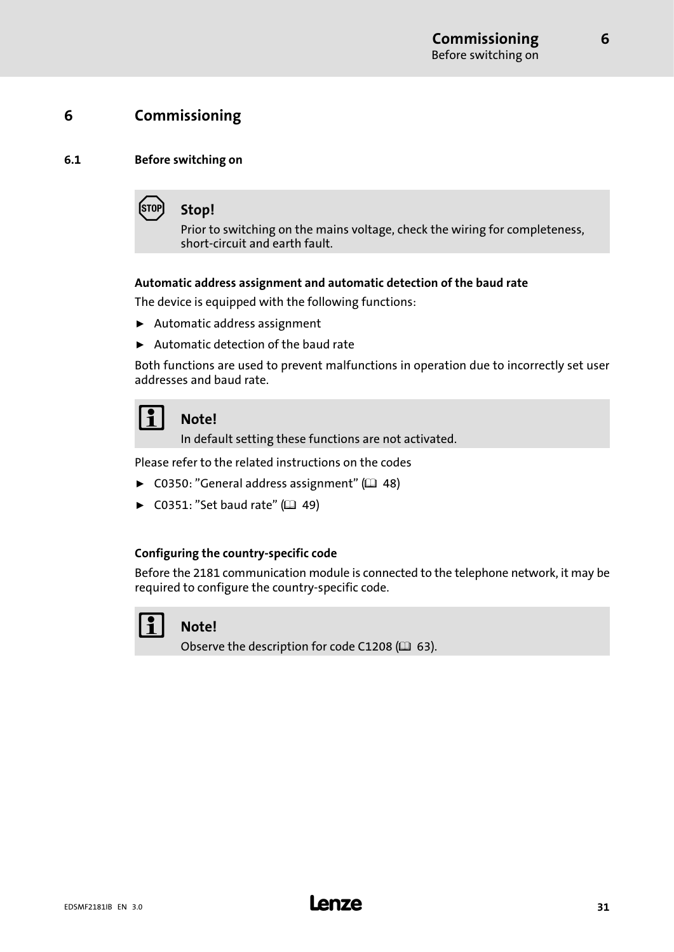# <span id="page-30-0"></span>6 Commissioning

#### 6.1 Before switching on



Prior to switching on the mains voltage, check the wiring for completeness, short−circuit and earth fault.

#### Automatic address assignment and automatic detection of the baud rate

The device is equipped with the following functions:

- $\blacktriangleright$  Automatic address assignment
- $\blacktriangleright$  Automatic detection of the baud rate

Both functions are used to prevent malfunctions in operation due to incorrectly set user addresses and baud rate.

Note!

In default setting these functions are not activated.

Please refer to the related instructions on the codes

- ► C0350: "General address assignment" ( $\Box$  [48\)](#page-47-0)
- ► C0351: "Set baud rate" ( $\Box$  [49](#page-48-0))

#### Configuring the country−specific code

Before the 2181 communication module is connected to the telephone network, it may be required to configure the country−specific code.

# Note!

Observe the description for code C1208 ( $\Box$  [63\)](#page-62-0).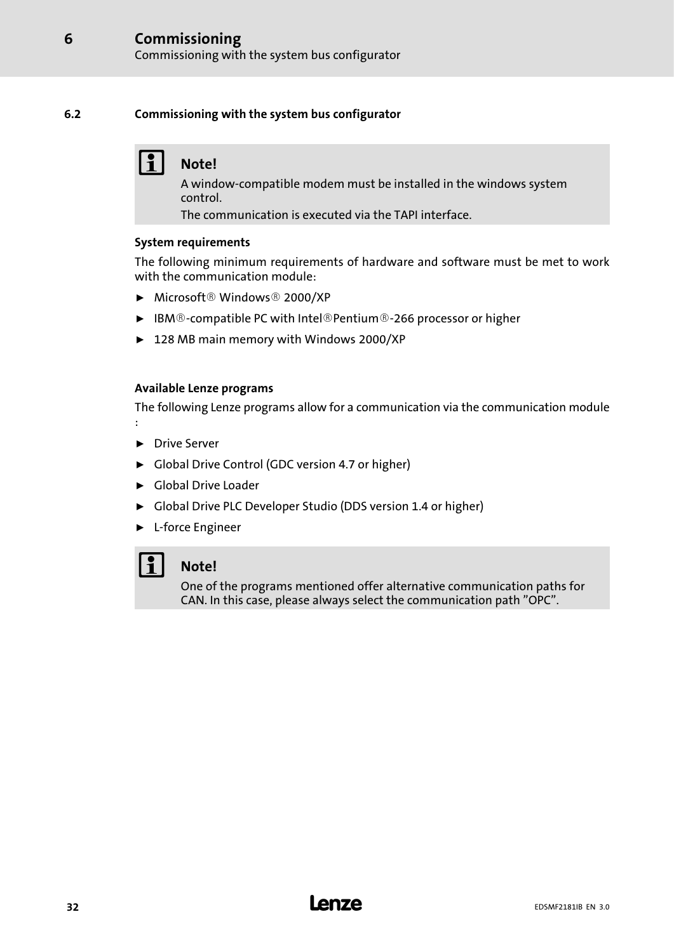#### <span id="page-31-0"></span>6.2 Commissioning with the system bus configurator

# Note!

A window−compatible modem must be installed in the windows system control.

The communication is executed via the TAPI interface.

#### System requirements

The following minimum requirements of hardware and software must be met to work with the communication module:

- $\blacktriangleright$  Microsoft ® Windows ® 2000/XP
- ► IBM®-compatible PC with Intel®Pentium®-266 processor or higher
- ► 128 MB main memory with Windows 2000/XP

#### Available Lenze programs

The following Lenze programs allow for a communication via the communication module :

- ▶ Drive Server
- ► Global Drive Control (GDC version 4.7 or higher)
- $\blacktriangleright$  Global Drive Loader
- ► Global Drive PLC Developer Studio (DDS version 1.4 or higher)
- ► L-force Engineer

# Note!

One of the programs mentioned offer alternative communication paths for CAN. In this case, please always select the communication path "OPC".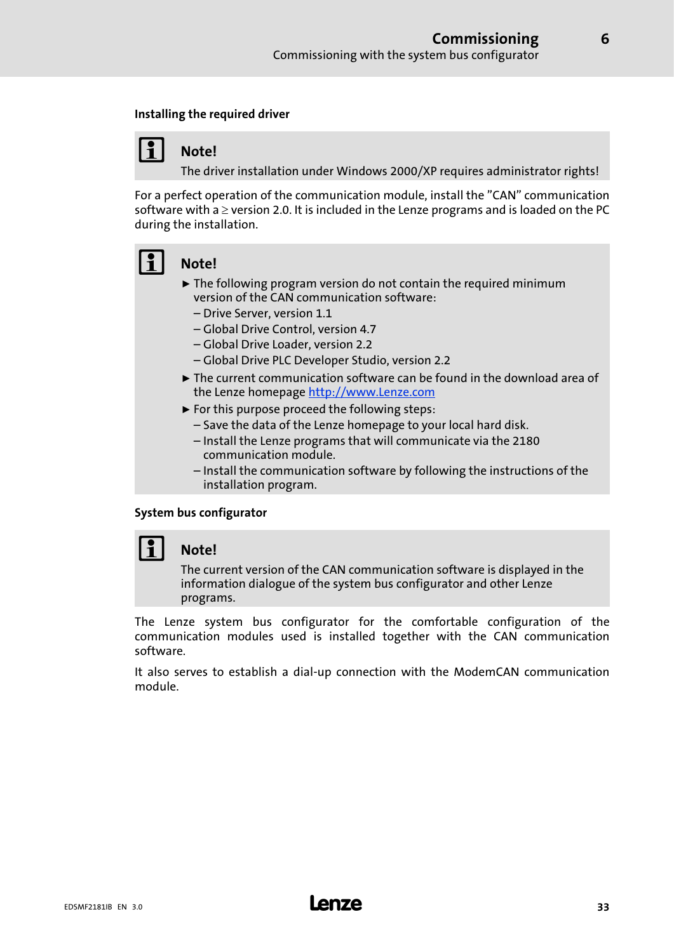#### Installing the required driver

### Note!

The driver installation under Windows 2000/XP requires administrator rights!

For a perfect operation of the communication module, install the "CAN" communication software with a  $\geq$  version 2.0. It is included in the Lenze programs and is loaded on the PC during the installation.



# Note!

- $\triangleright$  The following program version do not contain the required minimum version of the CAN communication software:
	- Drive Server, version 1.1
	- Global Drive Control, version 4.7
	- Global Drive Loader, version 2.2
	- Global Drive PLC Developer Studio, version 2.2
- $\triangleright$  The current communication software can be found in the download area of the Lenze homepage http://www.Lenze.com
- $\blacktriangleright$  For this purpose proceed the following steps:
	- Save the data of the Lenze homepage to your local hard disk.
	- Install the Lenze programs that will communicate via the 2180 communication module.
	- Install the communication software by following the instructions of the installation program.

#### System bus configurator

## Note!

The current version of the CAN communication software is displayed in the information dialogue of the system bus configurator and other Lenze programs.

The Lenze system bus configurator for the comfortable configuration of the communication modules used is installed together with the CAN communication software.

It also serves to establish a dial−up connection with the ModemCAN communication module.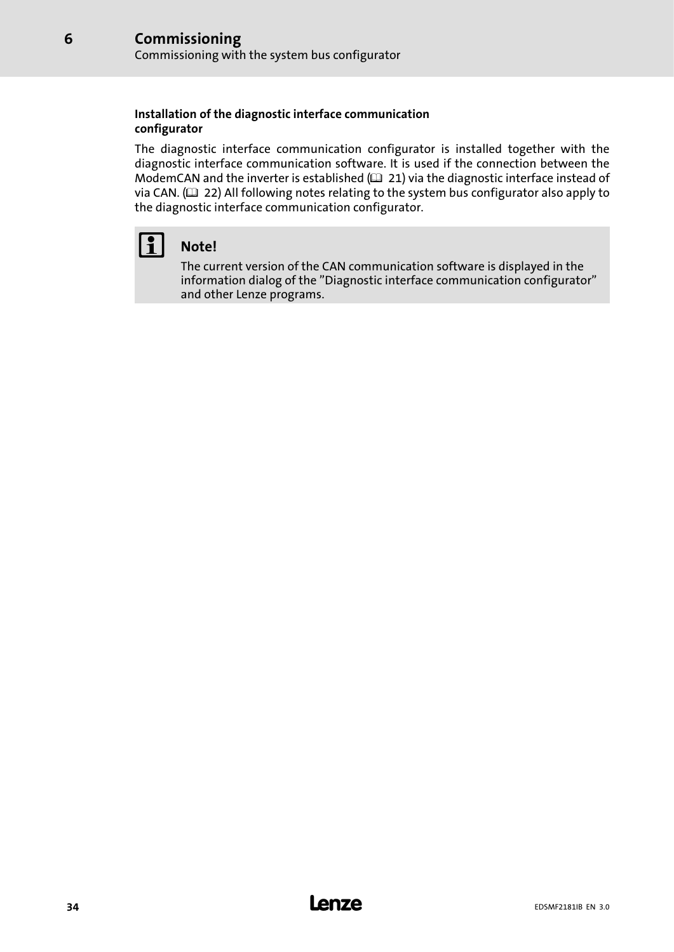#### Installation of the diagnostic interface communication configurator

The diagnostic interface communication configurator is installed together with the diagnostic interface communication software. It is used if the connection between the ModemCAN and the inverter is established  $(1/21)$  via the diagnostic interface instead of via CAN.  $( 22)$  $( 22)$  All following notes relating to the system bus configurator also apply to the diagnostic interface communication configurator.



[6](#page-30-0)

# $| \cdot |$  Note!

The current version of the CAN communication software is displayed in the information dialog of the "Diagnostic interface communication configurator" and other Lenze programs.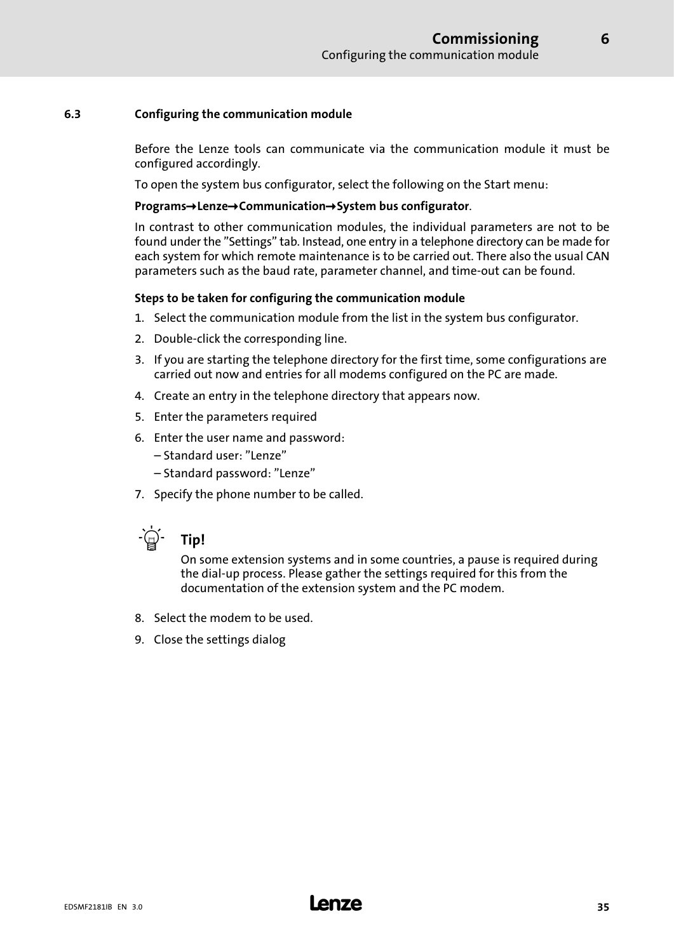#### <span id="page-34-0"></span>6.3 Configuring the communication module

Before the Lenze tools can communicate via the communication module it must be configured accordingly.

To open the system bus configurator, select the following on the Start menu:

#### $Programs \rightarrow Lenze \rightarrow Communication \rightarrow System$  bus configurator.

In contrast to other communication modules, the individual parameters are not to be found under the "Settings" tab. Instead, one entry in a telephone directory can be made for each system for which remote maintenance is to be carried out. There also the usual CAN parameters such as the baud rate, parameter channel, and time−out can be found.

#### Steps to be taken for configuring the communication module

- 1. Select the communication module from the list in the system bus configurator.
- 2. Double−click the corresponding line.
- 3. If you are starting the telephone directory for the first time, some configurations are carried out now and entries for all modems configured on the PC are made.
- 4. Create an entry in the telephone directory that appears now.
- 5. Enter the parameters required
- 6. Enter the user name and password:
	- Standard user: "Lenze"
	- Standard password: "Lenze"
- 7. Specify the phone number to be called.



On some extension systems and in some countries, a pause is required during the dial−up process. Please gather the settings required for this from the documentation of the extension system and the PC modem.

- 8. Select the modem to be used.
- 9. Close the settings dialog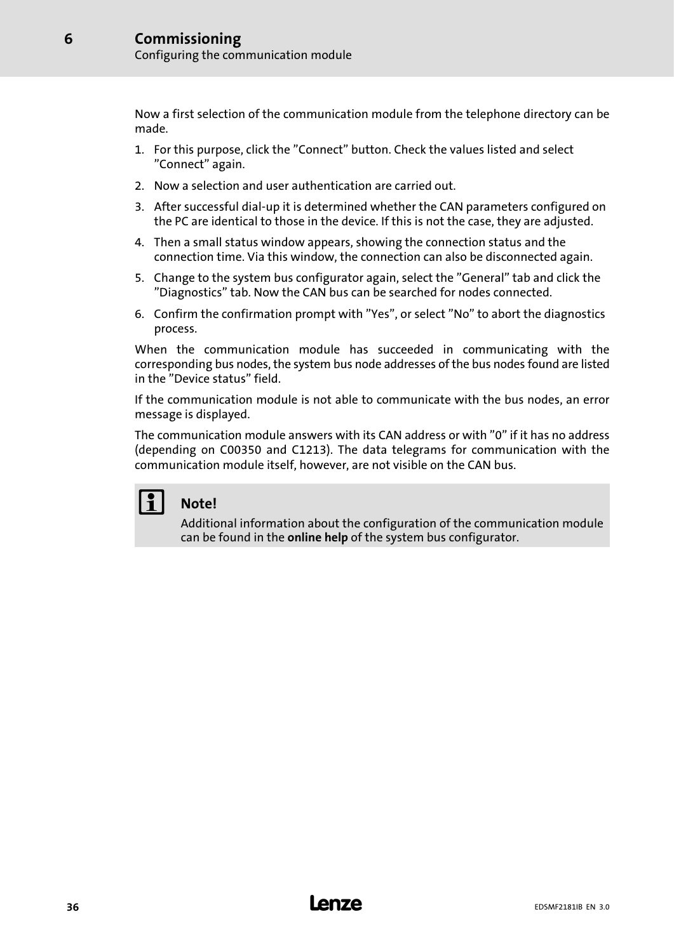Now a first selection of the communication module from the telephone directory can be made.

- 1. For this purpose, click the "Connect" button. Check the values listed and select "Connect" again.
- 2. Now a selection and user authentication are carried out.
- 3. After successful dial−up it is determined whether the CAN parameters configured on the PC are identical to those in the device. If this is not the case, they are adjusted.
- 4. Then a small status window appears, showing the connection status and the connection time. Via this window, the connection can also be disconnected again.
- 5. Change to the system bus configurator again, select the "General" tab and click the "Diagnostics" tab. Now the CAN bus can be searched for nodes connected.
- 6. Confirm the confirmation prompt with "Yes", or select "No" to abort the diagnostics process.

When the communication module has succeeded in communicating with the corresponding bus nodes, the system bus node addresses of the bus nodes found are listed in the "Device status" field.

If the communication module is not able to communicate with the bus nodes, an error message is displayed.

The communication module answers with its CAN address or with "0" if it has no address (depending on C00350 and C1213). The data telegrams for communication with the communication module itself, however, are not visible on the CAN bus.

# Note!

Additional information about the configuration of the communication module can be found in the online help of the system bus configurator.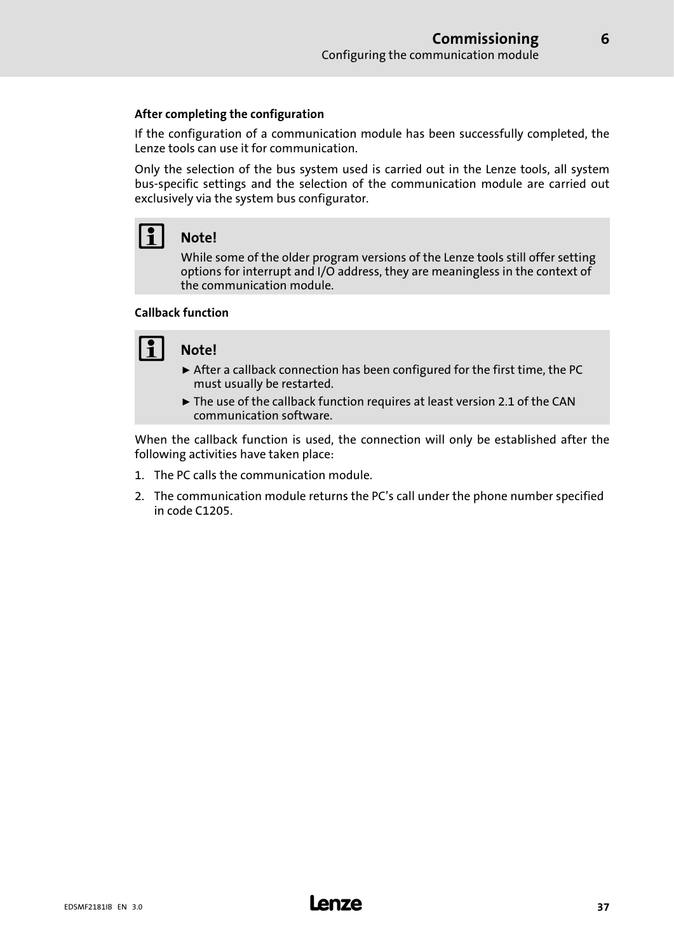#### After completing the configuration

If the configuration of a communication module has been successfully completed, the Lenze tools can use it for communication.

Only the selection of the bus system used is carried out in the Lenze tools, all system bus−specific settings and the selection of the communication module are carried out exclusively via the system bus configurator.

# Note!

While some of the older program versions of the Lenze tools still offer setting options for interrupt and I/O address, they are meaningless in the context of the communication module.

#### Callback function

## $\vert \cdot \vert$  Note!

- $\triangleright$  After a callback connection has been configured for the first time, the PC must usually be restarted.
- $\triangleright$  The use of the callback function requires at least version 2.1 of the CAN communication software.

When the callback function is used, the connection will only be established after the following activities have taken place:

- 1. The PC calls the communication module.
- 2. The communication module returns the PC's call under the phone number specified in code C1205.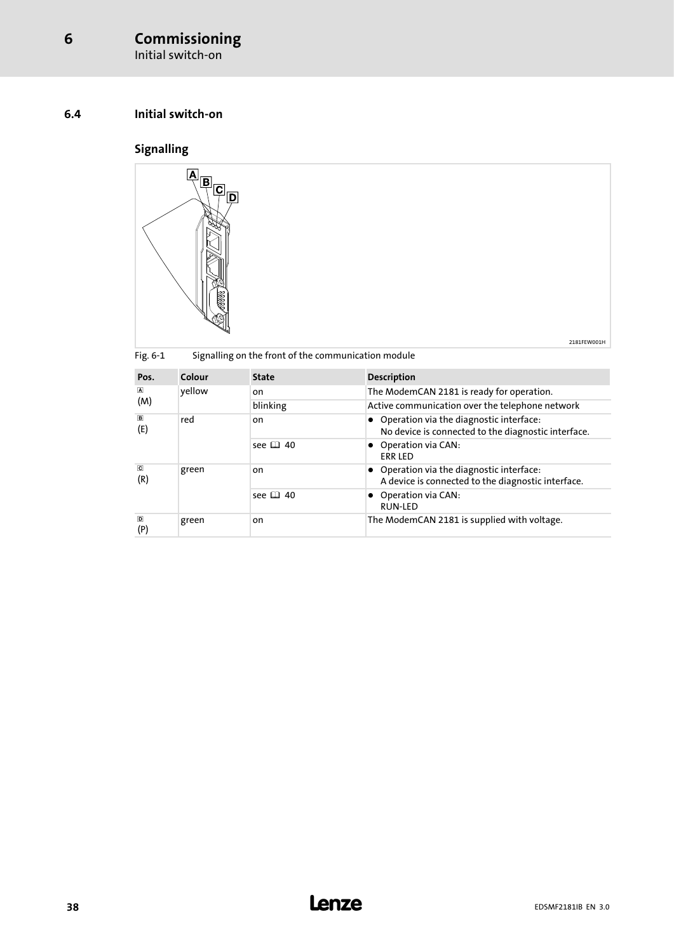Initial switch−on

### 6.4 Initial switch−on

## Signalling



|                                |        |                                                     | 2181FFW001H                                                                                      |
|--------------------------------|--------|-----------------------------------------------------|--------------------------------------------------------------------------------------------------|
| Fig. 6-1                       |        | Signalling on the front of the communication module |                                                                                                  |
| Pos.                           | Colour | <b>State</b>                                        | <b>Description</b>                                                                               |
| $\blacksquare$<br>(M)          | yellow | on                                                  | The ModemCAN 2181 is ready for operation.                                                        |
|                                |        | blinking                                            | Active communication over the telephone network                                                  |
| $\boxed{B}$<br>(E)             | red    | on                                                  | • Operation via the diagnostic interface:<br>No device is connected to the diagnostic interface. |
|                                |        | see $\Box$ 40                                       | • Operation via CAN:<br><b>ERR LED</b>                                                           |
| $\overline{\mathbf{C}}$<br>(R) | green  | on                                                  | • Operation via the diagnostic interface:<br>A device is connected to the diagnostic interface.  |
|                                |        | see $\Box$ 40                                       | • Operation via CAN:<br><b>RUN-LED</b>                                                           |
| $\overline{D}$<br>(P)          | green  | on                                                  | The ModemCAN 2181 is supplied with voltage.                                                      |

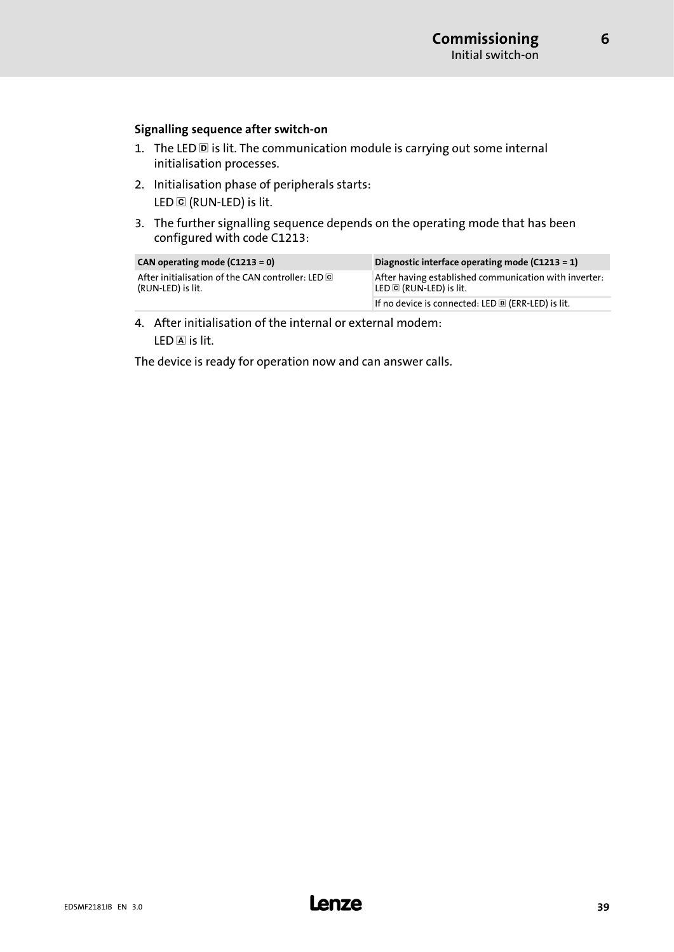[6](#page-30-0)

#### Signalling sequence after switch−on

- 1. The LED  $\overline{D}$  is lit. The communication module is carrying out some internal initialisation processes.
- 2. Initialisation phase of peripherals starts: LED © (RUN-LED) is lit.
- 3. The further signalling sequence depends on the operating mode that has been configured with code C1213:

| CAN operating mode $(C1213 = 0)$                                       | Diagnostic interface operating mode $(C1213 = 1)$                                |
|------------------------------------------------------------------------|----------------------------------------------------------------------------------|
| After initialisation of the CAN controller: LED C<br>(RUN-LED) is lit. | After having established communication with inverter:<br>LED C (RUN-LED) is lit. |
|                                                                        | If no device is connected: LED $\mathbb B$ (ERR-LED) is lit.                     |

4. After initialisation of the internal or external modem:  $LED \overline{A}$  is lit.

The device is ready for operation now and can answer calls.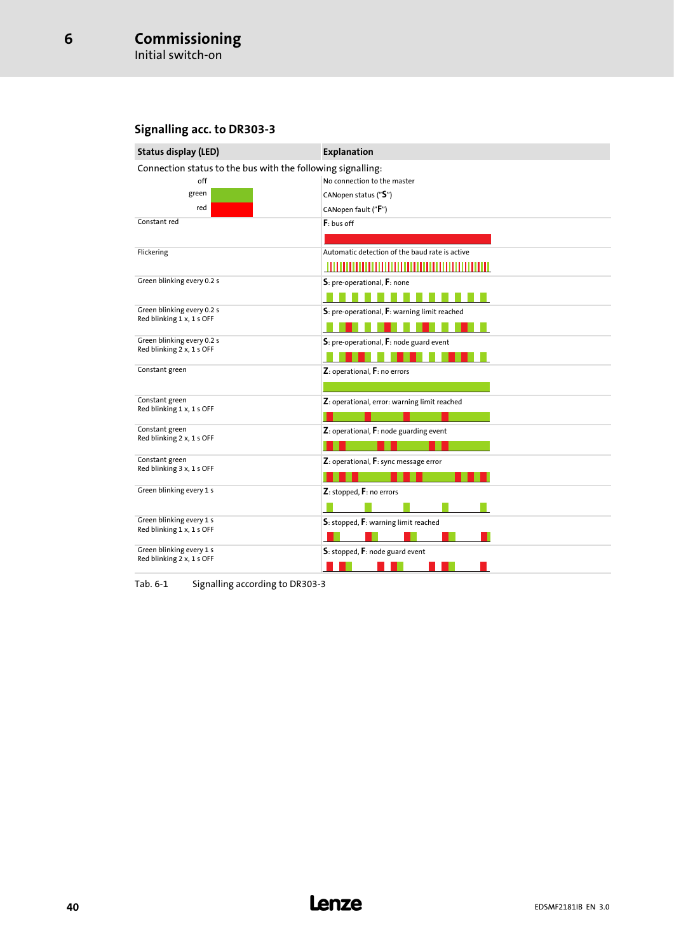### <span id="page-39-0"></span>Signalling acc. to DR303−3

| <b>Status display (LED)</b>                             | Explanation                                                 |  |  |  |  |  |  |  |
|---------------------------------------------------------|-------------------------------------------------------------|--|--|--|--|--|--|--|
|                                                         | Connection status to the bus with the following signalling: |  |  |  |  |  |  |  |
| off                                                     | No connection to the master                                 |  |  |  |  |  |  |  |
| green                                                   | CANopen status ("S")                                        |  |  |  |  |  |  |  |
| red                                                     | CANopen fault ("F")                                         |  |  |  |  |  |  |  |
| Constant red                                            | $F:$ bus off                                                |  |  |  |  |  |  |  |
|                                                         |                                                             |  |  |  |  |  |  |  |
| Flickering                                              | Automatic detection of the baud rate is active              |  |  |  |  |  |  |  |
|                                                         |                                                             |  |  |  |  |  |  |  |
| Green blinking every 0.2 s                              | S: pre-operational, F: none                                 |  |  |  |  |  |  |  |
|                                                         |                                                             |  |  |  |  |  |  |  |
| Green blinking every 0.2 s<br>Red blinking 1 x, 1 s OFF | S: pre-operational, F: warning limit reached                |  |  |  |  |  |  |  |
|                                                         |                                                             |  |  |  |  |  |  |  |
| Green blinking every 0.2 s                              | $S$ : pre-operational, $F$ : node guard event               |  |  |  |  |  |  |  |
| Red blinking 2 x, 1 s OFF                               |                                                             |  |  |  |  |  |  |  |
| Constant green                                          | Z: operational, F: no errors                                |  |  |  |  |  |  |  |
|                                                         |                                                             |  |  |  |  |  |  |  |
| Constant green                                          | Z: operational, error: warning limit reached                |  |  |  |  |  |  |  |
| Red blinking 1 x, 1 s OFF                               |                                                             |  |  |  |  |  |  |  |
| Constant green                                          | $Z$ : operational, $F$ : node guarding event                |  |  |  |  |  |  |  |
| Red blinking 2 x, 1 s OFF                               |                                                             |  |  |  |  |  |  |  |
| Constant green                                          | Z: operational, F: sync message error                       |  |  |  |  |  |  |  |
| Red blinking 3 x, 1 s OFF                               |                                                             |  |  |  |  |  |  |  |
| Green blinking every 1 s                                | Z: stopped, F: no errors                                    |  |  |  |  |  |  |  |
|                                                         |                                                             |  |  |  |  |  |  |  |
| Green blinking every 1 s                                | S: stopped, F: warning limit reached                        |  |  |  |  |  |  |  |
| Red blinking 1 x, 1 s OFF                               |                                                             |  |  |  |  |  |  |  |
| Green blinking every 1 s                                | $S$ : stopped, $F$ : node guard event                       |  |  |  |  |  |  |  |
| Red blinking 2 x, 1 s OFF                               |                                                             |  |  |  |  |  |  |  |
|                                                         |                                                             |  |  |  |  |  |  |  |

Tab. 6−1 Signalling according to DR303−3

## <sup>40</sup> **Lenze**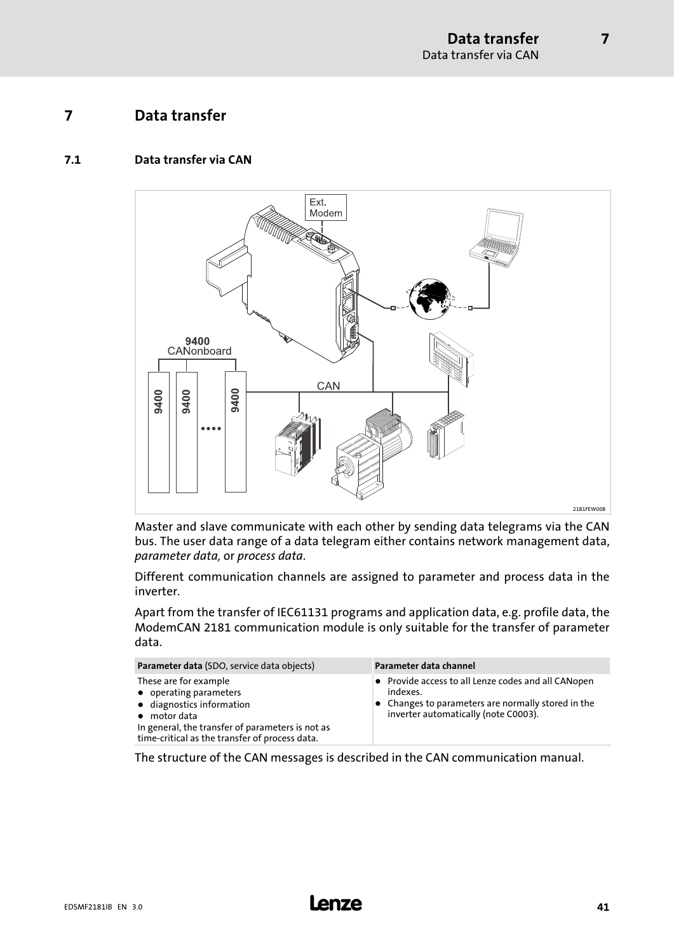7

### <span id="page-40-0"></span>7 Data transfer

#### 7.1 Data transfer via CAN



Master and slave communicate with each other by sending data telegrams via the CAN bus. The user data range of a data telegram either contains network management data, parameter data, or process data.

Different communication channels are assigned to parameter and process data in the inverter.

Apart from the transfer of IEC61131 programs and application data, e.g. profile data, the ModemCAN 2181 communication module is only suitable for the transfer of parameter data.

| Parameter data (SDO, service data objects)                                                                                                                                                                 | Parameter data channel                                                                                                                                                |
|------------------------------------------------------------------------------------------------------------------------------------------------------------------------------------------------------------|-----------------------------------------------------------------------------------------------------------------------------------------------------------------------|
| These are for example<br>• operating parameters<br>• diagnostics information<br>$\bullet$ motor data<br>In general, the transfer of parameters is not as<br>time-critical as the transfer of process data. | • Provide access to all Lenze codes and all CANopen<br>indexes.<br>$\bullet$ Changes to parameters are normally stored in the<br>inverter automatically (note C0003). |

The structure of the CAN messages is described in the CAN communication manual.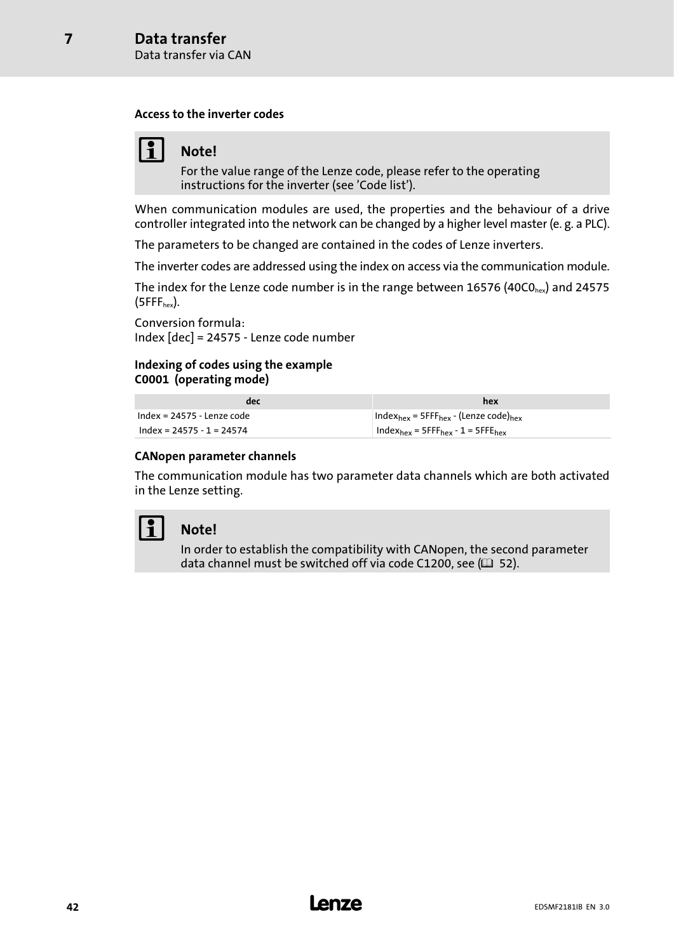[7](#page-40-0)

#### Access to the inverter codes

## Note!

For the value range of the Lenze code, please refer to the operating instructions for the inverter (see 'Code list').

When communication modules are used, the properties and the behaviour of a drive controller integrated into the network can be changed by a higher level master (e. g. a PLC).

The parameters to be changed are contained in the codes of Lenze inverters.

The inverter codes are addressed using the index on access via the communication module.

The index for the Lenze code number is in the range between 16576 (40CO<sub>hex</sub>) and 24575  $(SFFF<sub>hex</sub>)$ .

Conversion formula: Index [dec] = 24575 − Lenze code number

#### Indexing of codes using the example C0001 (operating mode)

| dec                          | hex                                                                      |
|------------------------------|--------------------------------------------------------------------------|
| $Index = 24575 - lenze code$ | Index <sub>hex</sub> = 5FFF <sub>hex</sub> - (Lenze code) <sub>hex</sub> |
| $Index = 24575 - 1 = 24574$  | $Index_{hex}$ = 5FFF <sub>hex</sub> - 1 = 5FFE <sub>hex</sub>            |

#### CANopen parameter channels

The communication module has two parameter data channels which are both activated in the Lenze setting.



### Note!

In order to establish the compatibility with CANopen, the second parameter data channel must be switched off via code C1200, see ( $\Box$  [52](#page-51-0)).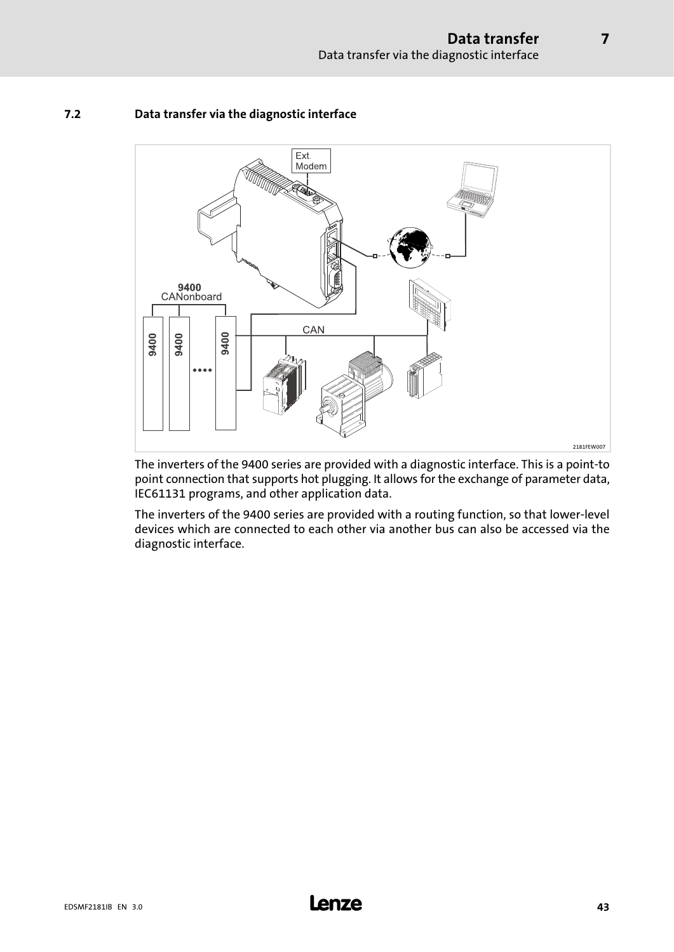

#### 7.2 Data transfer via the diagnostic interface

The inverters of the 9400 series are provided with a diagnostic interface. This is a point−to point connection that supports hot plugging. It allows for the exchange of parameter data, IEC61131 programs, and other application data.

The inverters of the 9400 series are provided with a routing function, so that lower−level devices which are connected to each other via another bus can also be accessed via the diagnostic interface.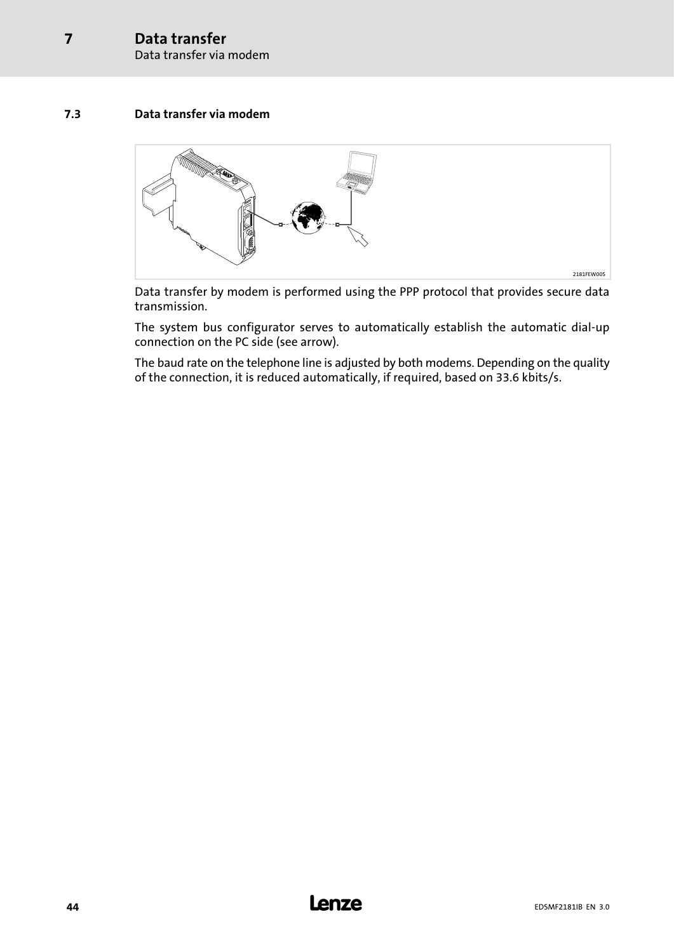Data transfer via modem

#### 7.3 Data transfer via modem



Data transfer by modem is performed using the PPP protocol that provides secure data transmission.

The system bus configurator serves to automatically establish the automatic dial−up connection on the PC side (see arrow).

The baud rate on the telephone line is adjusted by both modems. Depending on the quality of the connection, it is reduced automatically, if required, based on 33.6 kbits/s.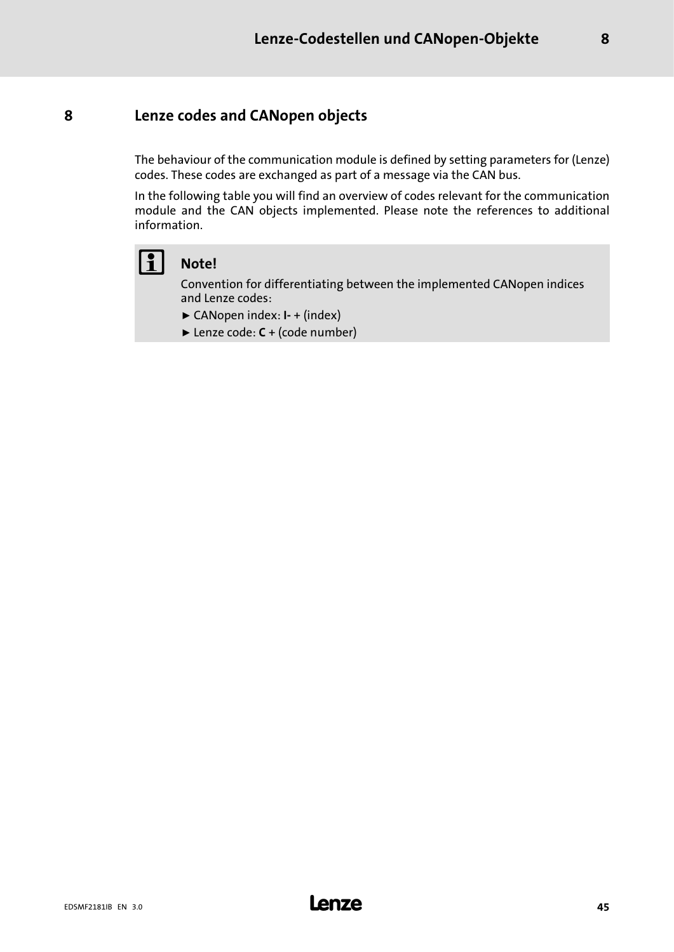### <span id="page-44-0"></span>8 Lenze codes and CANopen objects

The behaviour of the communication module is defined by setting parameters for (Lenze) codes. These codes are exchanged as part of a message via the CAN bus.

In the following table you will find an overview of codes relevant for the communication module and the CAN objects implemented. Please note the references to additional information.



### Note!

Convention for differentiating between the implemented CANopen indices and Lenze codes:

- ƒ CANopen index: I− + (index)
- ► Lenze code: **C** + (code number)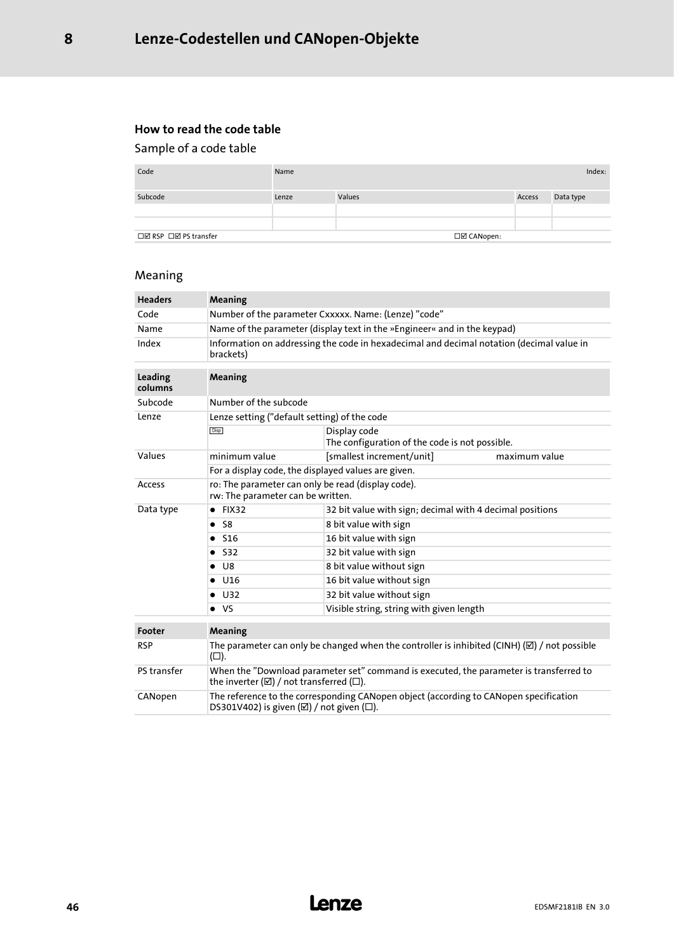#### How to read the code table

### Sample of a code table

| Code                  | Name  |        |             |        | Index:    |
|-----------------------|-------|--------|-------------|--------|-----------|
| Subcode               | Lenze | Values |             | Access | Data type |
| □Ø RSP □Ø PS transfer |       |        | □Ø CANopen: |        |           |

## Meaning

| <b>Headers</b>     | Meaning                                                                                                                                                 |                                                                                                        |               |  |  |  |  |  |
|--------------------|---------------------------------------------------------------------------------------------------------------------------------------------------------|--------------------------------------------------------------------------------------------------------|---------------|--|--|--|--|--|
| Code               | Number of the parameter Cxxxxx. Name: (Lenze) "code"                                                                                                    |                                                                                                        |               |  |  |  |  |  |
| Name               | Name of the parameter (display text in the »Engineer« and in the keypad)                                                                                |                                                                                                        |               |  |  |  |  |  |
| Index              | brackets)                                                                                                                                               | Information on addressing the code in hexadecimal and decimal notation (decimal value in               |               |  |  |  |  |  |
| Leading<br>columns | Meaning                                                                                                                                                 |                                                                                                        |               |  |  |  |  |  |
| Subcode            | Number of the subcode                                                                                                                                   |                                                                                                        |               |  |  |  |  |  |
| Lenze              | Lenze setting ("default setting) of the code                                                                                                            |                                                                                                        |               |  |  |  |  |  |
|                    | <b>Disp</b>                                                                                                                                             | Display code<br>The configuration of the code is not possible.                                         |               |  |  |  |  |  |
| Values             | minimum value                                                                                                                                           | [smallest increment/unit]                                                                              | maximum value |  |  |  |  |  |
|                    | For a display code, the displayed values are given.                                                                                                     |                                                                                                        |               |  |  |  |  |  |
| Access             | ro: The parameter can only be read (display code).<br>rw: The parameter can be written.                                                                 |                                                                                                        |               |  |  |  |  |  |
| Data type          | $\bullet$ FIX32                                                                                                                                         | 32 bit value with sign; decimal with 4 decimal positions                                               |               |  |  |  |  |  |
|                    | $\bullet$ S8                                                                                                                                            | 8 bit value with sign                                                                                  |               |  |  |  |  |  |
|                    | $\bullet$ S16                                                                                                                                           | 16 bit value with sign                                                                                 |               |  |  |  |  |  |
|                    | $\bullet$ S32                                                                                                                                           | 32 bit value with sign                                                                                 |               |  |  |  |  |  |
|                    | $\bullet$ U8                                                                                                                                            | 8 bit value without sign                                                                               |               |  |  |  |  |  |
|                    | $\bullet$ U16                                                                                                                                           | 16 bit value without sign                                                                              |               |  |  |  |  |  |
|                    | $\bullet$ U32                                                                                                                                           | 32 bit value without sign                                                                              |               |  |  |  |  |  |
|                    | $\bullet$ VS                                                                                                                                            | Visible string, string with given length                                                               |               |  |  |  |  |  |
| Footer             | Meaning                                                                                                                                                 |                                                                                                        |               |  |  |  |  |  |
| <b>RSP</b>         | $(\Box).$                                                                                                                                               | The parameter can only be changed when the controller is inhibited (CINH) $(\boxtimes)$ / not possible |               |  |  |  |  |  |
| PS transfer        | When the "Download parameter set" command is executed, the parameter is transferred to<br>the inverter ( $\boxtimes$ ) / not transferred ( $\square$ ). |                                                                                                        |               |  |  |  |  |  |
| CANopen            | The reference to the corresponding CANopen object (according to CANopen specification<br>DS301V402) is given $(\boxtimes)$ / not given $(\square)$ .    |                                                                                                        |               |  |  |  |  |  |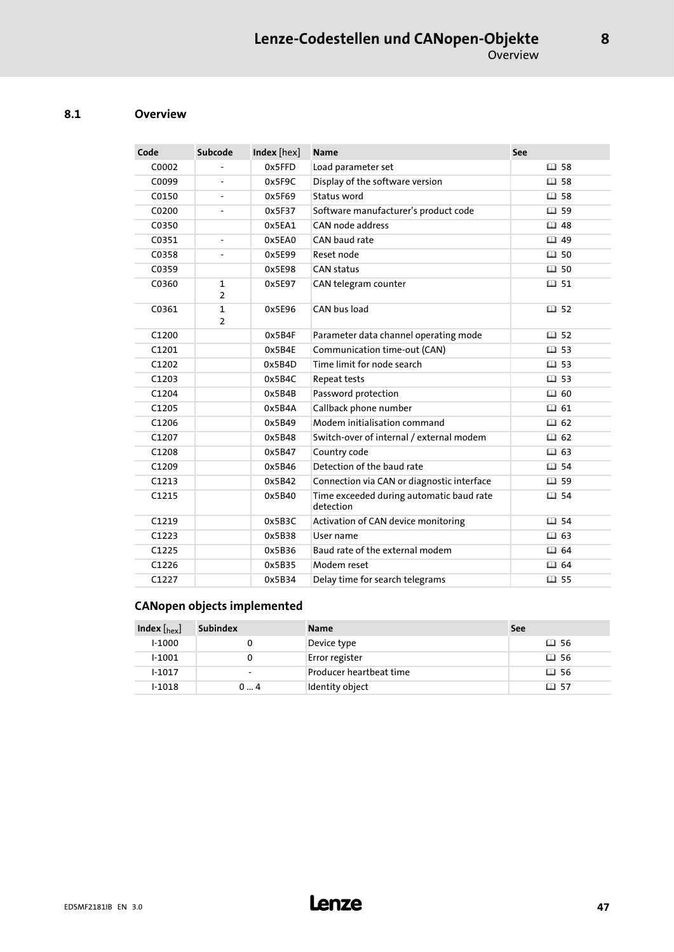#### 8.1 Overview

| Code  | Subcode                        | Index [hex] | <b>Name</b>                                           | See         |
|-------|--------------------------------|-------------|-------------------------------------------------------|-------------|
| C0002 |                                | 0x5FFD      | Load parameter set                                    | 国 58        |
| C0099 |                                | 0x5F9C      | Display of the software version                       | 国 58        |
| C0150 |                                | 0x5F69      | Status word                                           | 国 58        |
| C0200 |                                | 0x5F37      | Software manufacturer's product code                  | 国 59        |
| C0350 |                                | 0x5EA1      | CAN node address                                      | 国 48        |
| C0351 | $\blacksquare$                 | 0x5EA0      | CAN baud rate                                         | 国 49        |
| C0358 |                                | 0x5E99      | Reset node                                            | 国 50        |
| C0359 |                                | 0x5E98      | <b>CAN status</b>                                     | 国 50        |
| C0360 | $\mathbf{1}$<br>$\overline{2}$ | 0x5E97      | CAN telegram counter                                  | 国 51        |
| C0361 | $\mathbf{1}$<br>$\overline{2}$ | 0x5E96      | CAN bus load                                          | 国 52        |
| C1200 |                                | 0x5B4F      | Parameter data channel operating mode                 | 国 52        |
| C1201 |                                | 0x5B4E      | Communication time-out (CAN)                          | 国 53        |
| C1202 |                                | 0x5B4D      | Time limit for node search                            | 国 53        |
| C1203 |                                | 0x5B4C      | Repeat tests                                          | 国 53        |
| C1204 |                                | 0x5B4B      | Password protection                                   | 国 60        |
| C1205 |                                | 0x5B4A      | Callback phone number                                 | 国 61        |
| C1206 |                                | 0x5B49      | Modem initialisation command                          | 国 62        |
| C1207 |                                | 0x5B48      | Switch-over of internal / external modem              | 国 62        |
| C1208 |                                | 0x5B47      | Country code                                          | 国 63        |
| C1209 |                                | 0x5B46      | Detection of the baud rate                            | <b>四 54</b> |
| C1213 |                                | 0x5B42      | Connection via CAN or diagnostic interface            | <b>四59</b>  |
| C1215 |                                | 0x5B40      | Time exceeded during automatic baud rate<br>detection | 国 54        |
| C1219 |                                | 0x5B3C      | Activation of CAN device monitoring                   | <b>四 54</b> |
| C1223 |                                | 0x5B38      | User name                                             | 国 63        |
| C1225 |                                | 0x5B36      | Baud rate of the external modem                       | 国 64        |
| C1226 |                                | 0x5B35      | Modem reset                                           | Ⅲ 64        |
| C1227 |                                | 0x5B34      | Delay time for search telegrams                       | 国 55        |

### CANopen objects implemented

| Index $\left[_{\text{hex}}\right]$ | <b>Subindex</b>          | <b>Name</b>             | See  |
|------------------------------------|--------------------------|-------------------------|------|
| $1-1000$                           |                          | Device type             | 山 56 |
| $1 - 1001$                         |                          | Error register          | 国 56 |
| $1 - 1017$                         | $\overline{\phantom{0}}$ | Producer heartbeat time | 国 56 |
| $1-1018$                           | 04                       | Identity object         | 国 57 |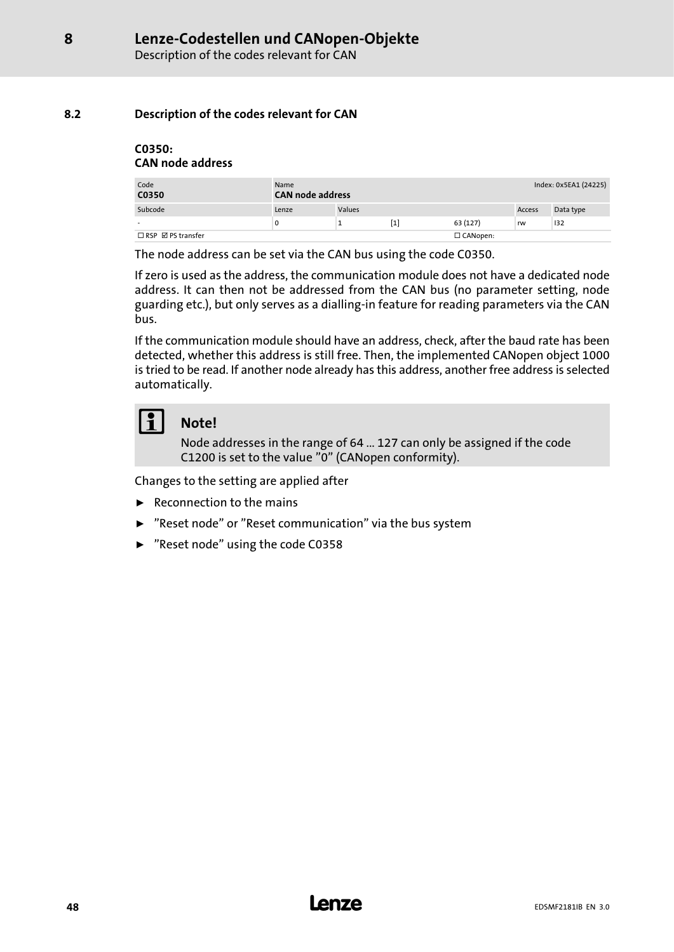### <span id="page-47-0"></span>8.2 Description of the codes relevant for CAN

#### C0350: CAN node address

| Code<br>C0350                      | Name  | <b>CAN node address</b> |     |                 |        | Index: 0x5EA1 (24225) |  |
|------------------------------------|-------|-------------------------|-----|-----------------|--------|-----------------------|--|
| Subcode                            | Lenze | Values                  |     |                 | Access | Data type             |  |
|                                    | 0     |                         | [1] | 63 (127)        | rw     | 132                   |  |
| $\Box$ RSP $\boxtimes$ PS transfer |       |                         |     | $\Box$ CANopen: |        |                       |  |

The node address can be set via the CAN bus using the code C0350.

If zero is used as the address, the communication module does not have a dedicated node address. It can then not be addressed from the CAN bus (no parameter setting, node guarding etc.), but only serves as a dialling−in feature for reading parameters via the CAN bus.

If the communication module should have an address, check, after the baud rate has been detected, whether this address is still free. Then, the implemented CANopen object 1000 is tried to be read. If another node already has this address, another free address is selected automatically.

## Note!

Node addresses in the range of 64 ... 127 can only be assigned if the code C1200 is set to the value "0" (CANopen conformity).

Changes to the setting are applied after

- $\blacktriangleright$  Reconnection to the mains
- ▶ "Reset node" or "Reset communication" via the bus system
- ▶ "Reset node" using the code C0358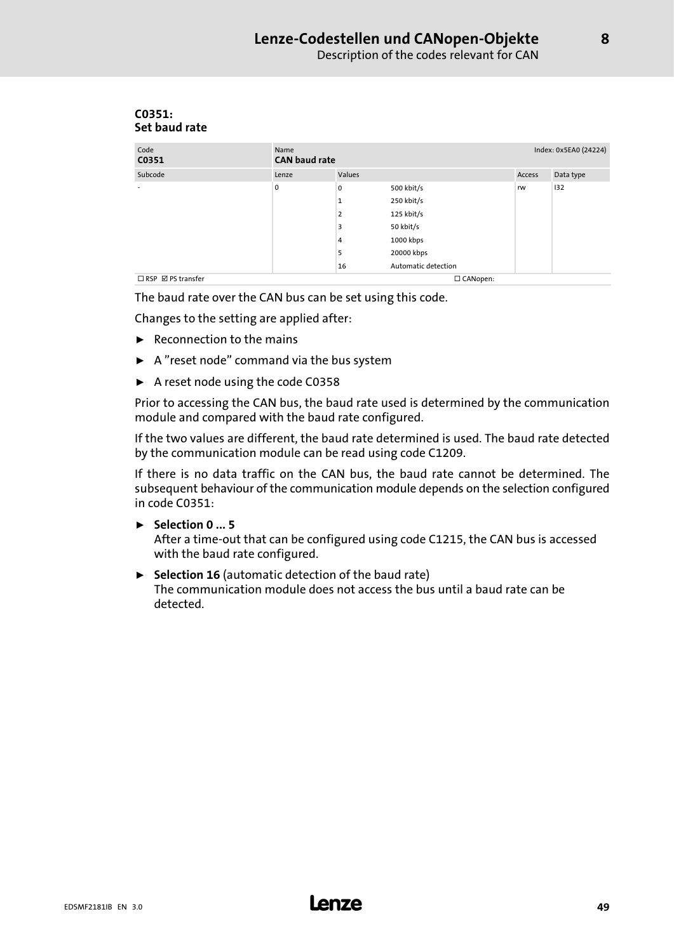| Set baud rate                 |                              |                |                     |        |                       |
|-------------------------------|------------------------------|----------------|---------------------|--------|-----------------------|
| Code<br>C0351                 | Name<br><b>CAN</b> baud rate |                |                     |        | Index: 0x5EA0 (24224) |
| Subcode                       | Lenze                        | Values         |                     | Access | Data type             |
| $\overline{\phantom{a}}$      | 0                            | 0              | 500 kbit/s          | rw     | 132                   |
|                               |                              | $\mathbf{1}$   | 250 kbit/s          |        |                       |
|                               |                              | $\overline{2}$ | 125 kbit/s          |        |                       |
|                               |                              | 3              | 50 kbit/s           |        |                       |
|                               |                              | 4              | 1000 kbps           |        |                       |
|                               |                              | 5              | 20000 kbps          |        |                       |
|                               |                              | 16             | Automatic detection |        |                       |
| $\Box$ RSP $\Box$ PS transfer |                              |                | □ CANopen:          |        |                       |

# <span id="page-48-0"></span>C0351:

The baud rate over the CAN bus can be set using this code.

Changes to the setting are applied after:

- $\blacktriangleright$  Reconnection to the mains
- $\blacktriangleright$  A "reset node" command via the bus system
- $\blacktriangleright$  A reset node using the code C0358

Prior to accessing the CAN bus, the baud rate used is determined by the communication module and compared with the baud rate configured.

If the two values are different, the baud rate determined is used. The baud rate detected by the communication module can be read using code C1209.

If there is no data traffic on the CAN bus, the baud rate cannot be determined. The subsequent behaviour of the communication module depends on the selection configured in code C0351:

- $\blacktriangleright$  Selection 0 ... 5 After a time−out that can be configured using code C1215, the CAN bus is accessed with the baud rate configured.
- $\triangleright$  Selection 16 (automatic detection of the baud rate) The communication module does not access the bus until a baud rate can be detected.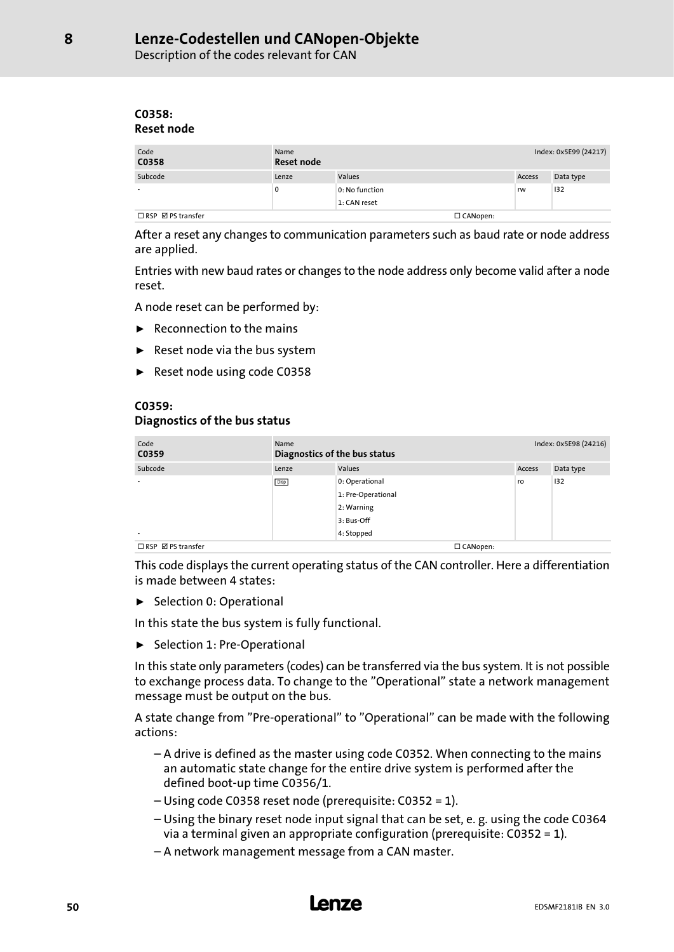<span id="page-49-0"></span>Description of the codes relevant for CAN

#### C0358: Reset node

| Code<br>C0358                      | Name<br>Reset node |                |                 | Index: 0x5E99 (24217) |           |
|------------------------------------|--------------------|----------------|-----------------|-----------------------|-----------|
| Subcode                            | Lenze              | Values         |                 | Access                | Data type |
|                                    | 0                  | 0: No function |                 | rw                    | 132       |
|                                    |                    | 1: CAN reset   |                 |                       |           |
| $\Box$ RSP $\boxtimes$ PS transfer |                    |                | $\Box$ CANopen: |                       |           |

After a reset any changes to communication parameters such as baud rate or node address are applied.

Entries with new baud rates or changes to the node address only become valid after a node reset.

A node reset can be performed by:

- $\blacktriangleright$  Reconnection to the mains
- $\blacktriangleright$  Reset node via the bus system
- ► Reset node using code C0358

#### C0359: Diagnostics of the bus status

| Code<br>C0359                      | Name<br>Diagnostics of the bus status |                    |        | Index: 0x5E98 (24216) |  |  |
|------------------------------------|---------------------------------------|--------------------|--------|-----------------------|--|--|
| Subcode                            | Lenze                                 | Values             | Access | Data type             |  |  |
|                                    | Disp                                  | 0: Operational     | ro     | 132                   |  |  |
|                                    |                                       | 1: Pre-Operational |        |                       |  |  |
|                                    |                                       | 2: Warning         |        |                       |  |  |
|                                    |                                       | 3: Bus-Off         |        |                       |  |  |
| $\overline{\phantom{a}}$           |                                       | 4: Stopped         |        |                       |  |  |
| $\Box$ RSP $\boxtimes$ PS transfer |                                       | $\Box$ CANopen:    |        |                       |  |  |

This code displays the current operating status of the CAN controller. Here a differentiation is made between 4 states:

 $\blacktriangleright$  Selection 0: Operational

In this state the bus system is fully functional.

ƒ Selection 1: Pre−Operational

In this state only parameters (codes) can be transferred via the bus system. It is not possible to exchange process data. To change to the "Operational" state a network management message must be output on the bus.

A state change from "Pre−operational" to "Operational" can be made with the following actions:

- A drive is defined as the master using code C0352. When connecting to the mains an automatic state change for the entire drive system is performed after the defined boot−up time C0356/1.
- Using code C0358 reset node (prerequisite: C0352 = 1).
- Using the binary reset node input signal that can be set, e. g. using the code C0364 via a terminal given an appropriate configuration (prerequisite: C0352 = 1).
- A network management message from a CAN master.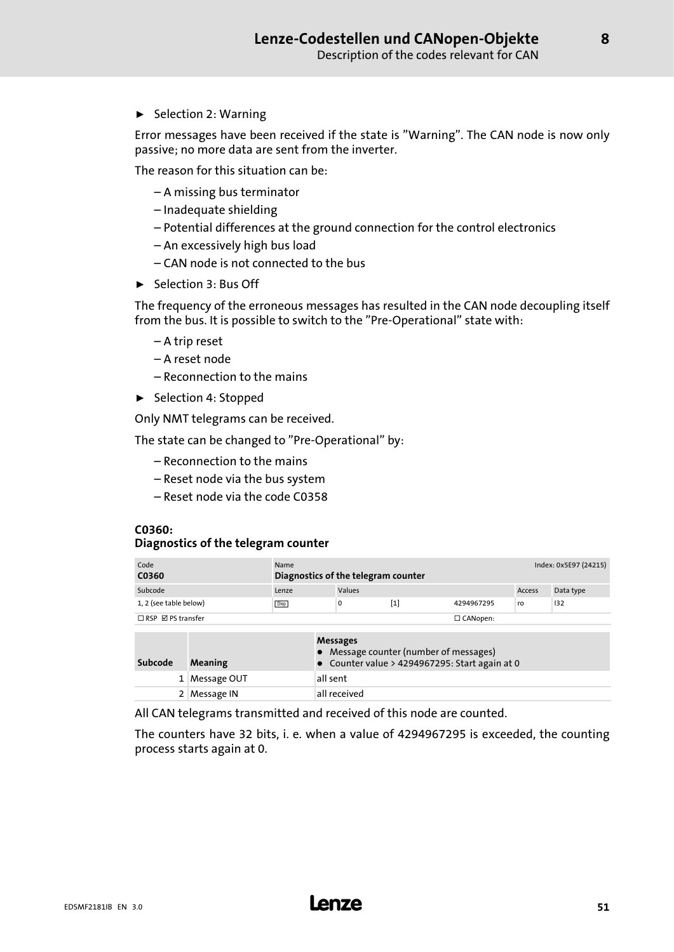<span id="page-50-0"></span> $\blacktriangleright$  Selection 2: Warning

Error messages have been received if the state is "Warning". The CAN node is now only passive; no more data are sent from the inverter.

The reason for this situation can be:

- A missing bus terminator
- Inadequate shielding
- Potential differences at the ground connection for the control electronics
- An excessively high bus load
- CAN node is not connected to the bus
- $\blacktriangleright$  Selection 3: Bus Off

The frequency of the erroneous messages has resulted in the CAN node decoupling itself from the bus. It is possible to switch to the "Pre−Operational" state with:

- A trip reset
- A reset node
- Reconnection to the mains
- ▶ Selection 4: Stopped

Only NMT telegrams can be received.

The state can be changed to "Pre−Operational" by:

- Reconnection to the mains
- Reset node via the bus system
- Reset node via the code C0358

#### C0360:

#### Diagnostics of the telegram counter

| Code<br>C0360                 | Name<br>Diagnostics of the telegram counter |        |     |                 | Index: 0x5E97 (24215) |           |  |
|-------------------------------|---------------------------------------------|--------|-----|-----------------|-----------------------|-----------|--|
| Subcode                       | Lenze                                       | Values |     |                 | Access                | Data type |  |
| 1, 2 (see table below)        | <b>Disp</b>                                 | 0      | [1] | 4294967295      | ro                    | 132       |  |
| $\Box$ RSP $\Box$ PS transfer |                                             |        |     | $\Box$ CANopen: |                       |           |  |
|                               |                                             |        |     |                 |                       |           |  |

|         |               | <b>Messages</b><br>• Message counter (number of messages) |
|---------|---------------|-----------------------------------------------------------|
| Subcode | Meaning       | • Counter value > 4294967295: Start again at 0            |
|         | 1 Message OUT | all sent                                                  |
|         | 2 Message IN  | all received                                              |

All CAN telegrams transmitted and received of this node are counted.

The counters have 32 bits, i. e. when a value of 4294967295 is exceeded, the counting process starts again at 0.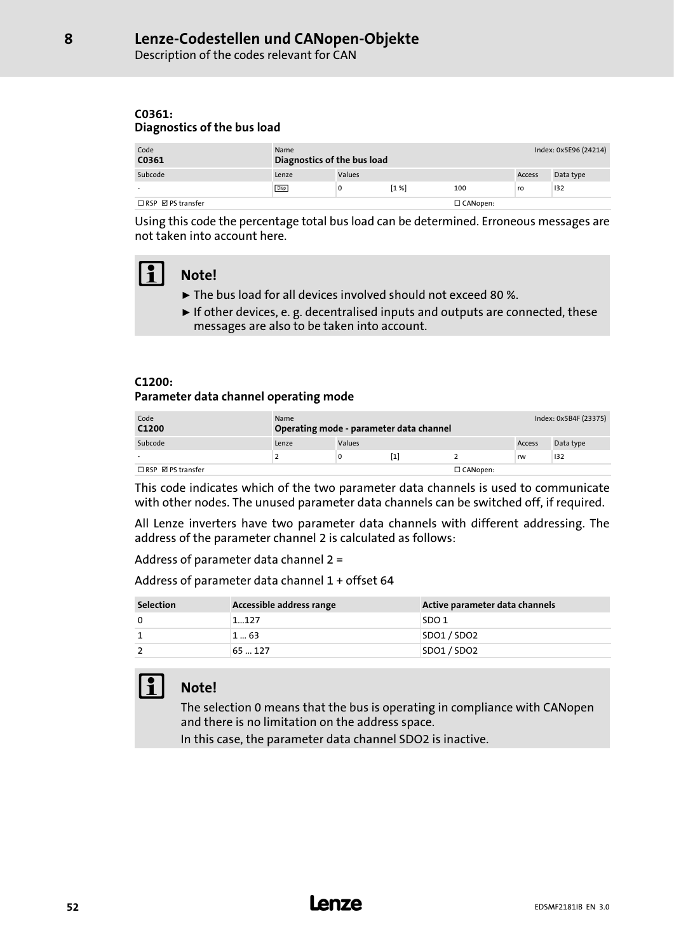<span id="page-51-0"></span>Description of the codes relevant for CAN

#### C0361: Diagnostics of the bus load

| Code<br>C0361                      | Name<br>Diagnostics of the bus load |               |       |                 | Index: 0x5E96 (24214) |           |
|------------------------------------|-------------------------------------|---------------|-------|-----------------|-----------------------|-----------|
| Subcode                            | Lenze                               | <b>Values</b> |       |                 | Access                | Data type |
|                                    | <b>Disp</b>                         | 0             | [1 %] | 100             | ro                    | 132       |
| $\Box$ RSP $\boxtimes$ PS transfer |                                     |               |       | $\Box$ CANopen: |                       |           |

Using this code the percentage total bus load can be determined. Erroneous messages are not taken into account here.

## Note!

- ► The bus load for all devices involved should not exceed 80 %.
- $\blacktriangleright$  If other devices, e. g. decentralised inputs and outputs are connected, these messages are also to be taken into account.

#### C1200:

Parameter data channel operating mode

| Code<br>C1200                 | Name  |        | Operating mode - parameter data channel | Index: 0x5B4F (23375) |        |           |
|-------------------------------|-------|--------|-----------------------------------------|-----------------------|--------|-----------|
| Subcode                       | Lenze | Values |                                         |                       | Access | Data type |
|                               |       |        |                                         |                       | rw     | 132       |
| $\Box$ RSP $\Box$ PS transfer |       |        |                                         | $\Box$ CANopen:       |        |           |

This code indicates which of the two parameter data channels is used to communicate with other nodes. The unused parameter data channels can be switched off, if required.

All Lenze inverters have two parameter data channels with different addressing. The address of the parameter channel 2 is calculated as follows:

Address of parameter data channel 2 =

Address of parameter data channel 1 + offset 64

| <b>Selection</b> | Accessible address range | Active parameter data channels |
|------------------|--------------------------|--------------------------------|
| 0                | 1127                     | SDO <sub>1</sub>               |
|                  | 163                      | SDO1 / SDO2                    |
|                  | 65  127                  | SDO1 / SDO2                    |

## Note!

The selection 0 means that the bus is operating in compliance with CANopen and there is no limitation on the address space.

In this case, the parameter data channel SDO2 is inactive.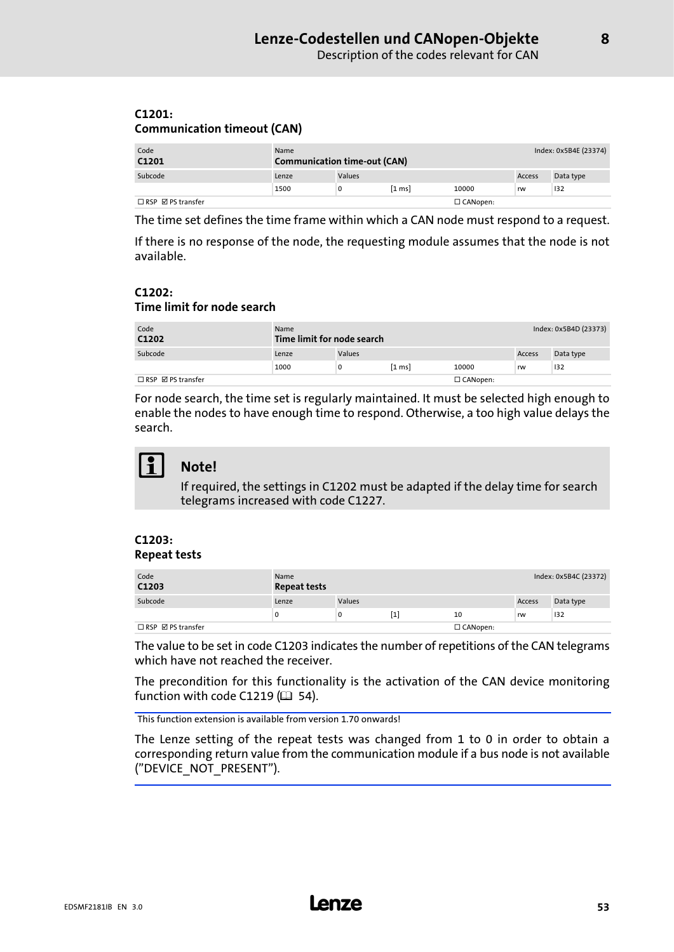#### <span id="page-52-0"></span>C1201: Communication timeout (CAN)

| Code<br>C1201                      | Name  | <b>Communication time-out (CAN)</b> |                  |                 |        |           |
|------------------------------------|-------|-------------------------------------|------------------|-----------------|--------|-----------|
| Subcode                            | Lenze | Values                              |                  |                 | Access | Data type |
|                                    | 1500  | 0                                   | $[1 \text{ ms}]$ | 10000           | rw     | 132       |
| $\Box$ RSP $\boxtimes$ PS transfer |       |                                     |                  | $\Box$ CANopen: |        |           |

The time set defines the time frame within which a CAN node must respond to a request.

If there is no response of the node, the requesting module assumes that the node is not available.

#### C1202: Time limit for node search

| Code<br>C1202                 | Name<br>Time limit for node search |        |                  | Index: 0x5B4D (23373) |        |           |
|-------------------------------|------------------------------------|--------|------------------|-----------------------|--------|-----------|
| Subcode                       | Lenze                              | Values |                  |                       | Access | Data type |
|                               | 1000                               | 0      | $[1 \text{ ms}]$ | 10000                 | rw     | 132       |
| $\Box$ RSP $\Box$ PS transfer |                                    |        |                  | $\Box$ CANopen:       |        |           |

For node search, the time set is regularly maintained. It must be selected high enough to enable the nodes to have enough time to respond. Otherwise, a too high value delays the search.



## Note!

If required, the settings in C1202 must be adapted if the delay time for search telegrams increased with code C1227.

#### C1203: Repeat tests

| Code<br>C1203                      | Name<br><b>Repeat tests</b> |        |     |                 |        | Index: 0x5B4C (23372) |
|------------------------------------|-----------------------------|--------|-----|-----------------|--------|-----------------------|
| Subcode                            | Lenze                       | Values |     |                 | Access | Data type             |
|                                    | 0                           | O      | [1] | 10              | rw     | 132                   |
| $\Box$ RSP $\boxtimes$ PS transfer |                             |        |     | $\Box$ CANopen: |        |                       |

The value to be set in code C1203 indicates the number of repetitions of the CAN telegrams which have not reached the receiver.

The precondition for this functionality is the activation of the CAN device monitoring function with code C1219 ( $\Box$  [54\)](#page-53-0).

This function extension is available from version 1.70 onwards!

The Lenze setting of the repeat tests was changed from 1 to 0 in order to obtain a corresponding return value from the communication module if a bus node is not available ("DEVICE\_NOT\_PRESENT").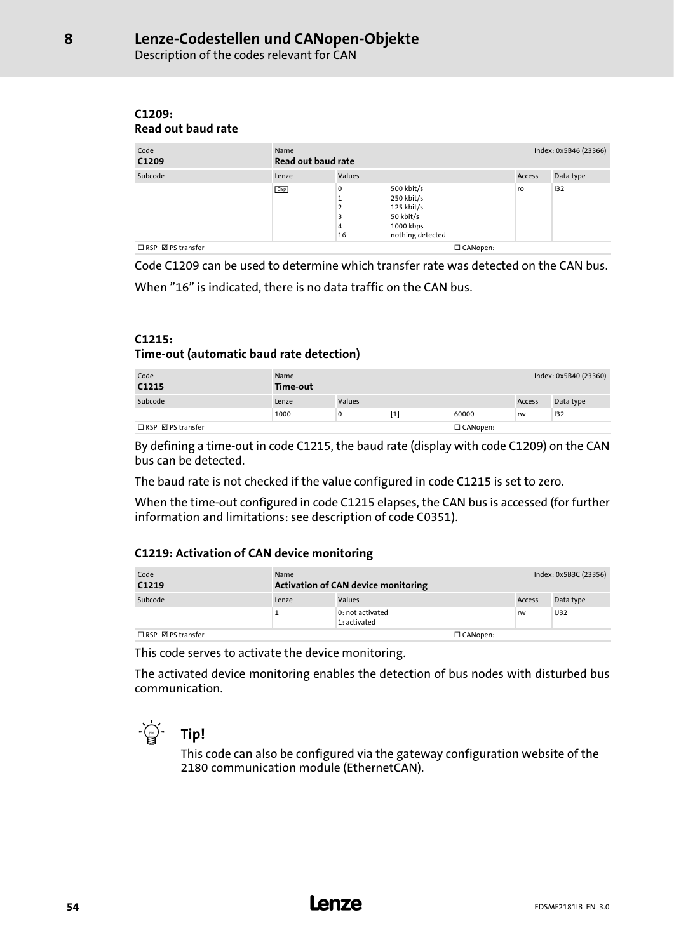Description of the codes relevant for CAN

#### C1209: Read out baud rate

<span id="page-53-0"></span>[8](#page-44-0)

| Code<br>C1209                      | Name<br>Read out baud rate |                             |                                                                                      | Index: 0x5B46 (23366) |           |  |
|------------------------------------|----------------------------|-----------------------------|--------------------------------------------------------------------------------------|-----------------------|-----------|--|
| Subcode                            | Lenze                      | Values                      |                                                                                      | Access                | Data type |  |
|                                    | <b>Disp</b>                | 0<br>п<br>2<br>3<br>4<br>16 | 500 kbit/s<br>250 kbit/s<br>125 kbit/s<br>50 kbit/s<br>1000 kbps<br>nothing detected | ro                    | 132       |  |
| $\Box$ RSP $\boxtimes$ PS transfer | □ CANopen:                 |                             |                                                                                      |                       |           |  |

Code C1209 can be used to determine which transfer rate was detected on the CAN bus. When "16" is indicated, there is no data traffic on the CAN bus.

#### C1215:

#### Time−out (automatic baud rate detection)

| Code<br>C1215                      | Name<br>Time-out |        |     | Index: 0x5B40 (23360) |        |           |
|------------------------------------|------------------|--------|-----|-----------------------|--------|-----------|
| Subcode                            | Lenze            | Values |     |                       | Access | Data type |
|                                    | 1000             | 0      | [1] | 60000                 | rw     | 132       |
| $\Box$ RSP $\boxtimes$ PS transfer |                  |        |     | $\Box$ CANopen:       |        |           |

By defining a time−out in code C1215, the baud rate (display with code C1209) on the CAN bus can be detected.

The baud rate is not checked if the value configured in code C1215 is set to zero.

When the time−out configured in code C1215 elapses, the CAN bus is accessed (for further information and limitations: see description of code C0351).

#### C1219: Activation of CAN device monitoring

| Code<br>C1219                      | Name  | <b>Activation of CAN device monitoring</b> |                 |        | Index: 0x5B3C (23356) |  |
|------------------------------------|-------|--------------------------------------------|-----------------|--------|-----------------------|--|
| Subcode                            | Lenze | <b>Values</b>                              |                 | Access | Data type             |  |
|                                    |       | 0: not activated<br>1: activated           |                 | rw     | U32                   |  |
| $\Box$ RSP $\boxtimes$ PS transfer |       |                                            | $\Box$ CANopen: |        |                       |  |

This code serves to activate the device monitoring.

The activated device monitoring enables the detection of bus nodes with disturbed bus communication.



This code can also be configured via the gateway configuration website of the 2180 communication module (EthernetCAN).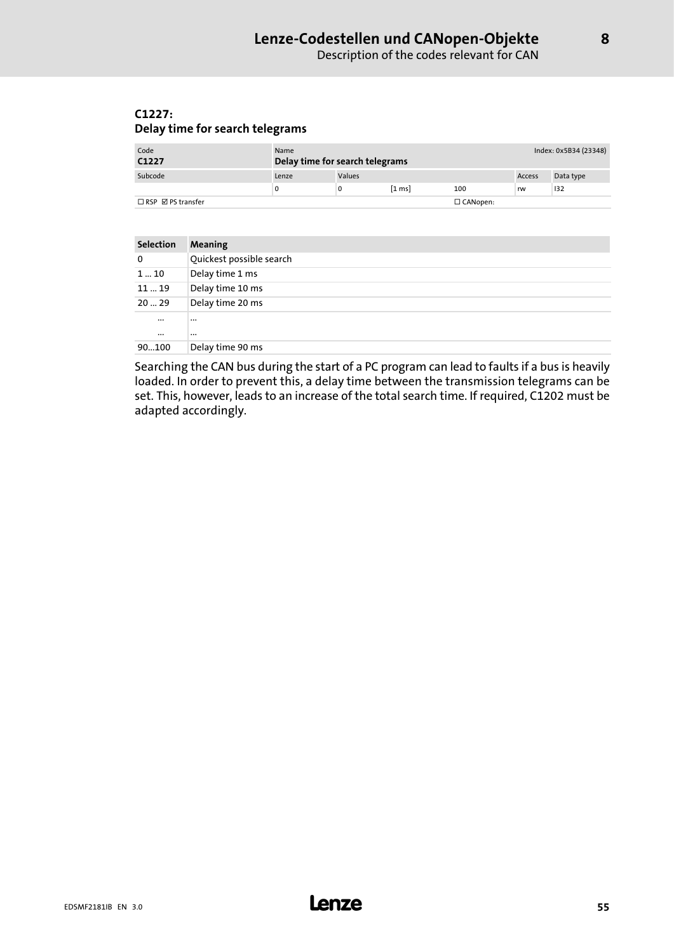#### <span id="page-54-0"></span>C1227: Delay time for search telegrams

| Code<br>C1227                 | Name  | Delay time for search telegrams |                  |                 | Index: 0x5B34 (23348) |           |
|-------------------------------|-------|---------------------------------|------------------|-----------------|-----------------------|-----------|
| Subcode                       | Lenze | <b>Values</b>                   |                  |                 | Access                | Data type |
|                               |       |                                 | $[1 \text{ ms}]$ | 100             | rw                    | 132       |
| $\Box$ RSP $\Box$ PS transfer |       |                                 |                  | $\Box$ CANopen: |                       |           |

| Selection | <b>Meaning</b>           |
|-----------|--------------------------|
| 0         | Quickest possible search |
| 1  10     | Delay time 1 ms          |
| 1119      | Delay time 10 ms         |
| 2029      | Delay time 20 ms         |
| $\cdots$  | $\cdots$                 |
| $\cdots$  | $\cdots$                 |
| 90100     | Delay time 90 ms         |

Searching the CAN bus during the start of a PC program can lead to faults if a bus is heavily loaded. In order to prevent this, a delay time between the transmission telegrams can be set. This, however, leads to an increase of the total search time. If required, C1202 must be adapted accordingly.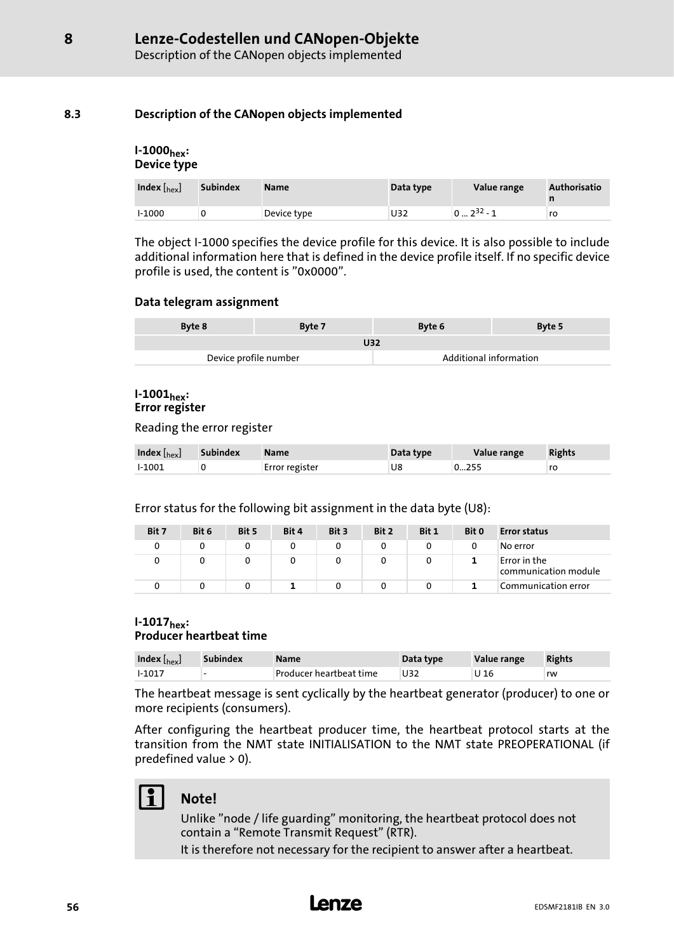### <span id="page-55-0"></span>8.3 Description of the CANopen objects implemented

#### I−1000hex: Device type

| Index $\left[_{\text{hex}}\right]$ | <b>Subindex</b> | <b>Name</b> | Data type | Value range    | <b>Authorisatio</b> |
|------------------------------------|-----------------|-------------|-----------|----------------|---------------------|
| $1-1000$                           |                 | Device type | U32       | $102^{32} - 1$ | ro                  |

The object I−1000 specifies the device profile for this device. It is also possible to include additional information here that is defined in the device profile itself. If no specific device profile is used, the content is "0x0000".

#### Data telegram assignment

| Byte 8                | Byte 7 | Byte 6                 | Byte 5 |  |  |
|-----------------------|--------|------------------------|--------|--|--|
| U32                   |        |                        |        |  |  |
| Device profile number |        | Additional information |        |  |  |

#### I−1001hex: Error register

Reading the error register

| Index $\left[\rm_{hex}\right]$ | Subindex | <b>Name</b>    | Data type | Value range | <b>Rights</b> |
|--------------------------------|----------|----------------|-----------|-------------|---------------|
| l-1001                         |          | Error register | U8        | 0255        | ro            |

Error status for the following bit assignment in the data byte (U8):

| Bit 7 | Bit 6 | Bit 5 | Bit 4 | Bit 3 | Bit 2 | Bit 1 | Bit 0 | <b>Error status</b>                  |
|-------|-------|-------|-------|-------|-------|-------|-------|--------------------------------------|
| 0     |       |       |       |       |       |       |       | No error                             |
| 0     | 0     |       |       |       |       | 0     |       | Error in the<br>communication module |
|       |       |       |       |       |       |       |       | Communication error                  |

#### I−1017hex: Producer heartbeat time

| Index $\left[{\rm {hex}}\right]$ | <b>Subindex</b>          | <b>Name</b>             | Data type | Value range | <b>Rights</b> |
|----------------------------------|--------------------------|-------------------------|-----------|-------------|---------------|
| $1-1017$                         | $\overline{\phantom{0}}$ | Producer heartbeat time | U32       | U 16        | rw            |

The heartbeat message is sent cyclically by the heartbeat generator (producer) to one or more recipients (consumers).

After configuring the heartbeat producer time, the heartbeat protocol starts at the transition from the NMT state INITIALISATION to the NMT state PREOPERATIONAL (if predefined value > 0).

## Note!

Unlike "node / life guarding" monitoring, the heartbeat protocol does not contain a "Remote Transmit Request" (RTR).

It is therefore not necessary for the recipient to answer after a heartbeat.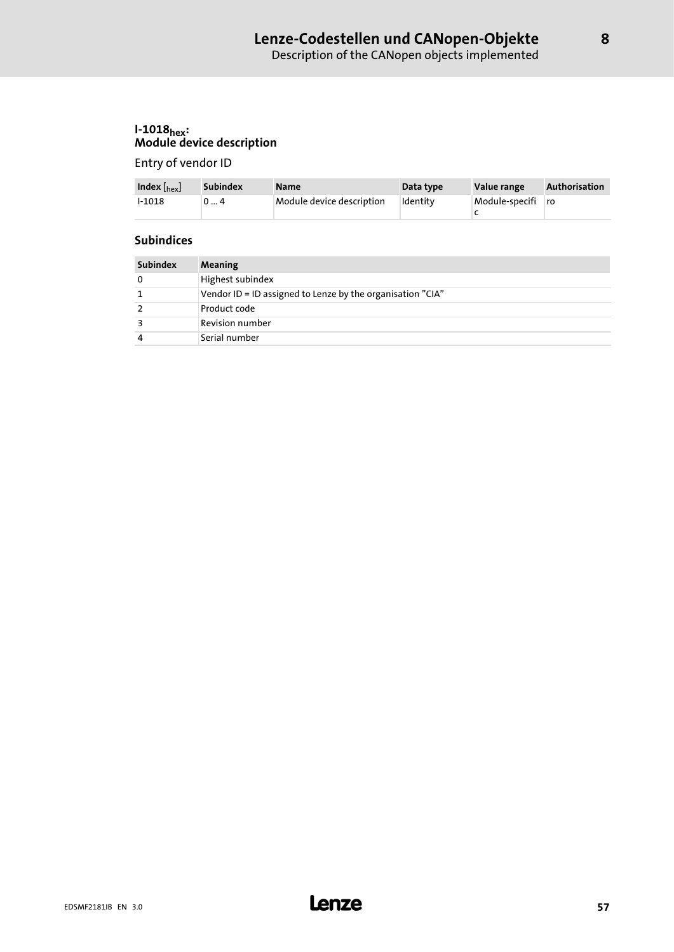## <span id="page-56-0"></span>I−1018<sub>hex</sub>: Module device description

Entry of vendor ID

| Index $\left[\begin{smallmatrix} h_{\rm ex} \end{smallmatrix}\right]$ | Subindex | <b>Name</b>               | Data type | Value range       | <b>Authorisation</b> |
|-----------------------------------------------------------------------|----------|---------------------------|-----------|-------------------|----------------------|
| $1 - 1018$                                                            | 04       | Module device description | Identity  | Module-specifi ro |                      |

#### **Subindices**

| <b>Subindex</b> | Meaning                                                    |
|-----------------|------------------------------------------------------------|
| 0               | Highest subindex                                           |
|                 | Vendor ID = ID assigned to Lenze by the organisation "CIA" |
| $\mathcal{P}$   | Product code                                               |
| З               | Revision number                                            |
| 4               | Serial number                                              |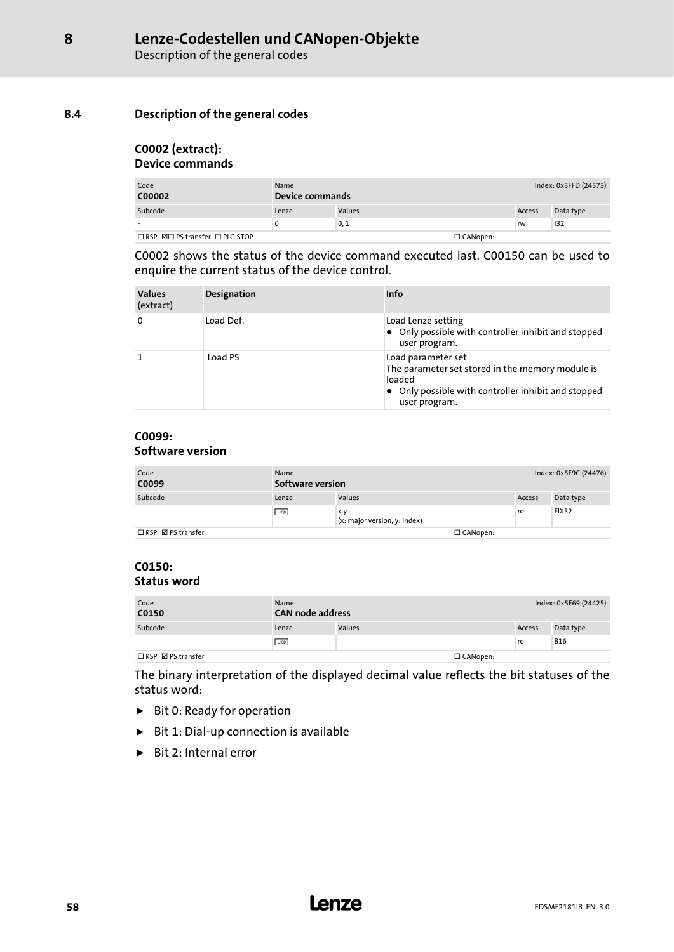#### <span id="page-57-0"></span>8.4 Description of the general codes

#### C0002 (extract): Device commands

| Code<br>C00002                                   | Name<br>Device commands |        | Index: 0x5FFD (24573) |        |           |
|--------------------------------------------------|-------------------------|--------|-----------------------|--------|-----------|
| Subcode                                          | Lenze                   | Values |                       | Access | Data type |
|                                                  | 0                       | 0, 1   |                       | rw     | 132       |
| $\Box$ RSP $\boxdot$ PS transfer $\Box$ PLC-STOP |                         |        | $\Box$ CANopen:       |        |           |

C0002 shows the status of the device command executed last. C00150 can be used to enquire the current status of the device control.

| <b>Values</b><br>(extract) | <b>Designation</b> | Info                                                                                                                                                             |
|----------------------------|--------------------|------------------------------------------------------------------------------------------------------------------------------------------------------------------|
| 0                          | Load Def.          | Load Lenze setting<br>• Only possible with controller inhibit and stopped<br>user program.                                                                       |
|                            | Load PS            | Load parameter set<br>The parameter set stored in the memory module is<br>loaded<br>$\bullet$ Only possible with controller inhibit and stopped<br>user program. |

#### C0099: Software version

| Code<br>C0099                      | Name<br>Software version |                                     | Index: 0x5F9C (24476) |              |
|------------------------------------|--------------------------|-------------------------------------|-----------------------|--------------|
| Subcode                            | Lenze                    | Values                              | Access                | Data type    |
|                                    | Disp                     | x.y<br>(x: major version, y: index) | ro                    | <b>FIX32</b> |
| $\Box$ RSP $\boxtimes$ PS transfer |                          | $\Box$ CANopen:                     |                       |              |

#### C0150: Status word

| Code<br>C0150                      | Name<br><b>CAN node address</b> |               |                 | Index: 0x5F69 (24425) |            |
|------------------------------------|---------------------------------|---------------|-----------------|-----------------------|------------|
| Subcode                            | Lenze                           | <b>Values</b> |                 | Access                | Data type  |
|                                    | Disp                            |               |                 | ro                    | <b>B16</b> |
| $\Box$ RSP $\boxtimes$ PS transfer |                                 |               | $\Box$ CANopen: |                       |            |

The binary interpretation of the displayed decimal value reflects the bit statuses of the status word:

- $\blacktriangleright$  Bit 0: Ready for operation
- ƒ Bit 1: Dial−up connection is available
- $\blacktriangleright$  Bit 2: Internal error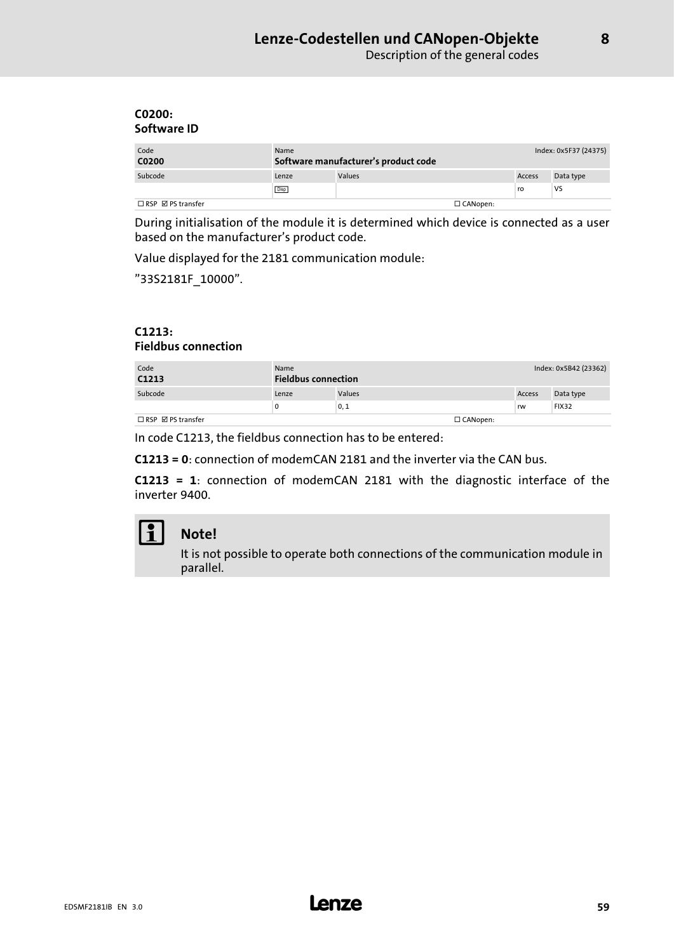#### <span id="page-58-0"></span>C0200: Software ID

| Code<br>C0200                      | Name<br>Software manufacturer's product code |        |                 | Index: 0x5F37 (24375) |           |
|------------------------------------|----------------------------------------------|--------|-----------------|-----------------------|-----------|
| Subcode                            | Lenze                                        | Values |                 | Access                | Data type |
|                                    | <b>Disp</b>                                  |        |                 | ro                    | VS        |
| $\Box$ RSP $\boxtimes$ PS transfer |                                              |        | $\Box$ CANopen: |                       |           |

During initialisation of the module it is determined which device is connected as a user based on the manufacturer's product code.

Value displayed for the 2181 communication module:

"33S2181F\_10000".

#### C1213: Fieldbus connection

| Code<br>C1213                      | Name  | <b>Fieldbus connection</b> |                 |               | Index: 0x5B42 (23362) |
|------------------------------------|-------|----------------------------|-----------------|---------------|-----------------------|
| Subcode                            | Lenze | Values                     |                 | <b>Access</b> | Data type             |
|                                    | 0     | 0, 1                       |                 | rw            | <b>FIX32</b>          |
| $\Box$ RSP $\boxtimes$ PS transfer |       |                            | $\Box$ CANopen: |               |                       |

In code C1213, the fieldbus connection has to be entered:

C1213 = 0: connection of modemCAN 2181 and the inverter via the CAN bus.

C1213 = 1: connection of modemCAN 2181 with the diagnostic interface of the inverter-9400.



### Note!

It is not possible to operate both connections of the communication module in parallel.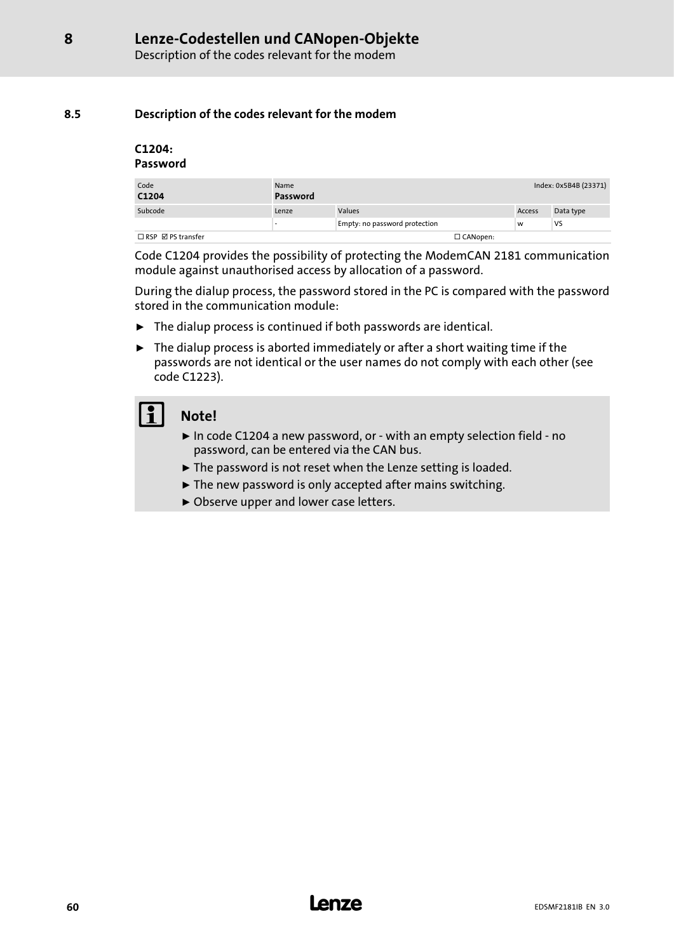#### <span id="page-59-0"></span>8.5 Description of the codes relevant for the modem

#### C1204: Password

| Code<br>C1204                      | Name<br>Password |                               |                 |        | Index: 0x5B4B (23371) |
|------------------------------------|------------------|-------------------------------|-----------------|--------|-----------------------|
| Subcode                            | Lenze            | Values                        |                 | Access | Data type             |
|                                    |                  | Empty: no password protection |                 | W      | <b>VS</b>             |
| $\Box$ RSP $\boxtimes$ PS transfer |                  |                               | $\Box$ CANopen: |        |                       |

Code C1204 provides the possibility of protecting the ModemCAN 2181 communication module against unauthorised access by allocation of a password.

During the dialup process, the password stored in the PC is compared with the password stored in the communication module:

- $\blacktriangleright$  The dialup process is continued if both passwords are identical.
- $\blacktriangleright$  The dialup process is aborted immediately or after a short waiting time if the passwords are not identical or the user names do not comply with each other (see code C1223).

## Note!

- ƒ In code C1204 a new password, or − with an empty selection field − no password, can be entered via the CAN bus.
- $\blacktriangleright$  The password is not reset when the Lenze setting is loaded.
- $\blacktriangleright$  The new password is only accepted after mains switching.
- ▶ Observe upper and lower case letters.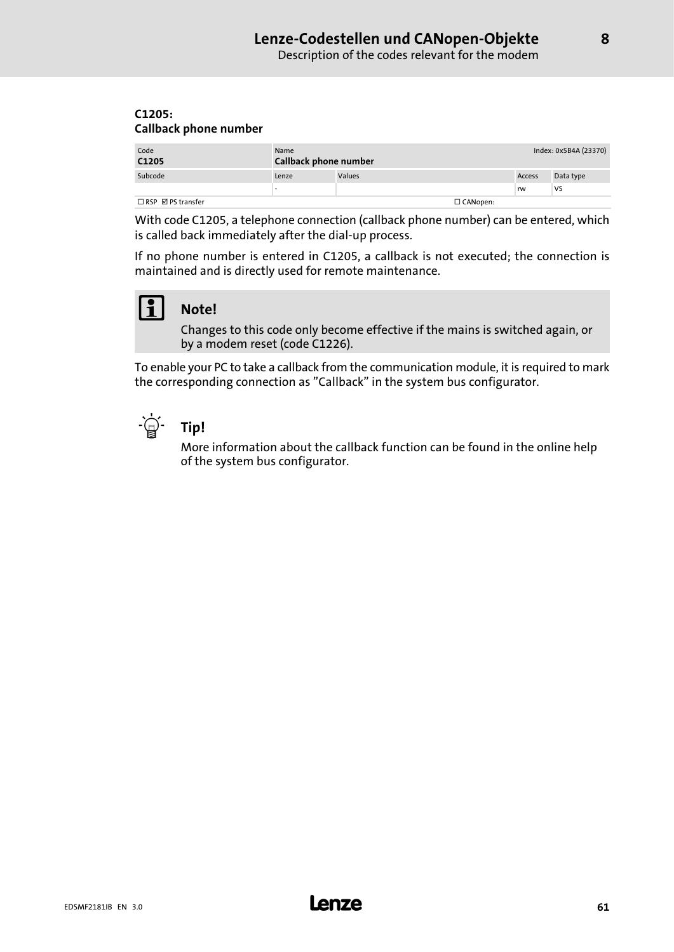#### <span id="page-60-0"></span>C1205: Callback phone number

| Code<br>C1205                      | Name<br>Callback phone number |        |                 | Index: 0x5B4A (23370) |           |
|------------------------------------|-------------------------------|--------|-----------------|-----------------------|-----------|
| Subcode                            | Lenze                         | Values |                 | Access                | Data type |
|                                    | ٠                             |        |                 | rw                    | VS        |
| $\Box$ RSP $\boxtimes$ PS transfer |                               |        | $\Box$ CANopen: |                       |           |

With code C1205, a telephone connection (callback phone number) can be entered, which is called back immediately after the dial−up process.

If no phone number is entered in C1205, a callback is not executed; the connection is maintained and is directly used for remote maintenance.



## Note!

Changes to this code only become effective if the mains is switched again, or by a modem reset (code C1226).

To enable your PC to take a callback from the communication module, it is required to mark the corresponding connection as "Callback" in the system bus configurator.



## $-\mathbb{Q}$  Tip!

More information about the callback function can be found in the online help of the system bus configurator.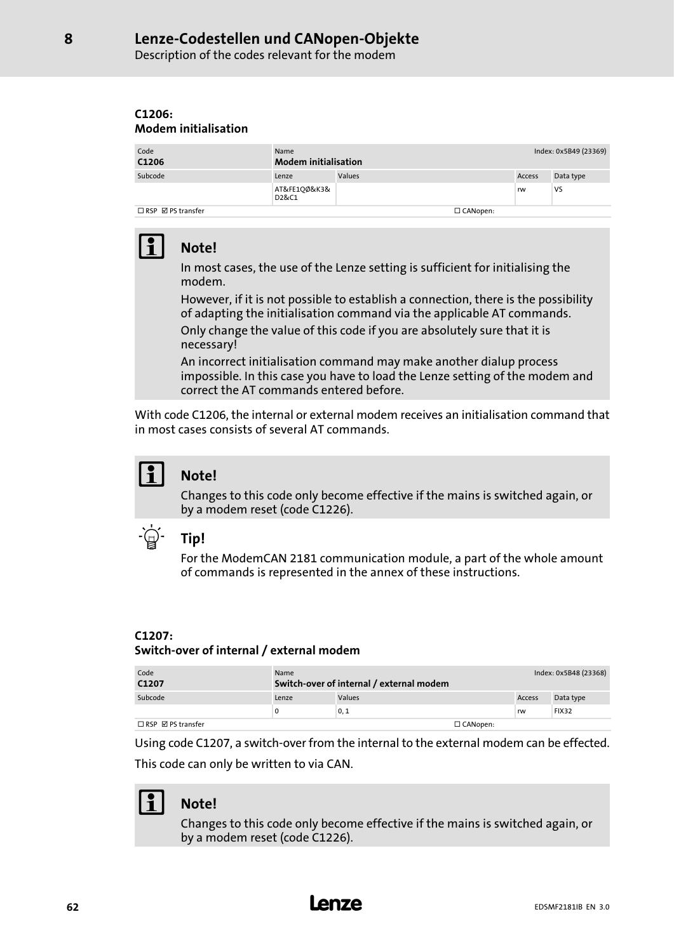## Lenze−Codestellen und CANopen−Objekte

Description of the codes relevant for the modem

#### C1206: Modem initialisation

| Code<br>C1206                 | Name<br><b>Modem initialisation</b> |        |                 | Index: 0x5B49 (23369) |           |
|-------------------------------|-------------------------------------|--------|-----------------|-----------------------|-----------|
| Subcode                       | Lenze                               | Values |                 | <b>Access</b>         | Data type |
|                               | AT&FE100&K3&<br>D2&C1               |        |                 | rw                    | VS        |
| $\Box$ RSP $\Box$ PS transfer |                                     |        | $\Box$ CANopen: |                       |           |

# Note!

In most cases, the use of the Lenze setting is sufficient for initialising the modem.

However, if it is not possible to establish a connection, there is the possibility of adapting the initialisation command via the applicable AT commands. Only change the value of this code if you are absolutely sure that it is necessary!

An incorrect initialisation command may make another dialup process impossible. In this case you have to load the Lenze setting of the modem and correct the AT commands entered before.

With code C1206, the internal or external modem receives an initialisation command that in most cases consists of several AT commands.



### Note!

Changes to this code only become effective if the mains is switched again, or by a modem reset (code C1226).



### Tip!

For the ModemCAN 2181 communication module, a part of the whole amount of commands is represented in the annex of these instructions.

#### C1207:

#### Switch−over of internal / external modem

| Code<br>C1207                 | Name  | Switch-over of internal / external modem |                 |        | Index: 0x5B48 (23368) |
|-------------------------------|-------|------------------------------------------|-----------------|--------|-----------------------|
| Subcode                       | Lenze | <b>Values</b>                            |                 | Access | Data type             |
|                               | 0     | 0, 1                                     |                 | rw     | <b>FIX32</b>          |
| $\Box$ RSP $\Box$ PS transfer |       |                                          | $\Box$ CANopen: |        |                       |

Using code C1207, a switch−over from the internal to the external modem can be effected. This code can only be written to via CAN.

## Note!

Changes to this code only become effective if the mains is switched again, or by a modem reset (code C1226).

<span id="page-61-0"></span>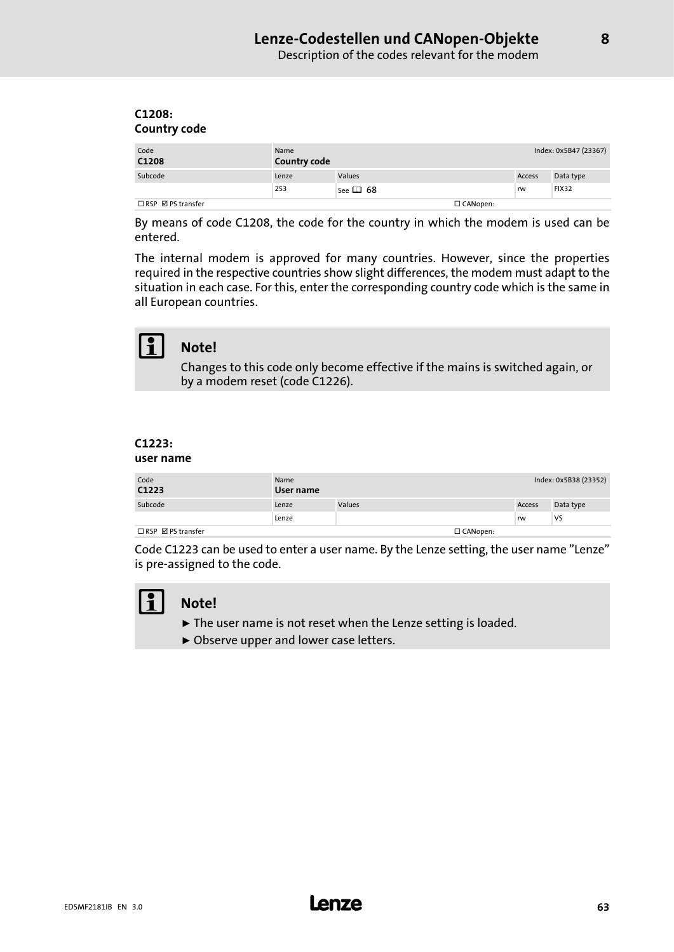<span id="page-62-0"></span>

| C1208:              |  |
|---------------------|--|
| <b>Country code</b> |  |

| Code<br>C1208                      | Name<br><b>Country code</b> |               |                 |        | Index: 0x5B47 (23367) |
|------------------------------------|-----------------------------|---------------|-----------------|--------|-----------------------|
| Subcode                            | Lenze                       | Values        |                 | Access | Data type             |
|                                    | 253                         | See $\Box$ 68 |                 | rw     | <b>FIX32</b>          |
| $\Box$ RSP $\boxtimes$ PS transfer |                             |               | $\Box$ CANopen: |        |                       |

By means of code C1208, the code for the country in which the modem is used can be entered.

The internal modem is approved for many countries. However, since the properties required in the respective countries show slight differences, the modem must adapt to the situation in each case. For this, enter the corresponding country code which is the same in all European countries.



### Note!

Changes to this code only become effective if the mains is switched again, or by a modem reset (code C1226).

### C1223:

#### user name

| Code<br>C1223                      | Name<br>User name |               |                 | Index: 0x5B38 (23352) |           |
|------------------------------------|-------------------|---------------|-----------------|-----------------------|-----------|
| Subcode                            | Lenze             | <b>Values</b> |                 | Access                | Data type |
|                                    | Lenze             |               |                 | rw                    | VS        |
| $\Box$ RSP $\boxtimes$ PS transfer |                   |               | $\Box$ CANopen: |                       |           |

Code C1223 can be used to enter a user name. By the Lenze setting, the user name "Lenze" is pre−assigned to the code.



## Note!

- $\blacktriangleright$  The user name is not reset when the Lenze setting is loaded.
- ▶ Observe upper and lower case letters.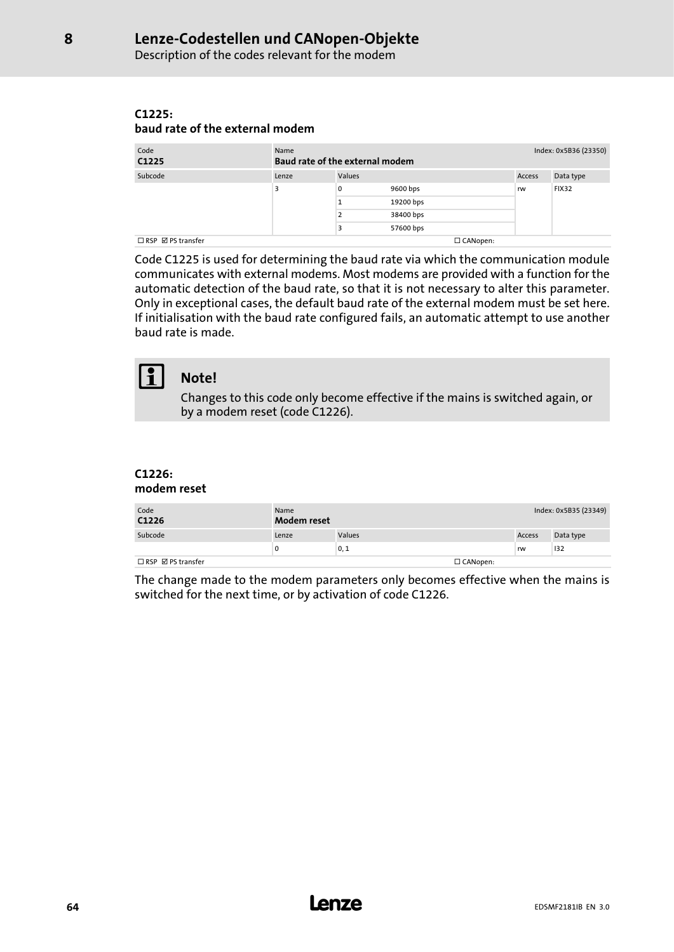<span id="page-63-0"></span>Description of the codes relevant for the modem

#### C1225: baud rate of the external modem

| Code<br>C1225                      | Name<br>Baud rate of the external modem |                |           | Index: 0x5B36 (23350) |               |              |
|------------------------------------|-----------------------------------------|----------------|-----------|-----------------------|---------------|--------------|
| Subcode                            | Lenze                                   | Values         |           |                       | <b>Access</b> | Data type    |
|                                    | 3                                       | 0              | 9600 bps  |                       | rw            | <b>FIX32</b> |
|                                    |                                         |                | 19200 bps |                       |               |              |
|                                    |                                         | $\overline{2}$ | 38400 bps |                       |               |              |
|                                    |                                         | 3              | 57600 bps |                       |               |              |
| $\Box$ RSP $\boxtimes$ PS transfer |                                         |                |           | $\Box$ CANopen:       |               |              |

Code C1225 is used for determining the baud rate via which the communication module communicates with external modems. Most modems are provided with a function for the automatic detection of the baud rate, so that it is not necessary to alter this parameter. Only in exceptional cases, the default baud rate of the external modem must be set here. If initialisation with the baud rate configured fails, an automatic attempt to use another baud rate is made.

### $\begin{bmatrix} 9 \\ 1 \end{bmatrix}$  Note!

Changes to this code only become effective if the mains is switched again, or by a modem reset (code C1226).

#### C1226: modem reset

| Code<br>C1226                      | Name<br>Modem reset |        |                 | Index: 0x5B35 (23349) |           |  |
|------------------------------------|---------------------|--------|-----------------|-----------------------|-----------|--|
| Subcode                            | Lenze               | Values |                 | Access                | Data type |  |
|                                    | 0                   | 0, 1   |                 | rw                    | 132       |  |
| $\Box$ RSP $\boxtimes$ PS transfer |                     |        | $\Box$ CANopen: |                       |           |  |

The change made to the modem parameters only becomes effective when the mains is switched for the next time, or by activation of code C1226.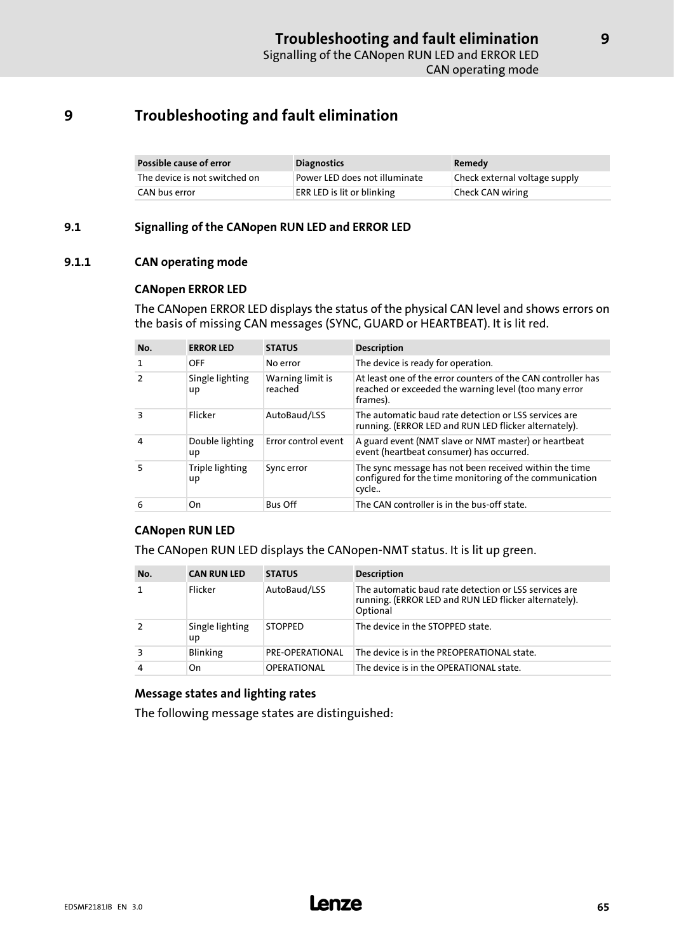## <span id="page-64-0"></span>9 Troubleshooting and fault elimination

| Possible cause of error       | <b>Diagnostics</b>                | Remedy                        |
|-------------------------------|-----------------------------------|-------------------------------|
| The device is not switched on | Power LED does not illuminate     | Check external voltage supply |
| CAN bus error                 | <b>ERR LED is lit or blinking</b> | Check CAN wiring              |

#### 9.1 Signalling of the CANopen RUN LED and ERROR LED

#### 9.1.1 CAN operating mode

#### CANopen ERROR LED

The CANopen ERROR LED displays the status of the physical CAN level and shows errors on the basis of missing CAN messages (SYNC, GUARD or HEARTBEAT). It is lit red.

| No.            | <b>ERROR LED</b>      | <b>STATUS</b>               | <b>Description</b>                                                                                                                |
|----------------|-----------------------|-----------------------------|-----------------------------------------------------------------------------------------------------------------------------------|
| $\mathbf{1}$   | OFF                   | No error                    | The device is ready for operation.                                                                                                |
| $\overline{2}$ | Single lighting<br>up | Warning limit is<br>reached | At least one of the error counters of the CAN controller has<br>reached or exceeded the warning level (too many error<br>frames). |
| З              | Flicker               | AutoBaud/LSS                | The automatic baud rate detection or LSS services are<br>running. (ERROR LED and RUN LED flicker alternately).                    |
| 4              | Double lighting<br>up | Error control event         | A guard event (NMT slave or NMT master) or heartbeat<br>event (heartbeat consumer) has occurred.                                  |
| -5             | Triple lighting<br>up | Sync error                  | The sync message has not been received within the time<br>configured for the time monitoring of the communication<br>cycle        |
| 6              | On                    | <b>Bus Off</b>              | The CAN controller is in the bus-off state.                                                                                       |

#### CANopen RUN LED

The CANopen RUN LED displays the CANopen−NMT status. It is lit up green.

| No.            | <b>CAN RUN LED</b>    | <b>STATUS</b>      | <b>Description</b>                                                                                                         |
|----------------|-----------------------|--------------------|----------------------------------------------------------------------------------------------------------------------------|
|                | Flicker               | AutoBaud/LSS       | The automatic baud rate detection or LSS services are<br>running. (ERROR LED and RUN LED flicker alternately).<br>Optional |
|                | Single lighting<br>up | <b>STOPPED</b>     | The device in the STOPPED state.                                                                                           |
|                | Blinking              | PRE-OPERATIONAL    | The device is in the PREOPERATIONAL state.                                                                                 |
| $\overline{4}$ | On                    | <b>OPERATIONAL</b> | The device is in the OPERATIONAL state.                                                                                    |

#### Message states and lighting rates

The following message states are distinguished: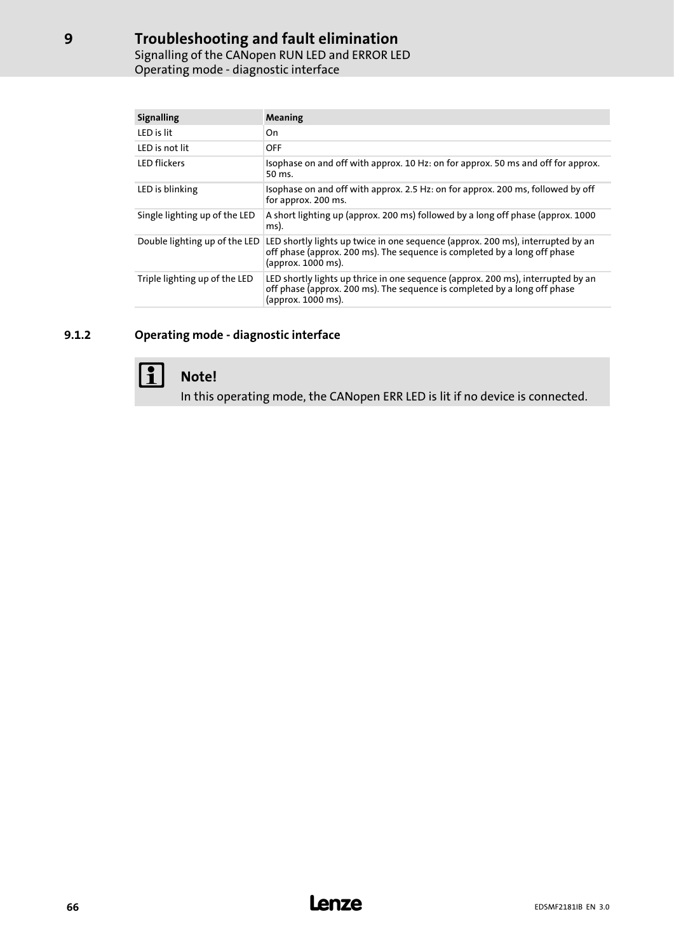## Troubleshooting and fault elimination

Signalling of the CANopen RUN LED and ERROR LED Operating mode − diagnostic interface

| <b>Signalling</b>             | Meaning                                                                                                                                                                             |
|-------------------------------|-------------------------------------------------------------------------------------------------------------------------------------------------------------------------------------|
| LED is lit                    | On.                                                                                                                                                                                 |
| <b>IFD</b> is not lit         | <b>OFF</b>                                                                                                                                                                          |
| <b>LED</b> flickers           | Isophase on and off with approx. 10 Hz: on for approx. 50 ms and off for approx.<br>50 ms.                                                                                          |
| LED is blinking               | Isophase on and off with approx. 2.5 Hz: on for approx. 200 ms, followed by off<br>for approx. 200 ms.                                                                              |
| Single lighting up of the LED | A short lighting up (approx. 200 ms) followed by a long off phase (approx. 1000<br>ms).                                                                                             |
| Double lighting up of the LED | LED shortly lights up twice in one sequence (approx. 200 ms), interrupted by an<br>off phase (approx. 200 ms). The sequence is completed by a long off phase<br>(approx. 1000 ms).  |
| Triple lighting up of the LED | LED shortly lights up thrice in one sequence (approx. 200 ms), interrupted by an<br>off phase (approx. 200 ms). The sequence is completed by a long off phase<br>(approx. 1000 ms). |

### 9.1.2 Operating mode - diagnostic interface



## $\left| \begin{array}{c} \bullet \\ \bullet \end{array} \right|$  Note!

In this operating mode, the CANopen ERR LED is lit if no device is connected.

[9](#page-64-0)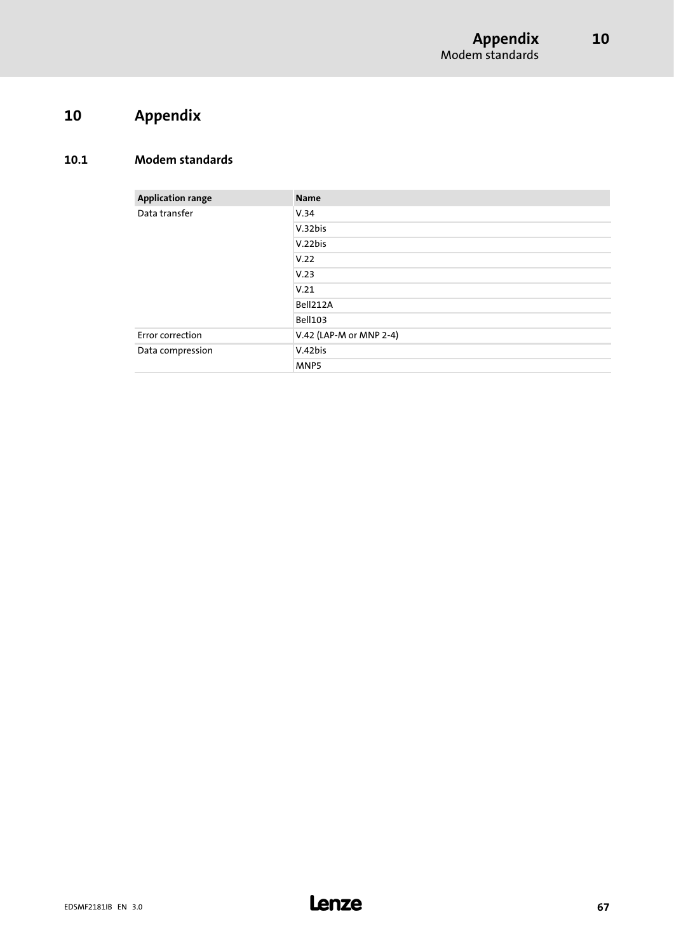## <span id="page-66-0"></span>10 Appendix

### 10.1 Modem standards

| <b>Application range</b> | <b>Name</b>             |
|--------------------------|-------------------------|
| Data transfer            | V.34                    |
|                          | V.32bis                 |
|                          | V.22bis                 |
|                          | V.22                    |
|                          | V.23                    |
|                          | V.21                    |
|                          | Bell212A                |
|                          | <b>Bell103</b>          |
| Error correction         | V.42 (LAP-M or MNP 2-4) |
| Data compression         | V.42bis                 |
|                          | MNP5                    |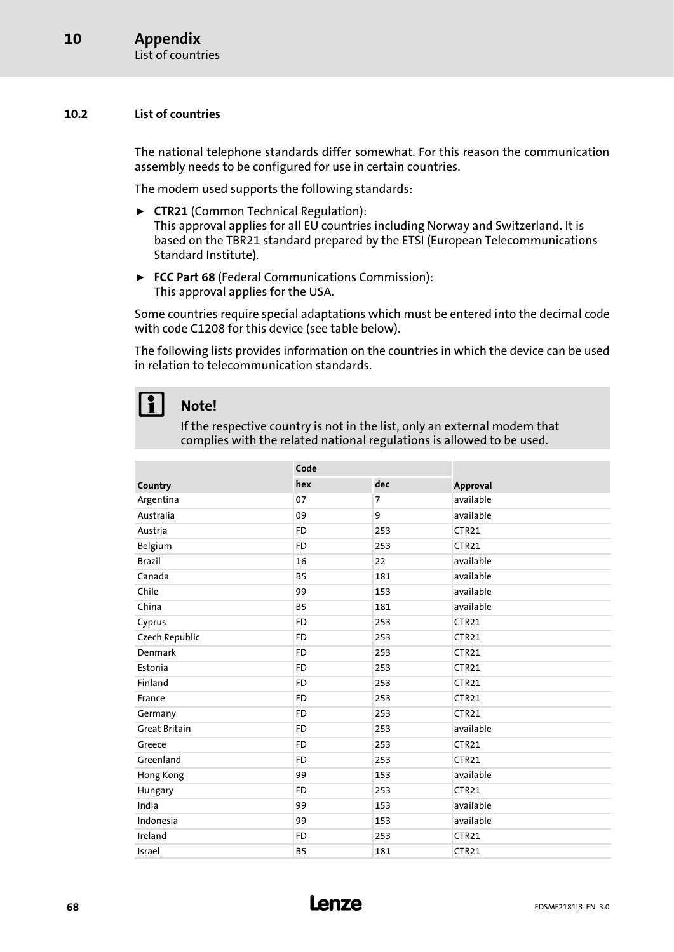#### <span id="page-67-0"></span>10.2 List of countries

The national telephone standards differ somewhat. For this reason the communication assembly needs to be configured for use in certain countries.

The modem used supports the following standards:

- ► CTR21 (Common Technical Regulation): This approval applies for all EU countries including Norway and Switzerland. It is based on the TBR21 standard prepared by the ETSI (European Telecommunications Standard Institute).
- ▶ FCC Part 68 (Federal Communications Commission): This approval applies for the USA.

Some countries require special adaptations which must be entered into the decimal code with code C1208 for this device (see table below).

The following lists provides information on the countries in which the device can be used in relation to telecommunication standards.

## 1 Note!

If the respective country is not in the list, only an external modem that complies with the related national regulations is allowed to be used.

|                       | Code      |                |                   |
|-----------------------|-----------|----------------|-------------------|
| Country               | hex       | dec            | Approval          |
| Argentina             | 07        | $\overline{7}$ | available         |
| Australia             | 09        | 9              | available         |
| Austria               | <b>FD</b> | 253            | CTR <sub>21</sub> |
| Belgium               | <b>FD</b> | 253            | CTR <sub>21</sub> |
| <b>Brazil</b>         | 16        | 22             | available         |
| Canada                | <b>B5</b> | 181            | available         |
| Chile                 | 99        | 153            | available         |
| China                 | <b>B5</b> | 181            | available         |
| Cyprus                | <b>FD</b> | 253            | <b>CTR21</b>      |
| <b>Czech Republic</b> | <b>FD</b> | 253            | CTR <sub>21</sub> |
| Denmark               | <b>FD</b> | 253            | CTR <sub>21</sub> |
| Estonia               | <b>FD</b> | 253            | CTR <sub>21</sub> |
| Finland               | <b>FD</b> | 253            | CTR <sub>21</sub> |
| France                | <b>FD</b> | 253            | CTR <sub>21</sub> |
| Germany               | <b>FD</b> | 253            | CTR <sub>21</sub> |
| <b>Great Britain</b>  | <b>FD</b> | 253            | available         |
| Greece                | <b>FD</b> | 253            | CTR <sub>21</sub> |
| Greenland             | <b>FD</b> | 253            | CTR <sub>21</sub> |
| Hong Kong             | 99        | 153            | available         |
| Hungary               | <b>FD</b> | 253            | CTR21             |
| India                 | 99        | 153            | available         |
| Indonesia             | 99        | 153            | available         |
| Ireland               | <b>FD</b> | 253            | CTR21             |
| Israel                | <b>B5</b> | 181            | CTR <sub>21</sub> |

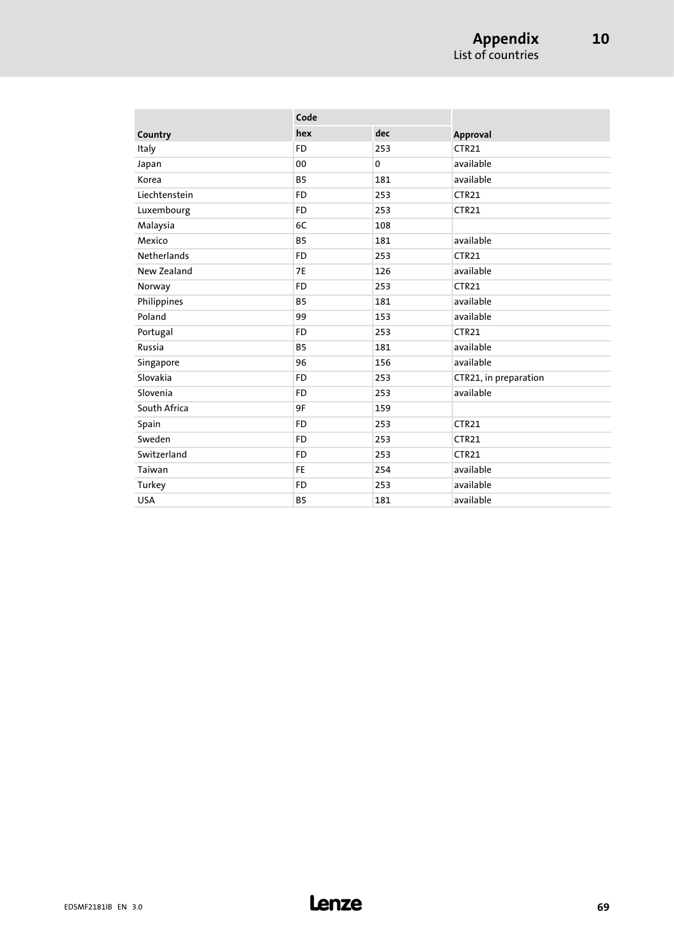|                    | Code      |     |                       |
|--------------------|-----------|-----|-----------------------|
| Country            | hex       | dec | <b>Approval</b>       |
| Italy              | <b>FD</b> | 253 | CTR <sub>21</sub>     |
| Japan              | 00        | 0   | available             |
| Korea              | <b>B5</b> | 181 | available             |
| Liechtenstein      | <b>FD</b> | 253 | CTR21                 |
| Luxembourg         | <b>FD</b> | 253 | CTR21                 |
| Malaysia           | 6C        | 108 |                       |
| Mexico             | <b>B5</b> | 181 | available             |
| <b>Netherlands</b> | <b>FD</b> | 253 | CTR21                 |
| New Zealand        | <b>7E</b> | 126 | available             |
| Norway             | <b>FD</b> | 253 | CTR <sub>21</sub>     |
| Philippines        | <b>B5</b> | 181 | available             |
| Poland             | 99        | 153 | available             |
| Portugal           | <b>FD</b> | 253 | CTR <sub>21</sub>     |
| Russia             | <b>B5</b> | 181 | available             |
| Singapore          | 96        | 156 | available             |
| Slovakia           | <b>FD</b> | 253 | CTR21, in preparation |
| Slovenia           | <b>FD</b> | 253 | available             |
| South Africa       | 9F        | 159 |                       |
| Spain              | <b>FD</b> | 253 | CTR <sub>21</sub>     |
| Sweden             | <b>FD</b> | 253 | CTR21                 |
| Switzerland        | <b>FD</b> | 253 | CTR <sub>21</sub>     |
| Taiwan             | <b>FE</b> | 254 | available             |
| Turkey             | <b>FD</b> | 253 | available             |
| <b>USA</b>         | <b>B5</b> | 181 | available             |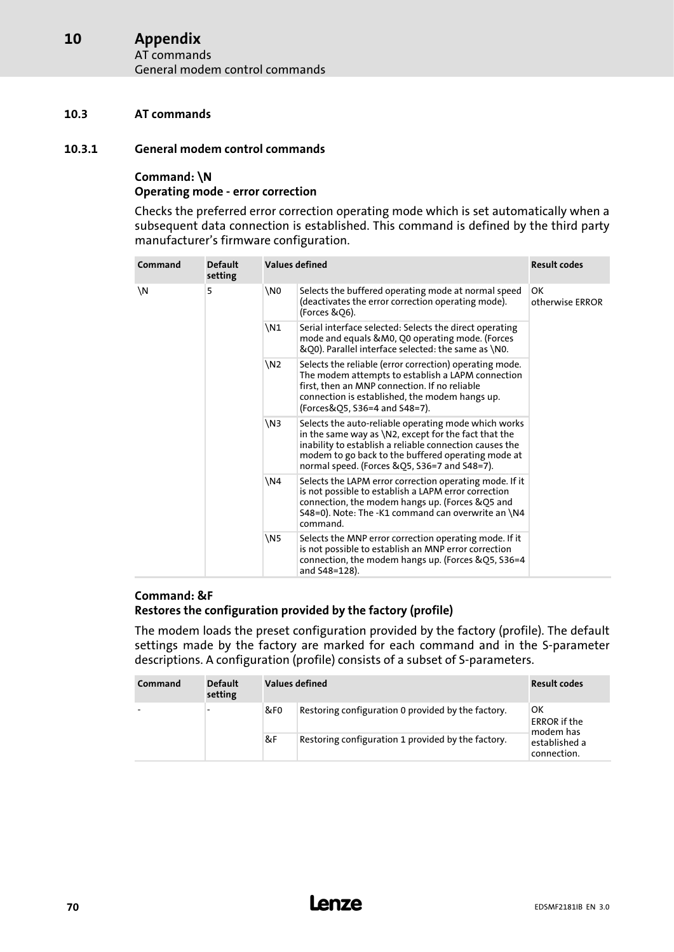#### Appendix AT commands [10](#page-66-0)

General modem control commands

#### 10.3 AT commands

#### 10.3.1 General modem control commands

#### Command: \N

#### Operating mode − error correction

Checks the preferred error correction operating mode which is set automatically when a subsequent data connection is established. This command is defined by the third party manufacturer's firmware configuration.

| Command | <b>Default</b><br>setting |                 | Values defined<br><b>Result codes</b>                                                                                                                                                                                                                                            |                                                                                                                                                                                       |  |
|---------|---------------------------|-----------------|----------------------------------------------------------------------------------------------------------------------------------------------------------------------------------------------------------------------------------------------------------------------------------|---------------------------------------------------------------------------------------------------------------------------------------------------------------------------------------|--|
| \N      | 5                         | \N0             | Selects the buffered operating mode at normal speed<br>(deactivates the error correction operating mode).<br>(Forces & Q6).                                                                                                                                                      | ОΚ<br>otherwise ERROR                                                                                                                                                                 |  |
|         |                           | \N1             | Serial interface selected: Selects the direct operating<br>mode and equals &M0, Q0 operating mode. (Forces<br>&Q0). Parallel interface selected: the same as \N0.                                                                                                                |                                                                                                                                                                                       |  |
|         |                           | \N <sub>2</sub> | Selects the reliable (error correction) operating mode.<br>The modem attempts to establish a LAPM connection<br>first, then an MNP connection. If no reliable<br>connection is established, the modem hangs up.<br>(Forces&Q5, S36=4 and S48=7).                                 |                                                                                                                                                                                       |  |
|         |                           | \N3             | Selects the auto-reliable operating mode which works<br>in the same way as $\N2$ , except for the fact that the<br>inability to establish a reliable connection causes the<br>modem to go back to the buffered operating mode at<br>normal speed. (Forces &Q5, S36=7 and S48=7). |                                                                                                                                                                                       |  |
|         |                           | \N4             | Selects the LAPM error correction operating mode. If it<br>is not possible to establish a LAPM error correction<br>connection, the modem hangs up. (Forces & Q5 and<br>S48=0). Note: The -K1 command can overwrite an \N4<br>command.                                            |                                                                                                                                                                                       |  |
|         |                           |                 | \N5                                                                                                                                                                                                                                                                              | Selects the MNP error correction operating mode. If it<br>is not possible to establish an MNP error correction<br>connection, the modem hangs up. (Forces &Q5, S36=4<br>and S48=128). |  |

#### Command: &F Restores the configuration provided by the factory (profile)

The modem loads the preset configuration provided by the factory (profile). The default settings made by the factory are marked for each command and in the S−parameter descriptions. A configuration (profile) consists of a subset of S−parameters.

| Command | <b>Default</b><br>setting | Values defined  |                                                    | <b>Result codes</b>                    |
|---------|---------------------------|-----------------|----------------------------------------------------|----------------------------------------|
|         |                           | &F <sub>0</sub> | Restoring configuration 0 provided by the factory. | ОΚ<br><b>ERROR</b> if the<br>modem has |
|         |                           | &F              | Restoring configuration 1 provided by the factory. | established a<br>connection.           |

#### <sup>70</sup> **Lenze** EDSMF2181IB EN 3.0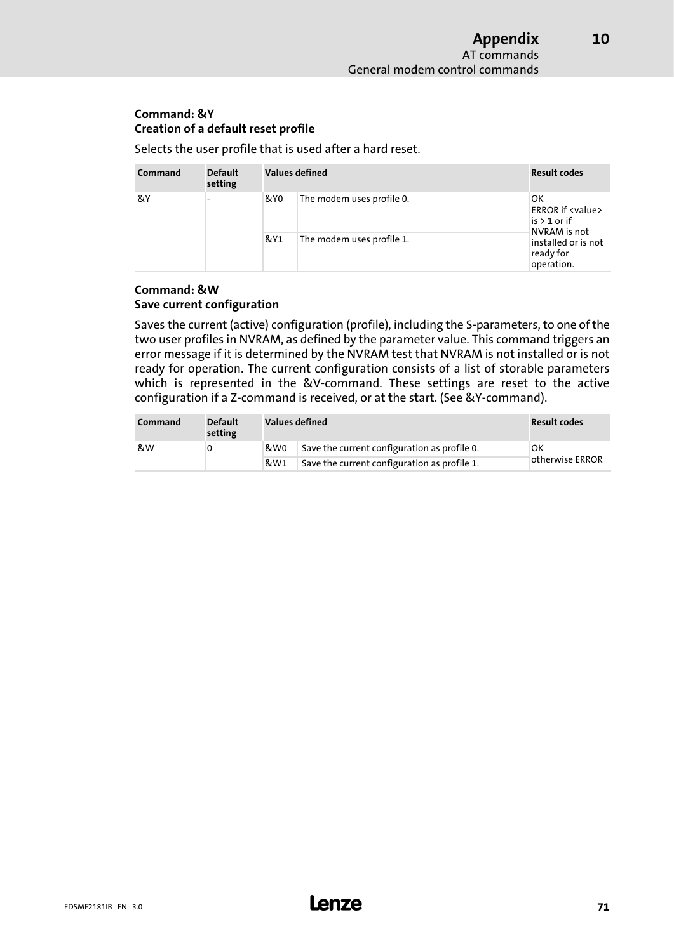[10](#page-66-0)

#### Command: &Y Creation of a default reset profile

Selects the user profile that is used after a hard reset.

| Command | <b>Default</b><br>setting | Values defined |                           | <b>Result codes</b>                                            |
|---------|---------------------------|----------------|---------------------------|----------------------------------------------------------------|
| &Y      |                           | &Y0            | The modem uses profile 0. | OK<br><b>ERROR if <value></value></b><br>$is > 1$ or if        |
|         |                           | &Y1            | The modem uses profile 1. | NVRAM is not<br>installed or is not<br>ready for<br>operation. |

#### Command: &W Save current configuration

Saves the current (active) configuration (profile), including the S−parameters, to one of the two user profiles in NVRAM, as defined by the parameter value. This command triggers an error message if it is determined by the NVRAM test that NVRAM is not installed or is not ready for operation. The current configuration consists of a list of storable parameters which is represented in the &V−command. These settings are reset to the active configuration if a Z−command is received, or at the start. (See &Y−command).

| Command | <b>Default</b><br>setting | Values defined | <b>Result codes</b>                          |                        |
|---------|---------------------------|----------------|----------------------------------------------|------------------------|
| &W      |                           | &W0            | Save the current configuration as profile 0. | OK.<br>otherwise ERROR |
|         |                           | &W1            | Save the current configuration as profile 1. |                        |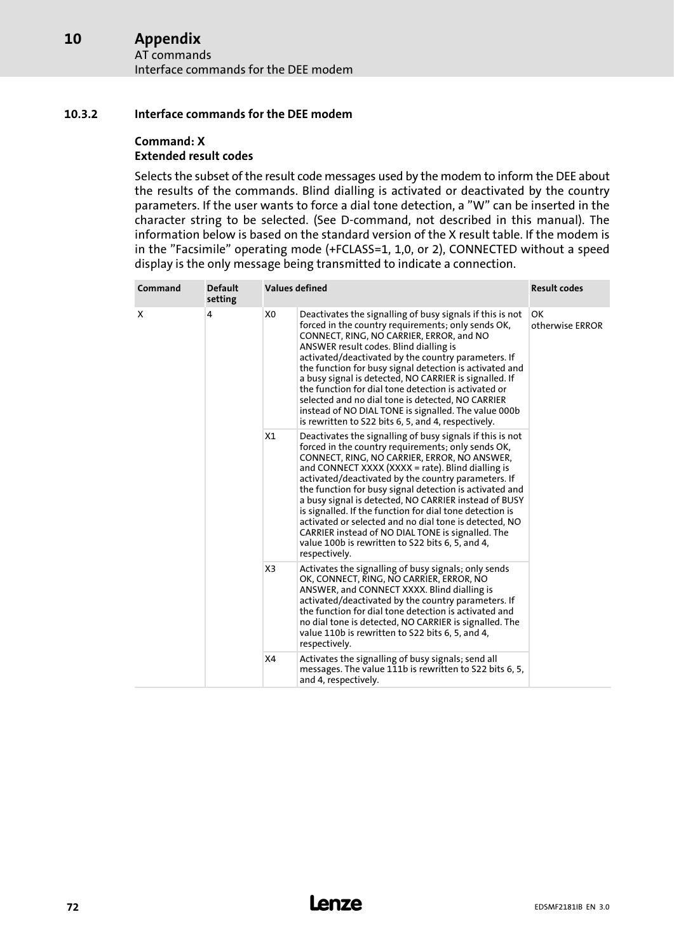#### Appendix [10](#page-66-0)

AT commands Interface commands for the DEE modem

#### 10.3.2 Interface commands for the DEE modem

## Command: X

#### Extended result codes

Selects the subset of the result code messages used by the modem to inform the DEE about the results of the commands. Blind dialling is activated or deactivated by the country parameters. If the user wants to force a dial tone detection, a "W" can be inserted in the character string to be selected. (See D−command, not described in this manual). The information below is based on the standard version of the X result table. If the modem is in the "Facsimile" operating mode (+FCLASS=1, 1,0, or 2), CONNECTED without a speed display is the only message being transmitted to indicate a connection.

| Command | <b>Default</b><br>setting | <b>Values defined</b> |                                                                                                                                                                                                                                                                                                                                                                                                                                                                                                                                                                                                                                                 | <b>Result codes</b>   |
|---------|---------------------------|-----------------------|-------------------------------------------------------------------------------------------------------------------------------------------------------------------------------------------------------------------------------------------------------------------------------------------------------------------------------------------------------------------------------------------------------------------------------------------------------------------------------------------------------------------------------------------------------------------------------------------------------------------------------------------------|-----------------------|
| X       | 4                         | X <sub>0</sub>        | Deactivates the signalling of busy signals if this is not<br>forced in the country requirements; only sends OK,<br>CONNECT, RING, NO CARRIER, ERROR, and NO<br>ANSWER result codes. Blind dialling is<br>activated/deactivated by the country parameters. If<br>the function for busy signal detection is activated and<br>a busy signal is detected, NO CARRIER is signalled. If<br>the function for dial tone detection is activated or<br>selected and no dial tone is detected, NO CARRIER<br>instead of NO DIAL TONE is signalled. The value 000b<br>is rewritten to S22 bits 6, 5, and 4, respectively.                                   | OK<br>otherwise ERROR |
|         |                           | X1                    | Deactivates the signalling of busy signals if this is not<br>forced in the country requirements; only sends OK,<br>CONNECT, RING, NO CARRIER, ERROR, NO ANSWER,<br>and CONNECT XXXX (XXXX = rate). Blind dialling is<br>activated/deactivated by the country parameters. If<br>the function for busy signal detection is activated and<br>a busy signal is detected, NO CARRIER instead of BUSY<br>is signalled. If the function for dial tone detection is<br>activated or selected and no dial tone is detected, NO<br>CARRIER instead of NO DIAL TONE is signalled. The<br>value 100b is rewritten to S22 bits 6, 5, and 4,<br>respectively. |                       |
|         |                           | X3                    | Activates the signalling of busy signals; only sends<br>OK, CONNECT, RING, NO CARRIER, ERROR, NO<br>ANSWER, and CONNECT XXXX. Blind dialling is<br>activated/deactivated by the country parameters. If<br>the function for dial tone detection is activated and<br>no dial tone is detected, NO CARRIER is signalled. The<br>value 110b is rewritten to S22 bits 6, 5, and 4,<br>respectively.                                                                                                                                                                                                                                                  |                       |
|         |                           | X4                    | Activates the signalling of busy signals; send all<br>messages. The value 111b is rewritten to S22 bits 6, 5,<br>and 4, respectively.                                                                                                                                                                                                                                                                                                                                                                                                                                                                                                           |                       |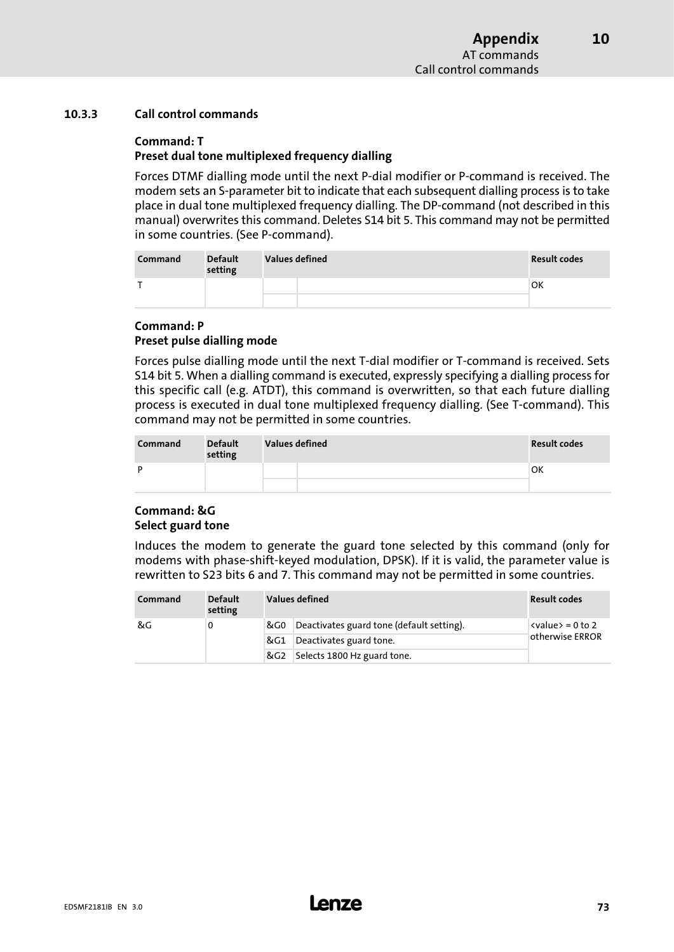#### <span id="page-72-0"></span>10.3.3 Call control commands

#### Command: T

#### Preset dual tone multiplexed frequency dialling

Forces DTMF dialling mode until the next P−dial modifier or P−command is received. The modem sets an S−parameter bit to indicate that each subsequent dialling process is to take place in dual tone multiplexed frequency dialling. The DP−command (not described in this manual) overwrites this command. Deletes S14 bit 5. This command may not be permitted in some countries. (See P−command).

| Command | <b>Default</b><br>setting | <b>Values defined</b> | <b>Result codes</b> |
|---------|---------------------------|-----------------------|---------------------|
|         |                           |                       | <b>OK</b>           |
|         |                           |                       |                     |

#### Command: P Preset pulse dialling mode

Forces pulse dialling mode until the next T−dial modifier or T−command is received. Sets S14 bit 5. When a dialling command is executed, expressly specifying a dialling process for this specific call (e.g. ATDT), this command is overwritten, so that each future dialling process is executed in dual tone multiplexed frequency dialling. (See T−command). This command may not be permitted in some countries.

| Command | <b>Default</b><br>setting | <b>Values defined</b> | <b>Result codes</b> |
|---------|---------------------------|-----------------------|---------------------|
| D       |                           |                       | 'OK                 |
|         |                           |                       |                     |

#### Command: &G Select guard tone

Induces the modem to generate the guard tone selected by this command (only for modems with phase−shift−keyed modulation, DPSK). If it is valid, the parameter value is rewritten to S23 bits 6 and 7. This command may not be permitted in some countries.

| Command | <b>Default</b><br>setting |     | Values defined                            | <b>Result codes</b>       |  |
|---------|---------------------------|-----|-------------------------------------------|---------------------------|--|
| &G      | 0                         | &G0 | Deactivates guard tone (default setting). | $\langle$ value> = 0 to 2 |  |
|         |                           | &G1 | Deactivates guard tone.                   | otherwise ERROR           |  |
|         |                           | &G2 | Selects 1800 Hz guard tone.               |                           |  |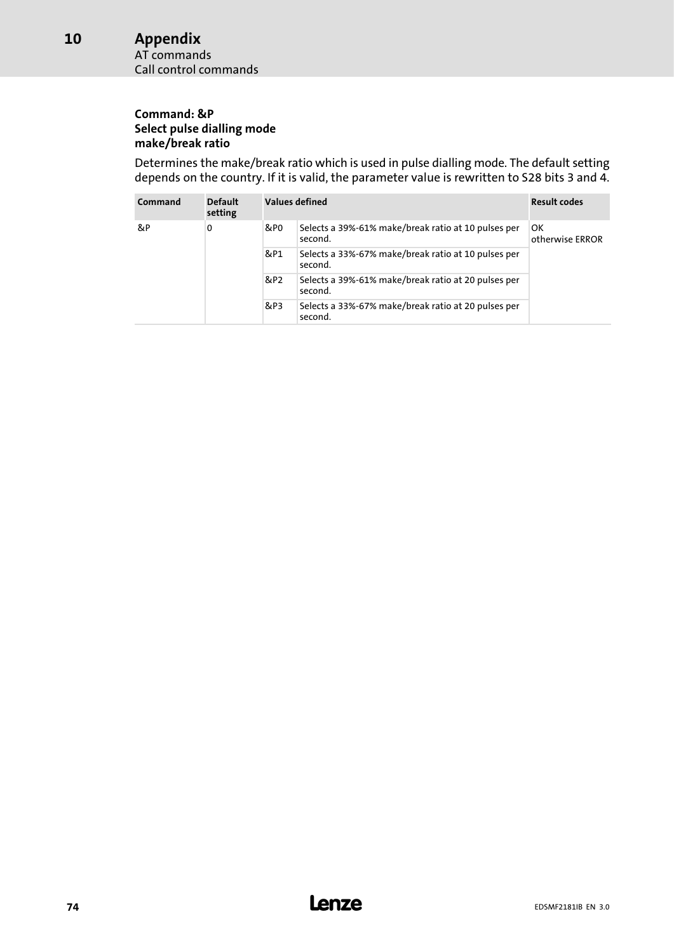# Appendix

AT commands Call control commands

#### Command: &P Select pulse dialling mode make/break ratio

Determines the make/break ratio which is used in pulse dialling mode. The default setting depends on the country. If it is valid, the parameter value is rewritten to S28 bits 3 and 4.

| Command | <b>Default</b><br>setting |     | Values defined<br><b>Result codes</b>                          |                       |  |  |  |
|---------|---------------------------|-----|----------------------------------------------------------------|-----------------------|--|--|--|
| &P      | 0                         | &P0 | Selects a 39%-61% make/break ratio at 10 pulses per<br>second. | OK<br>otherwise ERROR |  |  |  |
|         |                           | &P1 | Selects a 33%-67% make/break ratio at 10 pulses per<br>second. |                       |  |  |  |
|         |                           | &P2 | Selects a 39%-61% make/break ratio at 20 pulses per<br>second. |                       |  |  |  |
|         |                           | &P3 | Selects a 33%-67% make/break ratio at 20 pulses per<br>second. |                       |  |  |  |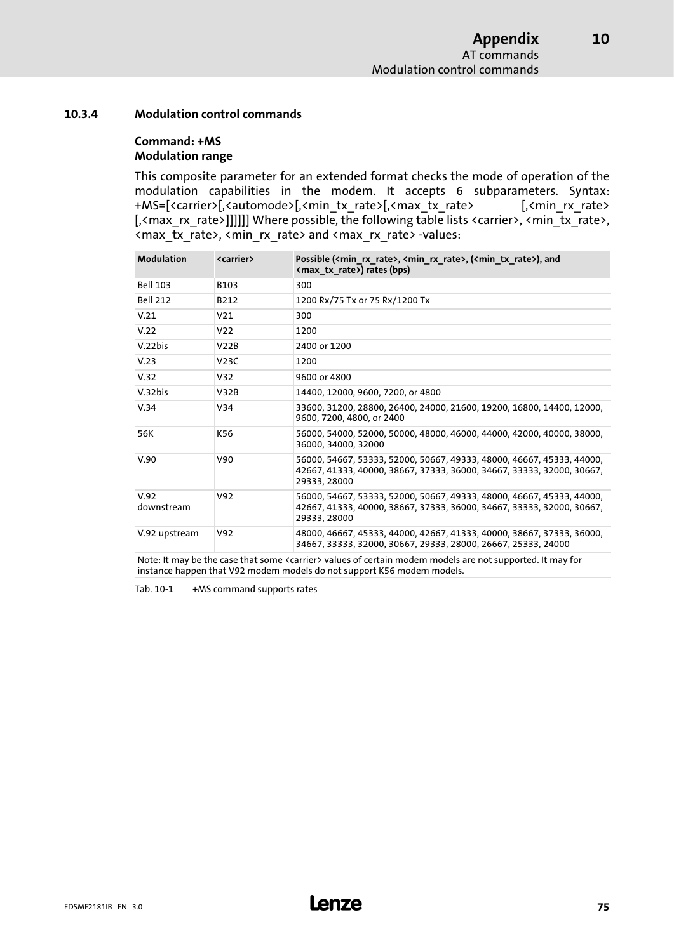[10](#page-66-0)

#### <span id="page-74-0"></span>10.3.4 Modulation control commands

#### Command: +MS Modulation range

This composite parameter for an extended format checks the mode of operation of the modulation capabilities in the modem. It accepts 6 subparameters. Syntax: +MS=[<carrier>[,<automode>[,<min\_tx\_rate>[,<max\_tx\_rate> [,<min\_rx\_rate> [, < max\_rx\_rate>]]]]]] Where possible, the following table lists <carrier>, <min\_tx\_rate>, <max\_tx\_rate>, <min\_rx\_rate> and <max\_rx\_rate> −values:

| <b>Modulation</b>                        | <carrier></carrier> | Possible ( <min rate="" rx="">, <min rate="" rx="">, (<min rate="" tx="">), and<br/><max rate="" tx="">) rates (bps)</max></min></min></min>                                                                                                                   |
|------------------------------------------|---------------------|----------------------------------------------------------------------------------------------------------------------------------------------------------------------------------------------------------------------------------------------------------------|
| <b>Bell 103</b>                          | B103                | 300                                                                                                                                                                                                                                                            |
| <b>Bell 212</b>                          | B212                | 1200 Rx/75 Tx or 75 Rx/1200 Tx                                                                                                                                                                                                                                 |
| V.21                                     | V <sub>21</sub>     | 300                                                                                                                                                                                                                                                            |
| V.22                                     | V <sub>22</sub>     | 1200                                                                                                                                                                                                                                                           |
| V.22bis                                  | V22B                | 2400 or 1200                                                                                                                                                                                                                                                   |
| V.23                                     | V23C                | 1200                                                                                                                                                                                                                                                           |
| V.32                                     | V32                 | 9600 or 4800                                                                                                                                                                                                                                                   |
| V.32bis                                  | V32B                | 14400, 12000, 9600, 7200, or 4800                                                                                                                                                                                                                              |
| V.34                                     | V34                 | 33600, 31200, 28800, 26400, 24000, 21600, 19200, 16800, 14400, 12000,<br>9600, 7200, 4800, or 2400                                                                                                                                                             |
| 56K                                      | K56                 | 56000, 54000, 52000, 50000, 48000, 46000, 44000, 42000, 40000, 38000,<br>36000, 34000, 32000                                                                                                                                                                   |
| V.90                                     | V90                 | 56000, 54667, 53333, 52000, 50667, 49333, 48000, 46667, 45333, 44000,<br>42667, 41333, 40000, 38667, 37333, 36000, 34667, 33333, 32000, 30667,<br>29333, 28000                                                                                                 |
| V.92<br>downstream                       | V92                 | 56000, 54667, 53333, 52000, 50667, 49333, 48000, 46667, 45333, 44000,<br>42667, 41333, 40000, 38667, 37333, 36000, 34667, 33333, 32000, 30667,<br>29333, 28000                                                                                                 |
| V.92 upstream<br>$\cdot$ $\cdot$ $\cdot$ | V92                 | 48000, 46667, 45333, 44000, 42667, 41333, 40000, 38667, 37333, 36000,<br>34667, 33333, 32000, 30667, 29333, 28000, 26667, 25333, 24000<br>the contract of the contract of the contract of the contract of the contract of the contract of the contract of<br>. |

Note: It may be the case that some <carrier> values of certain modem models are not supported. It may for instance happen that V92 modem models do not support K56 modem models.

Tab. 10−1 +MS command supports rates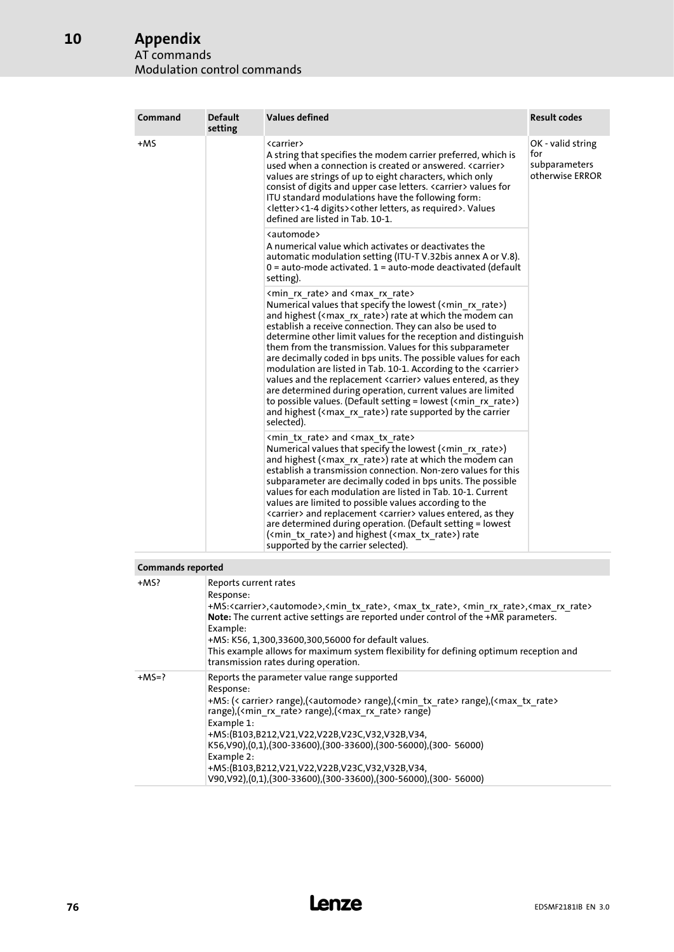# Appendix

#### AT commands Modulation control commands

| Command                  | <b>Default</b><br>setting | <b>Values defined</b>                                                                                                                                                                                                                                                                                                                                                                                                                                                                                                                                                                                                                                                                                                                                                                                                                                                                                                               | <b>Result codes</b>                                          |
|--------------------------|---------------------------|-------------------------------------------------------------------------------------------------------------------------------------------------------------------------------------------------------------------------------------------------------------------------------------------------------------------------------------------------------------------------------------------------------------------------------------------------------------------------------------------------------------------------------------------------------------------------------------------------------------------------------------------------------------------------------------------------------------------------------------------------------------------------------------------------------------------------------------------------------------------------------------------------------------------------------------|--------------------------------------------------------------|
| +MS                      |                           | <carrier><br/>A string that specifies the modem carrier preferred, which is<br/>used when a connection is created or answered. <carrier><br/>values are strings of up to eight characters, which only<br/>consist of digits and upper case letters. <carrier> values for<br/>ITU standard modulations have the following form:<br/><letter>&lt;1-4 digits&gt;<other as="" letters,="" required="">. Values<br/>defined are listed in Tab. 10-1.</other></letter></carrier></carrier></carrier>                                                                                                                                                                                                                                                                                                                                                                                                                                      | OK - valid string<br>for<br>subparameters<br>otherwise ERROR |
|                          |                           | <automode><br/>A numerical value which activates or deactivates the<br/>automatic modulation setting (ITU-T V.32bis annex A or V.8).<br/><math>0 =</math> auto-mode activated. <math>1 =</math> auto-mode deactivated (default<br/>setting).</automode>                                                                                                                                                                                                                                                                                                                                                                                                                                                                                                                                                                                                                                                                             |                                                              |
|                          |                           | <min rate="" rx=""> and <max rate="" rx=""><br/>Numerical values that specify the lowest <math>\langle \text{cmin }</math> rx rate&gt;)<br/>and highest (<math>\langle</math> max rx rate&gt;) rate at which the modem can<br/>establish a receive connection. They can also be used to<br/>determine other limit values for the reception and distinguish<br/>them from the transmission. Values for this subparameter<br/>are decimally coded in bps units. The possible values for each<br/>modulation are listed in Tab. 10-1. According to the <carrier><br/>values and the replacement <carrier> values entered, as they<br/>are determined during operation, current values are limited<br/>to possible values. (Default setting = lowest <math>\langle \text{cmin }</math> rx rate&gt;)<br/>and highest (<math>\langle</math> max rx rate&gt;) rate supported by the carrier<br/>selected).</carrier></carrier></max></min> |                                                              |
|                          |                           | <min rate="" tx=""> and <max rate="" tx=""><br/>Numerical values that specify the lowest <math>\langle \text{cmin }</math> rx rate&gt;)<br/>and highest (<math>\langle</math>max rx rate&gt;) rate at which the modem can<br/>establish a transmission connection. Non-zero values for this<br/>subparameter are decimally coded in bps units. The possible<br/>values for each modulation are listed in Tab. 10-1. Current<br/>values are limited to possible values according to the<br/><carrier> and replacement <carrier> values entered, as they<br/>are determined during operation. (Default setting = lowest<br/>(<min rate="" tx="">) and highest (<max rate="" tx="">) rate<br/>supported by the carrier selected).</max></min></carrier></carrier></max></min>                                                                                                                                                          |                                                              |
| <b>Commands reported</b> |                           |                                                                                                                                                                                                                                                                                                                                                                                                                                                                                                                                                                                                                                                                                                                                                                                                                                                                                                                                     |                                                              |

| COMMICTION ICPULICA |                                                                                                                                                                                                                                                                                                                                                                                                                                                                                                                                                                                        |
|---------------------|----------------------------------------------------------------------------------------------------------------------------------------------------------------------------------------------------------------------------------------------------------------------------------------------------------------------------------------------------------------------------------------------------------------------------------------------------------------------------------------------------------------------------------------------------------------------------------------|
| +MS?                | Reports current rates<br>Response:<br>+MS: <carrier>,<automode>,<min rate="" tx="">, <max rate="" tx="">, <min rate="" rx="">,<max rate="" rx=""><br/><b>Note:</b> The current active settings are reported under control of the +MR parameters.<br/>Example:<br/>+MS: K56, 1,300,33600,300,56000 for default values.<br/>This example allows for maximum system flexibility for defining optimum reception and<br/>transmission rates during operation.</max></min></max></min></automode></carrier>                                                                                  |
| $+MS=?$             | Reports the parameter value range supported<br>Response:<br>+MS: (< carrier> range),( <automode> range),(<min rate="" tx=""> range),(<max rate="" tx=""><br/>range),<math>\langle \text{cmin} \rangle</math> rate&gt; range),<math>\langle \text{cmax} \rangle</math> rate&gt; range)<br/>Example 1:<br/>+MS:(B103,B212,V21,V22,V22B,V23C,V32,V32B,V34,<br/>K56,V90),(0,1),(300-33600),(300-33600),(300-56000),(300-56000)<br/>Example 2:<br/>+MS:(B103,B212,V21,V22,V22B,V23C,V32,V32B,V34,<br/>V90,V92),(0,1),(300-33600),(300-33600),(300-56000),(300-56000)</max></min></automode> |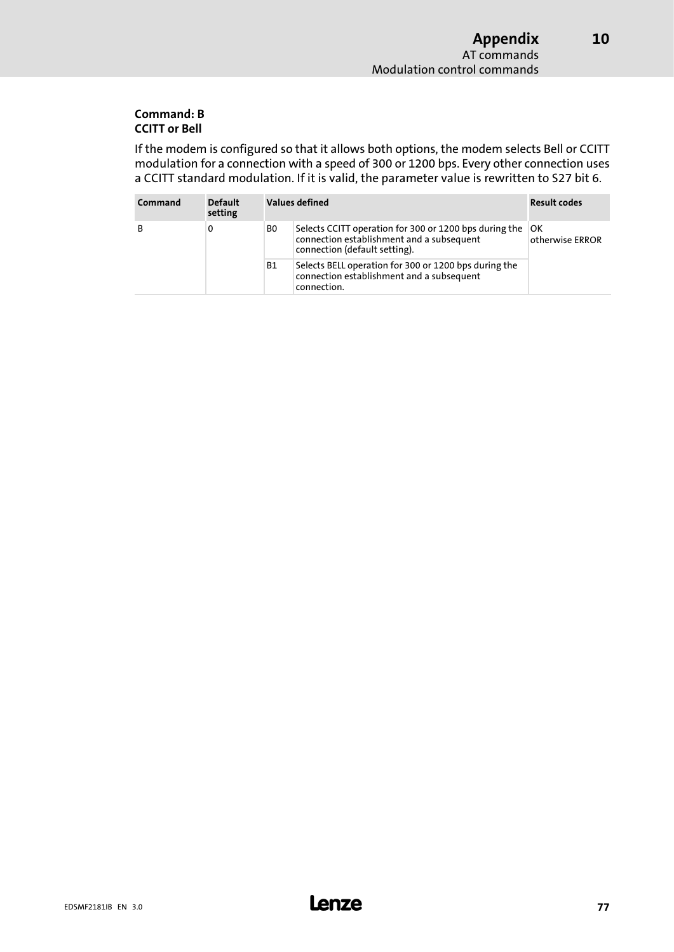[10](#page-66-0)

#### Command: B CCITT or Bell

If the modem is configured so that it allows both options, the modem selects Bell or CCITT modulation for a connection with a speed of 300 or 1200 bps. Every other connection uses a CCITT standard modulation. If it is valid, the parameter value is rewritten to S27 bit 6.

| Command | <b>Default</b><br>setting |           | Values defined                                                                                                                       | <b>Result codes</b>   |  |
|---------|---------------------------|-----------|--------------------------------------------------------------------------------------------------------------------------------------|-----------------------|--|
| в       | 0                         | B0        | Selects CCITT operation for 300 or 1200 bps during the<br>connection establishment and a subsequent<br>connection (default setting). | OK<br>otherwise ERROR |  |
|         |                           | <b>B1</b> | Selects BELL operation for 300 or 1200 bps during the<br>connection establishment and a subsequent<br>connection.                    |                       |  |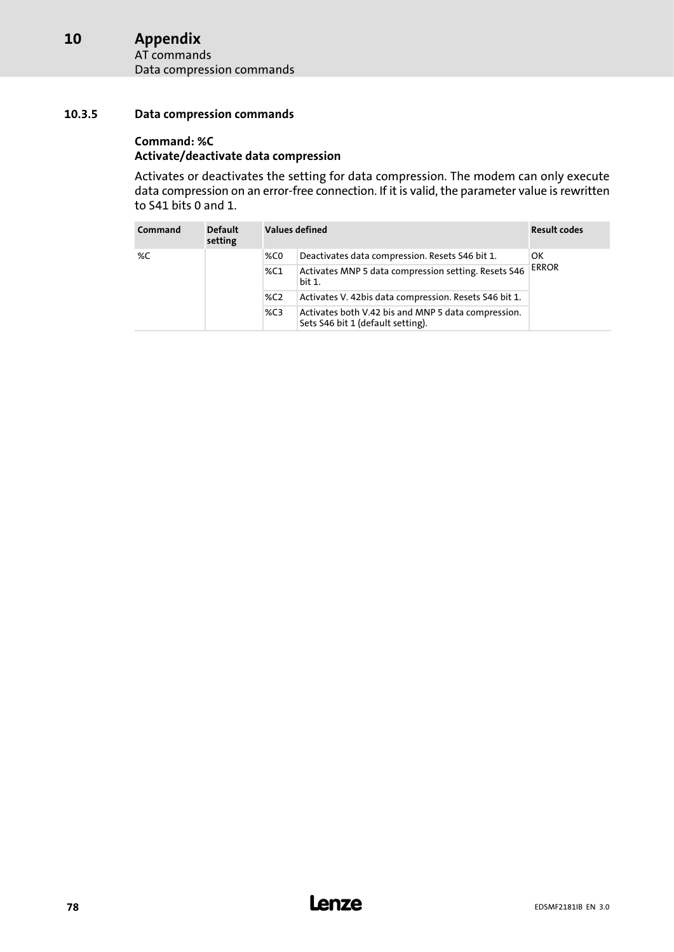#### <span id="page-77-0"></span>Appendix [10](#page-66-0)

AT commands Data compression commands

#### 10.3.5 Data compression commands

#### Command: %C

#### Activate/deactivate data compression

Activates or deactivates the setting for data compression. The modem can only execute data compression on an error−free connection. If it is valid, the parameter value is rewritten to S41 bits 0 and 1.

| Command | <b>Default</b><br>setting |     | <b>Values defined</b><br><b>Result codes</b>                                             |              |  |  |  |
|---------|---------------------------|-----|------------------------------------------------------------------------------------------|--------------|--|--|--|
| %C      |                           | %C0 | Deactivates data compression. Resets S46 bit 1.                                          | OK           |  |  |  |
|         |                           | %C1 | Activates MNP 5 data compression setting. Resets S46<br>bit 1.                           | <b>ERROR</b> |  |  |  |
|         |                           | %C2 | Activates V. 42bis data compression. Resets S46 bit 1.                                   |              |  |  |  |
|         |                           | %C3 | Activates both V.42 bis and MNP 5 data compression.<br>Sets S46 bit 1 (default setting). |              |  |  |  |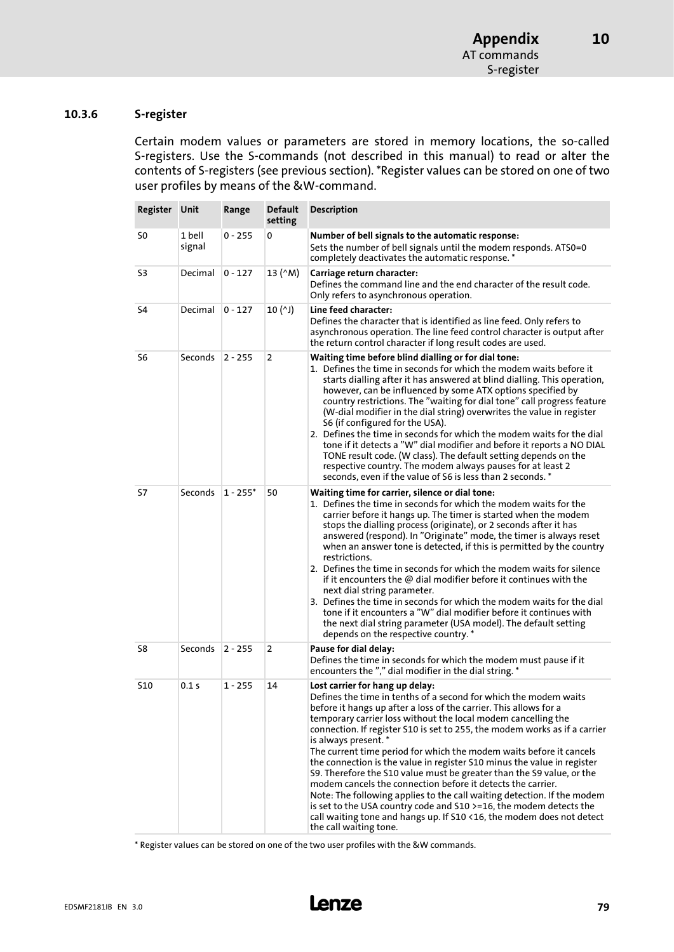#### <span id="page-78-0"></span>10.3.6 S−register

Certain modem values or parameters are stored in memory locations, the so−called S−registers. Use the S−commands (not described in this manual) to read or alter the contents of S−registers (see previous section). \*Register values can be stored on one of two user profiles by means of the &W−command.

| Register Unit |                  | Range      | <b>Default</b><br>setting | <b>Description</b>                                                                                                                                                                                                                                                                                                                                                                                                                                                                                                                                                                                                                                                                                                                                                                                                                                                                           |
|---------------|------------------|------------|---------------------------|----------------------------------------------------------------------------------------------------------------------------------------------------------------------------------------------------------------------------------------------------------------------------------------------------------------------------------------------------------------------------------------------------------------------------------------------------------------------------------------------------------------------------------------------------------------------------------------------------------------------------------------------------------------------------------------------------------------------------------------------------------------------------------------------------------------------------------------------------------------------------------------------|
| S0            | 1 bell<br>signal | 0 - 255    | 0                         | Number of bell signals to the automatic response:<br>Sets the number of bell signals until the modem responds. ATS0=0<br>completely deactivates the automatic response. *                                                                                                                                                                                                                                                                                                                                                                                                                                                                                                                                                                                                                                                                                                                    |
| S3            | Decimal          | $0 - 127$  | 13 (^M)                   | Carriage return character:<br>Defines the command line and the end character of the result code.<br>Only refers to asynchronous operation.                                                                                                                                                                                                                                                                                                                                                                                                                                                                                                                                                                                                                                                                                                                                                   |
| S4            | Decimal          | $0 - 127$  | $10(^1)$                  | Line feed character:<br>Defines the character that is identified as line feed. Only refers to<br>asynchronous operation. The line feed control character is output after<br>the return control character if long result codes are used.                                                                                                                                                                                                                                                                                                                                                                                                                                                                                                                                                                                                                                                      |
| S6            | Seconds          | $2 - 255$  | 2                         | Waiting time before blind dialling or for dial tone:<br>1. Defines the time in seconds for which the modem waits before it<br>starts dialling after it has answered at blind dialling. This operation,<br>however, can be influenced by some ATX options specified by<br>country restrictions. The "waiting for dial tone" call progress feature<br>(W-dial modifier in the dial string) overwrites the value in register<br>S6 (if configured for the USA).<br>2. Defines the time in seconds for which the modem waits for the dial<br>tone if it detects a "W" dial modifier and before it reports a NO DIAL<br>TONE result code. (W class). The default setting depends on the<br>respective country. The modem always pauses for at least 2<br>seconds, even if the value of S6 is less than 2 seconds. *                                                                               |
| S7            | Seconds          | $1 - 255*$ | 50                        | Waiting time for carrier, silence or dial tone:<br>1. Defines the time in seconds for which the modem waits for the<br>carrier before it hangs up. The timer is started when the modem<br>stops the dialling process (originate), or 2 seconds after it has<br>answered (respond). In "Originate" mode, the timer is always reset<br>when an answer tone is detected, if this is permitted by the country<br>restrictions.<br>2. Defines the time in seconds for which the modem waits for silence<br>if it encounters the @ dial modifier before it continues with the<br>next dial string parameter.<br>3. Defines the time in seconds for which the modem waits for the dial<br>tone if it encounters a "W" dial modifier before it continues with<br>the next dial string parameter (USA model). The default setting<br>depends on the respective country. *                             |
| S8            | Seconds          | $2 - 255$  | 2                         | Pause for dial delay:<br>Defines the time in seconds for which the modem must pause if it<br>encounters the "," dial modifier in the dial string. *                                                                                                                                                                                                                                                                                                                                                                                                                                                                                                                                                                                                                                                                                                                                          |
| <b>S10</b>    | 0.1 s            | 1 - 255    | 14                        | Lost carrier for hang up delay:<br>Defines the time in tenths of a second for which the modem waits<br>before it hangs up after a loss of the carrier. This allows for a<br>temporary carrier loss without the local modem cancelling the<br>connection. If register S10 is set to 255, the modem works as if a carrier<br>is always present.*<br>The current time period for which the modem waits before it cancels<br>the connection is the value in register S10 minus the value in register<br>S9. Therefore the S10 value must be greater than the S9 value, or the<br>modem cancels the connection before it detects the carrier.<br>Note: The following applies to the call waiting detection. If the modem<br>is set to the USA country code and S10 >=16, the modem detects the<br>call waiting tone and hangs up. If S10 <16, the modem does not detect<br>the call waiting tone. |

\* Register values can be stored on one of the two user profiles with the &W commands.

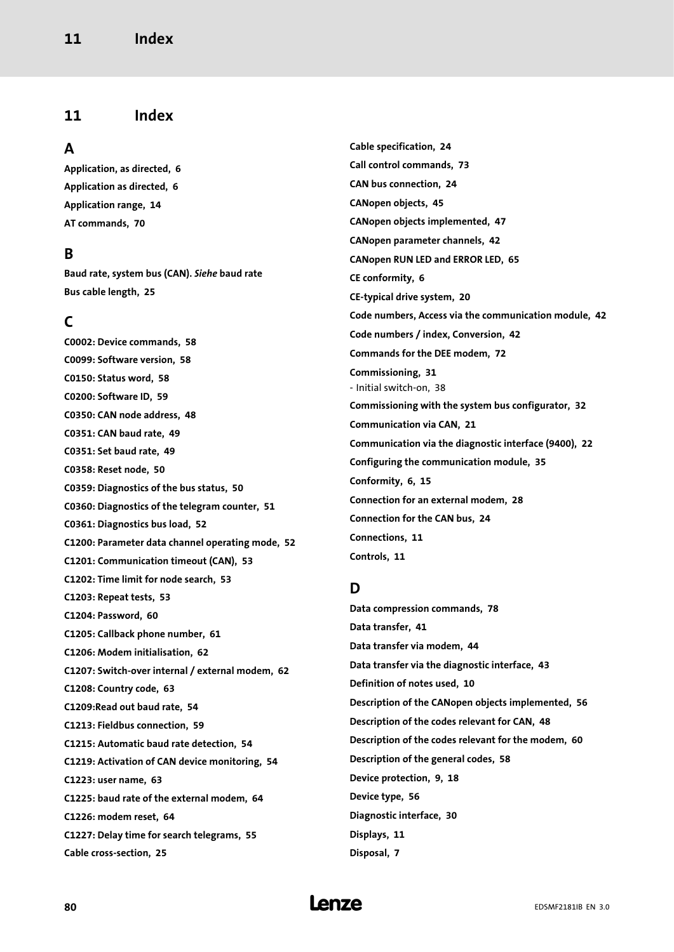# <span id="page-79-0"></span>11 Index

## A

[Application, as directed, 6](#page-5-0) [Application as directed, 6](#page-5-0) [Application range, 14](#page-13-0) [AT commands, 70](#page-69-0)

# B

Baud rate, system bus (CAN). Siehe baud rate [Bus cable length, 25](#page-24-0)

# $\mathsf{C}$

[C0002: Device commands, 58](#page-57-0) [C0099: Software version, 58](#page-57-0) [C0150: Status word, 58](#page-57-0) [C0200: Software ID, 59](#page-58-0) [C0350: CAN node address, 48](#page-47-0) [C0351: CAN baud rate, 49](#page-48-0) [C0351: Set baud rate, 49](#page-48-0) [C0358: Reset node, 50](#page-49-0) [C0359: Diagnostics of the bus status, 50](#page-49-0) [C0360: Diagnostics of the telegram counter, 51](#page-50-0) [C0361: Diagnostics bus load, 52](#page-51-0) [C1200: Parameter data channel operating mode, 52](#page-51-0) [C1201: Communication timeout \(CAN\), 53](#page-52-0) [C1202: Time limit for node search, 53](#page-52-0) [C1203: Repeat tests, 53](#page-52-0) [C1204: Password, 60](#page-59-0) [C1205: Callback phone number, 61](#page-60-0) [C1206: Modem initialisation, 62](#page-61-0) [C1207: Switch−over internal / external modem, 62](#page-61-0) [C1208: Country code, 63](#page-62-0) [C1209:Read out baud rate, 54](#page-53-0) [C1213: Fieldbus connection, 59](#page-58-0) [C1215: Automatic baud rate detection, 54](#page-53-0) [C1219: Activation of CAN device monitoring, 54](#page-53-0) [C1223: user name, 63](#page-62-0) [C1225: baud rate of the external modem, 64](#page-63-0) [C1226: modem reset, 64](#page-63-0) [C1227: Delay time for search telegrams, 55](#page-54-0) [Cable cross−section, 25](#page-24-0)

[Cable specification, 24](#page-23-0) [Call control commands, 73](#page-72-0) [CAN bus connection, 24](#page-23-0) [CANopen objects, 45](#page-44-0) [CANopen objects implemented, 47](#page-46-0) [CANopen parameter channels, 42](#page-41-0) [CANopen RUN LED and ERROR LED, 65](#page-64-0) [CE conformity, 6](#page-5-0) [CE−typical drive system, 20](#page-19-0) [Code numbers, Access via the communication module, 42](#page-41-0) [Code numbers / index, Conversion, 42](#page-41-0) [Commands for the DEE modem, 72](#page-71-0) [Commissioning, 31](#page-30-0) − [Initial switch−on, 38](#page-37-0) [Commissioning with the system bus configurator, 32](#page-31-0) [Communication via CAN, 21](#page-20-0) [Communication via the diagnostic interface \(9400\), 22](#page-21-0) [Configuring the communication module, 35](#page-34-0) [Conformity, 6](#page-5-0)[, 15](#page-14-0) [Connection for an external modem, 28](#page-27-0) [Connection for the CAN bus, 24](#page-23-0) [Connections, 11](#page-10-0) [Controls, 11](#page-10-0)

# D

[Data compression commands, 78](#page-77-0) [Data transfer, 41](#page-40-0) [Data transfer via modem, 44](#page-43-0) [Data transfer via the diagnostic interface, 43](#page-42-0) [Definition of notes used, 10](#page-9-0) [Description of the CANopen objects implemented, 56](#page-55-0) [Description of the codes relevant for CAN, 48](#page-47-0) [Description of the codes relevant for the modem, 60](#page-59-0) [Description of the general codes, 58](#page-57-0) [Device protection, 9](#page-8-0)[, 18](#page-17-0) [Device type, 56](#page-55-0) [Diagnostic interface, 30](#page-29-0) [Displays, 11](#page-10-0) [Disposal, 7](#page-6-0)

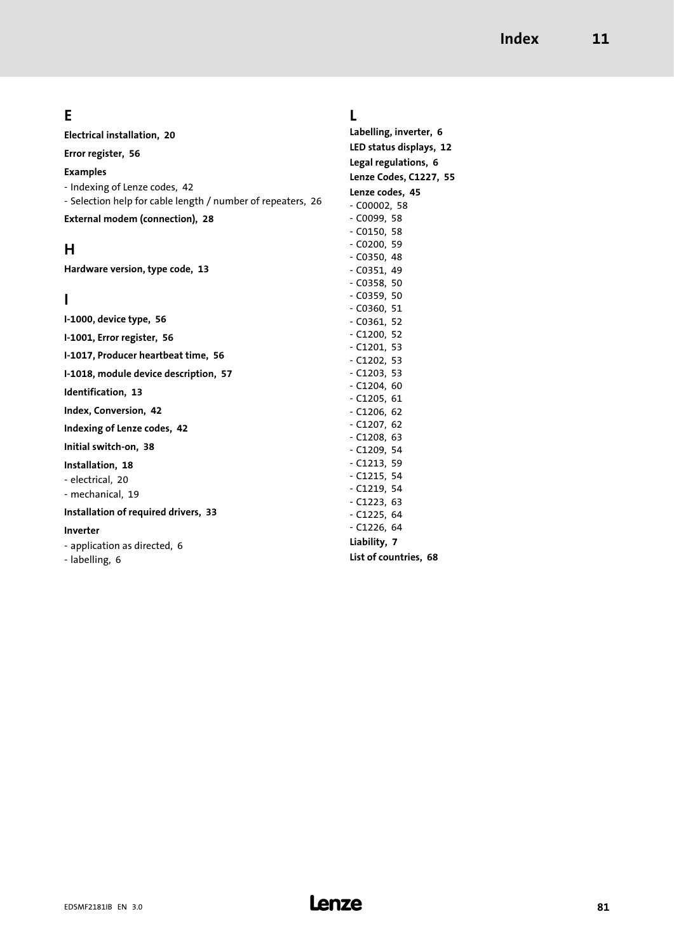# E

[Electrical installation, 20](#page-19-0)

[Error register, 56](#page-55-0)

Examples

- − [Indexing of Lenze codes, 42](#page-41-0)
- − [Selection help for cable length / number of repeaters, 26](#page-25-0)

[External modem \(connection\), 28](#page-27-0)

# H

[Hardware version, type code, 13](#page-12-0)

# I

[I−1000, device type, 56](#page-55-0) [I−1001, Error register, 56](#page-55-0) [I−1017, Producer heartbeat time, 56](#page-55-0) [I−1018, module device description, 57](#page-56-0) [Identification, 13](#page-12-0) [Index, Conversion, 42](#page-41-0) [Indexing of Lenze codes, 42](#page-41-0) [Initial switch−on, 38](#page-37-0) [Installation, 18](#page-17-0) − [electrical, 20](#page-19-0) − [mechanical, 19](#page-18-0) [Installation of required drivers, 33](#page-32-0) Inverter − [application as directed, 6](#page-5-0) − [labelling, 6](#page-5-0) − [C0361, 52](#page-51-0) − [C1200, 52](#page-51-0) − [C1201, 53](#page-52-0) − [C1202, 53](#page-52-0) − [C1203, 53](#page-52-0) − [C1204, 60](#page-59-0) − [C1205, 61](#page-60-0) − [C1206, 62](#page-61-0) − [C1207, 62](#page-61-0) − [C1208, 63](#page-62-0) − [C1209, 54](#page-53-0) − [C1213, 59](#page-58-0) − [C1215, 54](#page-53-0) − [C1219, 54](#page-53-0) − [C1223, 63](#page-62-0) − [C1225, 64](#page-63-0) − [C1226, 64](#page-63-0) [Liability, 7](#page-6-0) [List of countries, 68](#page-67-0)

# L

[Labelling, inverter, 6](#page-5-0) [LED status displays, 12](#page-11-0) [Legal regulations, 6](#page-5-0) [Lenze Codes, C1227, 55](#page-54-0) [Lenze codes, 45](#page-44-0) − [C00002, 58](#page-57-0) − [C0099, 58](#page-57-0) − [C0150, 58](#page-57-0) − [C0200, 59](#page-58-0) − [C0350, 48](#page-47-0) − [C0351, 49](#page-48-0) − [C0358, 50](#page-49-0) − [C0359, 50](#page-49-0) − [C0360, 51](#page-50-0)

EDSMF2181IB EN 3.0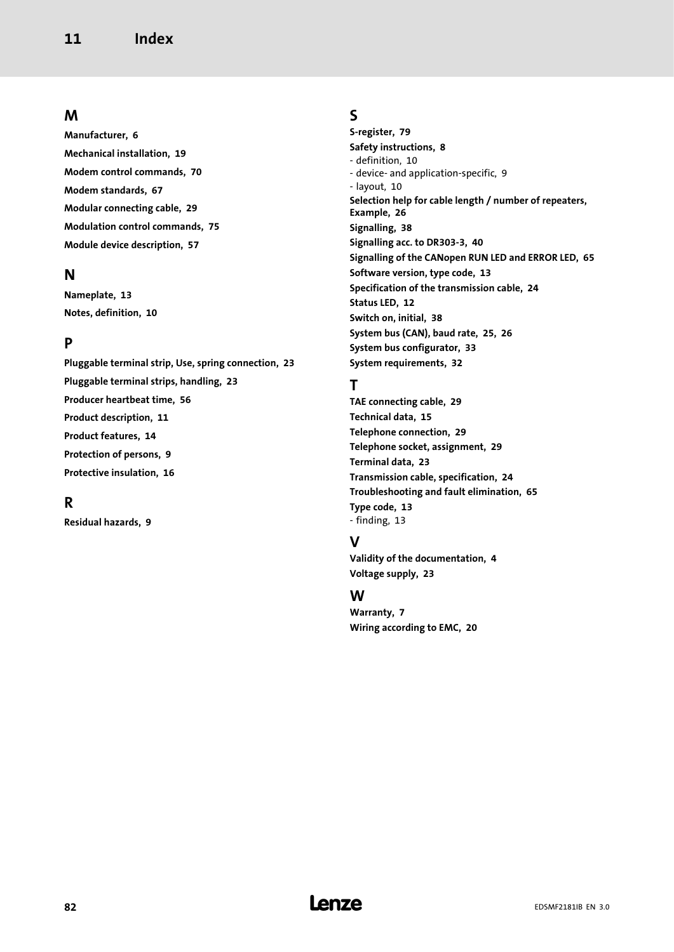# M

[Manufacturer, 6](#page-5-0) [Mechanical installation, 19](#page-18-0) [Modem control commands, 70](#page-69-0) [Modem standards, 67](#page-66-0) [Modular connecting cable, 29](#page-28-0) [Modulation control commands, 75](#page-74-0) [Module device description, 57](#page-56-0)

### N

[Nameplate, 13](#page-12-0) [Notes, definition, 10](#page-9-0)

# P

[Pluggable terminal strip, Use, spring connection, 23](#page-22-0) [Pluggable terminal strips, handling, 23](#page-22-0) [Producer heartbeat time, 56](#page-55-0) [Product description, 11](#page-10-0) [Product features, 14](#page-13-0) [Protection of persons, 9](#page-8-0) [Protective insulation, 16](#page-15-0)

# R

[Residual hazards, 9](#page-8-0)

# S

[S−register, 79](#page-78-0) [Safety instructions, 8](#page-7-0) − [definition, 10](#page-9-0) − [device− and application−specific, 9](#page-8-0) − [layout, 10](#page-9-0) [Selection help for cable length / number of repeaters,](#page-25-0) [Example, 26](#page-25-0) [Signalling, 38](#page-37-0) [Signalling acc. to DR303−3, 40](#page-39-0) [Signalling of the CANopen RUN LED and ERROR LED, 65](#page-64-0) [Software version, type code, 13](#page-12-0) [Specification of the transmission cable, 24](#page-23-0) [Status LED, 12](#page-11-0) [Switch on, initial, 38](#page-37-0) [System bus \(CAN\), baud rate, 25](#page-24-0)[, 26](#page-25-0) [System bus configurator, 33](#page-32-0) [System requirements, 32](#page-31-0)

# T

[TAE connecting cable, 29](#page-28-0) [Technical data, 15](#page-14-0) [Telephone connection, 29](#page-28-0) [Telephone socket, assignment, 29](#page-28-0) [Terminal data, 23](#page-22-0) [Transmission cable, specification, 24](#page-23-0) [Troubleshooting and fault elimination, 65](#page-64-0) [Type code, 13](#page-12-0) − [finding, 13](#page-12-0)

# V

[Validity of the documentation, 4](#page-3-0) [Voltage supply, 23](#page-22-0)

# W

[Warranty, 7](#page-6-0) [Wiring according to EMC, 20](#page-19-0)